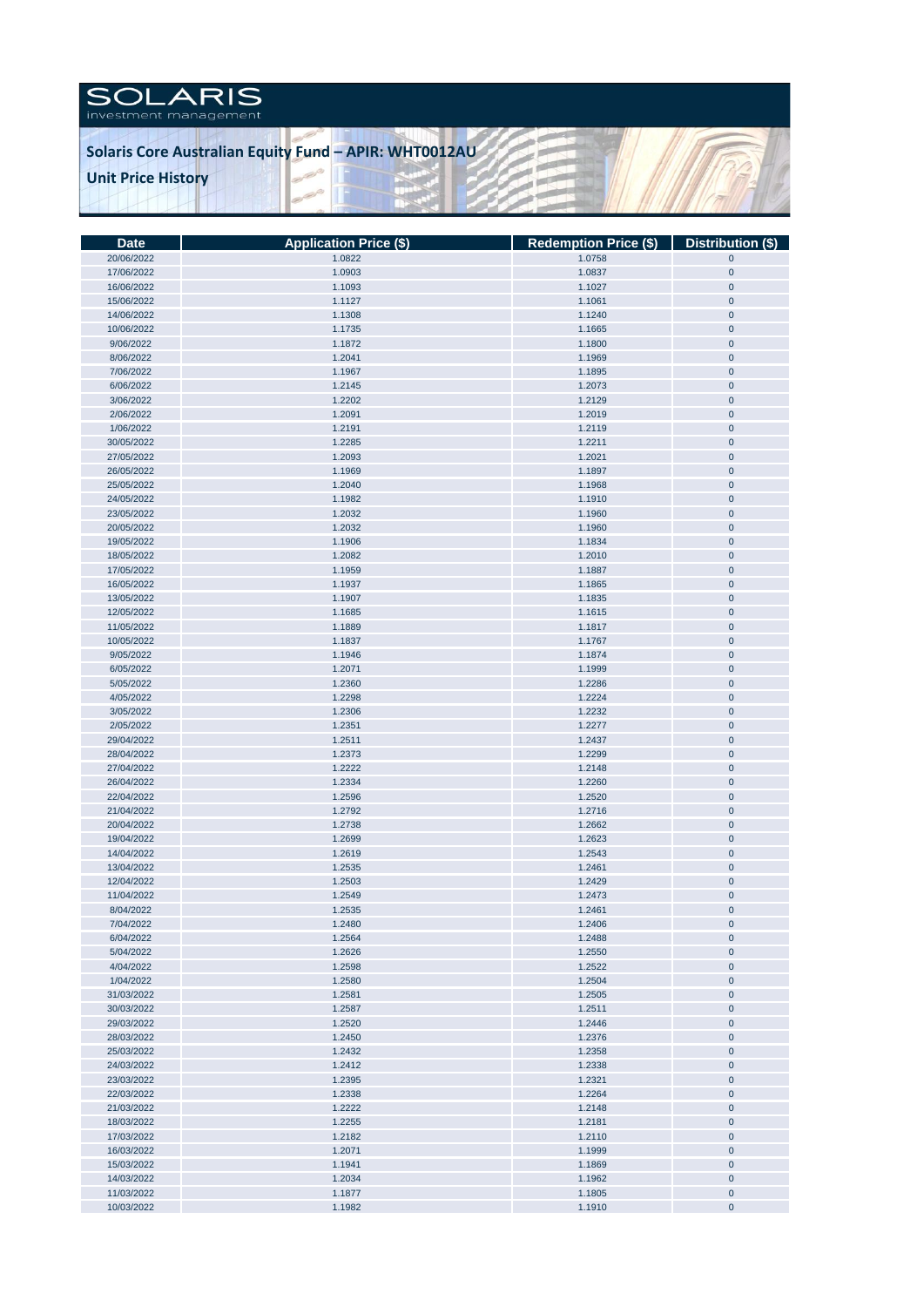

| <b>Date</b> | <b>Application Price (\$)</b> | Redemption Price (\$)   Distribution (\$) |             |
|-------------|-------------------------------|-------------------------------------------|-------------|
| 20/06/2022  | 1.0822                        | 1.0758                                    | $\mathbf 0$ |
| 17/06/2022  | 1.0903                        | 1.0837                                    | $\pmb{0}$   |
| 16/06/2022  | 1.1093                        | 1.1027                                    | $\pmb{0}$   |
| 15/06/2022  | 1.1127                        | 1.1061                                    | $\mathbf 0$ |
| 14/06/2022  | 1.1308                        | 1.1240                                    | $\pmb{0}$   |
| 10/06/2022  | 1.1735                        | 1.1665                                    | $\pmb{0}$   |
| 9/06/2022   | 1.1872                        | 1.1800                                    | $\pmb{0}$   |
|             |                               |                                           |             |
| 8/06/2022   | 1.2041                        | 1.1969                                    | $\pmb{0}$   |
| 7/06/2022   | 1.1967                        | 1.1895                                    | $\pmb{0}$   |
| 6/06/2022   | 1.2145                        | 1.2073                                    | $\pmb{0}$   |
| 3/06/2022   | 1.2202                        | 1.2129                                    | $\pmb{0}$   |
| 2/06/2022   | 1.2091                        | 1.2019                                    | $\pmb{0}$   |
| 1/06/2022   | 1.2191                        | 1.2119                                    | $\pmb{0}$   |
| 30/05/2022  | 1.2285                        | 1.2211                                    | $\pmb{0}$   |
| 27/05/2022  | 1.2093                        | 1.2021                                    | $\pmb{0}$   |
| 26/05/2022  | 1.1969                        | 1.1897                                    | $\pmb{0}$   |
| 25/05/2022  | 1.2040                        | 1.1968                                    | $\pmb{0}$   |
| 24/05/2022  | 1.1982                        | 1.1910                                    | $\pmb{0}$   |
| 23/05/2022  | 1.2032                        | 1.1960                                    | $\pmb{0}$   |
| 20/05/2022  | 1.2032                        | 1.1960                                    | $\pmb{0}$   |
| 19/05/2022  | 1.1906                        | 1.1834                                    | $\pmb{0}$   |
| 18/05/2022  | 1.2082                        | 1.2010                                    | $\pmb{0}$   |
| 17/05/2022  | 1.1959                        | 1.1887                                    | $\pmb{0}$   |
|             |                               |                                           |             |
| 16/05/2022  | 1.1937                        | 1.1865                                    | $\pmb{0}$   |
| 13/05/2022  | 1.1907                        | 1.1835                                    | $\pmb{0}$   |
| 12/05/2022  | 1.1685                        | 1.1615                                    | $\pmb{0}$   |
| 11/05/2022  | 1.1889                        | 1.1817                                    | $\mathbf 0$ |
| 10/05/2022  | 1.1837                        | 1.1767                                    | $\pmb{0}$   |
| 9/05/2022   | 1.1946                        | 1.1874                                    | $\mathbf 0$ |
| 6/05/2022   | 1.2071                        | 1.1999                                    | $\mathbf 0$ |
| 5/05/2022   | 1.2360                        | 1.2286                                    | $\pmb{0}$   |
| 4/05/2022   | 1.2298                        | 1.2224                                    | $\pmb{0}$   |
| 3/05/2022   | 1.2306                        | 1.2232                                    | $\pmb{0}$   |
| 2/05/2022   | 1.2351                        | 1.2277                                    | $\pmb{0}$   |
| 29/04/2022  | 1.2511                        | 1.2437                                    | $\pmb{0}$   |
| 28/04/2022  | 1.2373                        | 1.2299                                    | $\pmb{0}$   |
| 27/04/2022  | 1.2222                        | 1.2148                                    | $\pmb{0}$   |
| 26/04/2022  | 1.2334                        | 1.2260                                    | $\pmb{0}$   |
| 22/04/2022  | 1.2596                        | 1.2520                                    | $\pmb{0}$   |
| 21/04/2022  | 1.2792                        | 1.2716                                    | $\pmb{0}$   |
| 20/04/2022  | 1.2738                        | 1.2662                                    | $\pmb{0}$   |
| 19/04/2022  | 1.2699                        | 1.2623                                    | $\pmb{0}$   |
| 14/04/2022  | 1.2619                        | 1.2543                                    | $\pmb{0}$   |
| 13/04/2022  | 1.2535                        | 1.2461                                    | $\pmb{0}$   |
| 12/04/2022  | 1.2503                        | 1.2429                                    | $\pmb{0}$   |
| 11/04/2022  | 1.2549                        | 1.2473                                    | $\pmb{0}$   |
|             |                               |                                           |             |
| 8/04/2022   | 1.2535                        | 1.2461                                    | $\pmb{0}$   |
| 7/04/2022   | 1.2480                        | 1.2406                                    | $\mathbf 0$ |
| 6/04/2022   | 1.2564                        | 1.2488                                    | $\pmb{0}$   |
| 5/04/2022   | 1.2626                        | 1.2550                                    | $\pmb{0}$   |
| 4/04/2022   | 1.2598                        | 1.2522                                    | $\pmb{0}$   |
| 1/04/2022   | 1.2580                        | 1.2504                                    | $\pmb{0}$   |
| 31/03/2022  | 1.2581                        | 1.2505                                    | $\pmb{0}$   |
| 30/03/2022  | 1.2587                        | 1.2511                                    | $\pmb{0}$   |
| 29/03/2022  | 1.2520                        | 1.2446                                    | $\pmb{0}$   |
| 28/03/2022  | 1.2450                        | 1.2376                                    | $\pmb{0}$   |
| 25/03/2022  | 1.2432                        | 1.2358                                    | $\pmb{0}$   |
| 24/03/2022  | 1.2412                        | 1.2338                                    | $\pmb{0}$   |
| 23/03/2022  | 1.2395                        | 1.2321                                    | $\pmb{0}$   |
| 22/03/2022  | 1.2338                        | 1.2264                                    | $\pmb{0}$   |
| 21/03/2022  | 1.2222                        | 1.2148                                    | $\pmb{0}$   |
| 18/03/2022  | 1.2255                        | 1.2181                                    | $\pmb{0}$   |
| 17/03/2022  | 1.2182                        | 1.2110                                    | $\pmb{0}$   |
| 16/03/2022  | 1.2071                        | 1.1999                                    | $\pmb{0}$   |
| 15/03/2022  | 1.1941                        | 1.1869                                    | $\pmb{0}$   |
| 14/03/2022  | 1.2034                        | 1.1962                                    | $\pmb{0}$   |
| 11/03/2022  | 1.1877                        |                                           |             |
|             |                               | 1.1805                                    | $\pmb{0}$   |
| 10/03/2022  | 1.1982                        | 1.1910                                    | $\pmb{0}$   |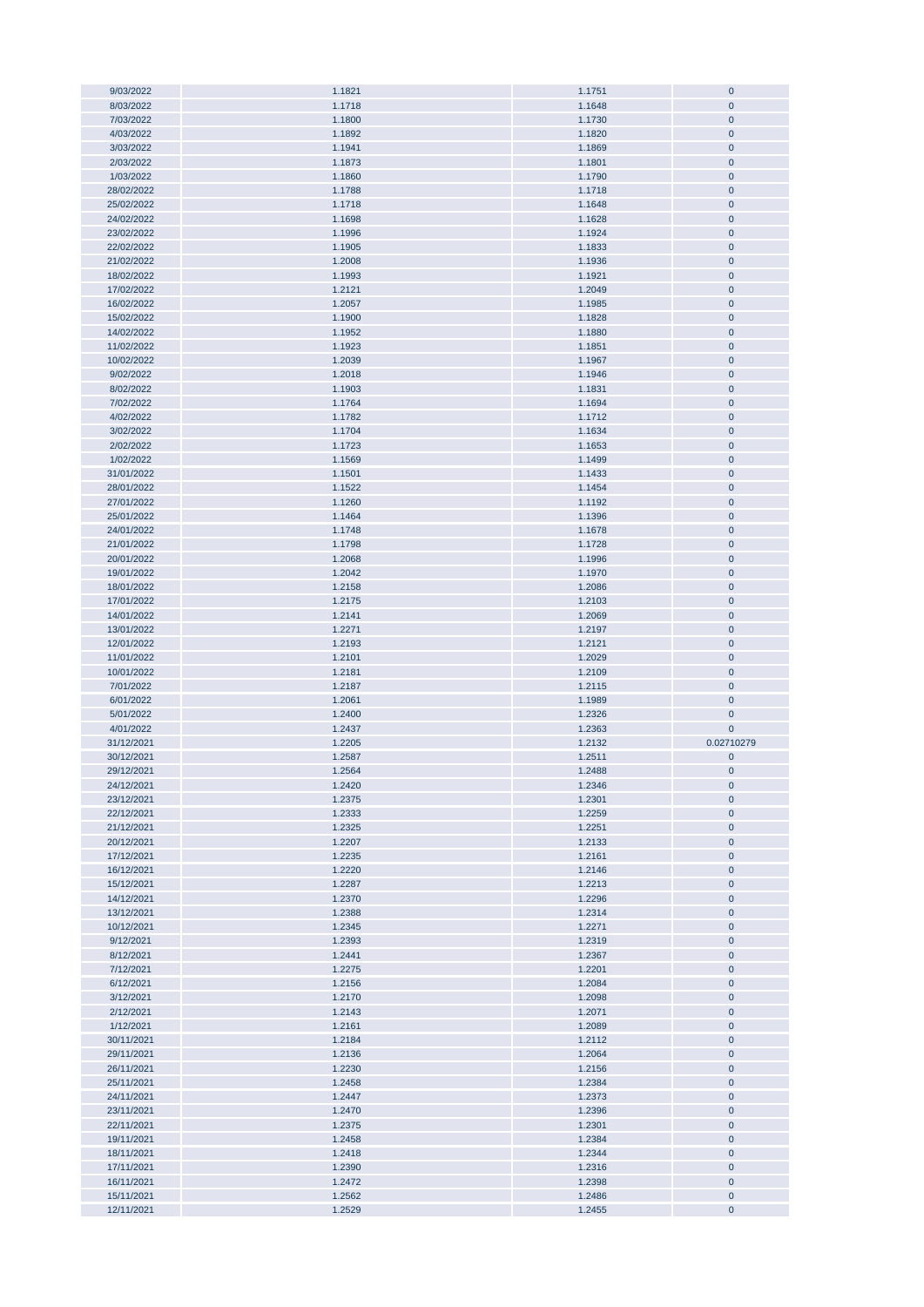| 9/03/2022                | 1.1821           | 1.1751           | $\pmb{0}$               |
|--------------------------|------------------|------------------|-------------------------|
| 8/03/2022                | 1.1718           | 1.1648           | $\mathbf{0}$            |
| 7/03/2022                | 1.1800           | 1.1730           | $\mathbf{0}$            |
|                          |                  |                  |                         |
| 4/03/2022                | 1.1892           | 1.1820           | $\pmb{0}$               |
| 3/03/2022                | 1.1941           | 1.1869           | $\pmb{0}$               |
| 2/03/2022                | 1.1873           | 1.1801           | $\pmb{0}$               |
| 1/03/2022                | 1.1860           | 1.1790           | $\pmb{0}$               |
| 28/02/2022               | 1.1788           | 1.1718           | $\pmb{0}$               |
|                          |                  |                  |                         |
| 25/02/2022               | 1.1718           | 1.1648           | $\pmb{0}$               |
| 24/02/2022               | 1.1698           | 1.1628           | $\pmb{0}$               |
| 23/02/2022               | 1.1996           | 1.1924           | $\pmb{0}$               |
| 22/02/2022               | 1.1905           | 1.1833           | $\pmb{0}$               |
|                          |                  |                  |                         |
| 21/02/2022               | 1.2008           | 1.1936           | $\pmb{0}$               |
| 18/02/2022               | 1.1993           | 1.1921           | $\pmb{0}$               |
| 17/02/2022               | 1.2121           | 1.2049           | $\mathbf 0$             |
| 16/02/2022               | 1.2057           | 1.1985           | $\mathbf 0$             |
| 15/02/2022               | 1.1900           | 1.1828           | $\mathbf 0$             |
|                          |                  |                  |                         |
| 14/02/2022               | 1.1952           | 1.1880           | $\pmb{0}$               |
| 11/02/2022               | 1.1923           | 1.1851           | $\pmb{0}$               |
| 10/02/2022               | 1.2039           | 1.1967           | $\mathbf 0$             |
| 9/02/2022                | 1.2018           | 1.1946           | $\pmb{0}$               |
| 8/02/2022                | 1.1903           | 1.1831           | $\pmb{0}$               |
|                          |                  |                  |                         |
| 7/02/2022                | 1.1764           | 1.1694           | $\pmb{0}$               |
| 4/02/2022                | 1.1782           | 1.1712           | $\pmb{0}$               |
| 3/02/2022                | 1.1704           | 1.1634           | $\pmb{0}$               |
| 2/02/2022                | 1.1723           | 1.1653           | $\pmb{0}$               |
| 1/02/2022                | 1.1569           | 1.1499           | $\pmb{0}$               |
|                          |                  |                  |                         |
| 31/01/2022               | 1.1501           | 1.1433           | $\pmb{0}$               |
| 28/01/2022               | 1.1522           | 1.1454           | $\pmb{0}$               |
| 27/01/2022               | 1.1260           | 1.1192           | $\pmb{0}$               |
| 25/01/2022               | 1.1464           | 1.1396           | $\pmb{0}$               |
| 24/01/2022               | 1.1748           | 1.1678           | $\pmb{0}$               |
|                          |                  |                  |                         |
| 21/01/2022               | 1.1798           | 1.1728           | $\pmb{0}$               |
| 20/01/2022               | 1.2068           | 1.1996           | $\pmb{0}$               |
| 19/01/2022               | 1.2042           | 1.1970           | $\pmb{0}$               |
| 18/01/2022               | 1.2158           | 1.2086           | $\pmb{0}$               |
| 17/01/2022               | 1.2175           | 1.2103           | $\pmb{0}$               |
|                          |                  |                  |                         |
| 14/01/2022               | 1.2141           | 1.2069           | $\pmb{0}$               |
| 13/01/2022               | 1.2271           | 1.2197           | $\mathbf 0$             |
|                          |                  |                  |                         |
| 12/01/2022               | 1.2193           | 1.2121           | $\mathbf 0$             |
|                          |                  |                  |                         |
| 11/01/2022               | 1.2101           | 1.2029           | $\mathbf 0$             |
| 10/01/2022               | 1.2181           | 1.2109           | $\pmb{0}$               |
| 7/01/2022                | 1.2187           | 1.2115           | $\pmb{0}$               |
| 6/01/2022                | 1.2061           | 1.1989           | $\pmb{0}$               |
| 5/01/2022                |                  |                  | $\mathbf 0$             |
|                          | 1.2400           | 1.2326           |                         |
| 4/01/2022                | 1.2437           | 1.2363           | $\mathbf 0$             |
| 31/12/2021               | 1.2205           | 1.2132           | 0.02710279              |
| 30/12/2021               | 1.2587           | 1.2511           | $\pmb{0}$               |
| 29/12/2021               | 1.2564           | 1.2488           | $\mathbf{0}$            |
|                          |                  |                  |                         |
| 24/12/2021               | 1.2420           | 1.2346           | $\pmb{0}$               |
| 23/12/2021               | 1.2375           | 1.2301           | $\pmb{0}$               |
| 22/12/2021               | 1.2333           | 1.2259           | $\pmb{0}$               |
| 21/12/2021               | 1.2325           | 1.2251           | $\pmb{0}$               |
| 20/12/2021               | 1.2207           | 1.2133           | $\pmb{0}$               |
| 17/12/2021               | 1.2235           | 1.2161           | $\pmb{0}$               |
| 16/12/2021               |                  |                  | $\bf{0}$                |
|                          | 1.2220           | 1.2146           |                         |
| 15/12/2021               | 1.2287           | 1.2213           | $\pmb{0}$               |
| 14/12/2021               | 1.2370           | 1.2296           | $\bf{0}$                |
| 13/12/2021               | 1.2388           | 1.2314           | $\pmb{0}$               |
| 10/12/2021               | 1.2345           | 1.2271           | $\pmb{0}$               |
| 9/12/2021                | 1.2393           | 1.2319           | $\pmb{0}$               |
|                          |                  |                  |                         |
| 8/12/2021                | 1.2441           | 1.2367           | $\bf{0}$                |
| 7/12/2021                | 1.2275           | 1.2201           | $\bf{0}$                |
| 6/12/2021                | 1.2156           | 1.2084           | $\bf{0}$                |
| 3/12/2021                | 1.2170           | 1.2098           | $\bf{0}$                |
| 2/12/2021                | 1.2143           | 1.2071           | $\pmb{0}$               |
| 1/12/2021                | 1.2161           |                  | $\bf{0}$                |
|                          |                  | 1.2089           |                         |
| 30/11/2021               | 1.2184           | 1.2112           | $\bf{0}$                |
| 29/11/2021               | 1.2136           | 1.2064           | $\pmb{0}$               |
| 26/11/2021               | 1.2230           | 1.2156           | $\pmb{0}$               |
| 25/11/2021               | 1.2458           | 1.2384           | $\pmb{0}$               |
|                          |                  |                  |                         |
| 24/11/2021               | 1.2447           | 1.2373           | $\pmb{0}$               |
| 23/11/2021               | 1.2470           | 1.2396           | $\pmb{0}$               |
| 22/11/2021               | 1.2375           | 1.2301           | $\pmb{0}$               |
| 19/11/2021               | 1.2458           | 1.2384           | $\pmb{0}$               |
| 18/11/2021               | 1.2418           | 1.2344           | $\pmb{0}$               |
|                          |                  |                  |                         |
| 17/11/2021               | 1.2390           | 1.2316           | $\pmb{0}$               |
| 16/11/2021               | 1.2472           | 1.2398           | $\pmb{0}$               |
| 15/11/2021<br>12/11/2021 | 1.2562<br>1.2529 | 1.2486<br>1.2455 | $\bf{0}$<br>$\mathbf 0$ |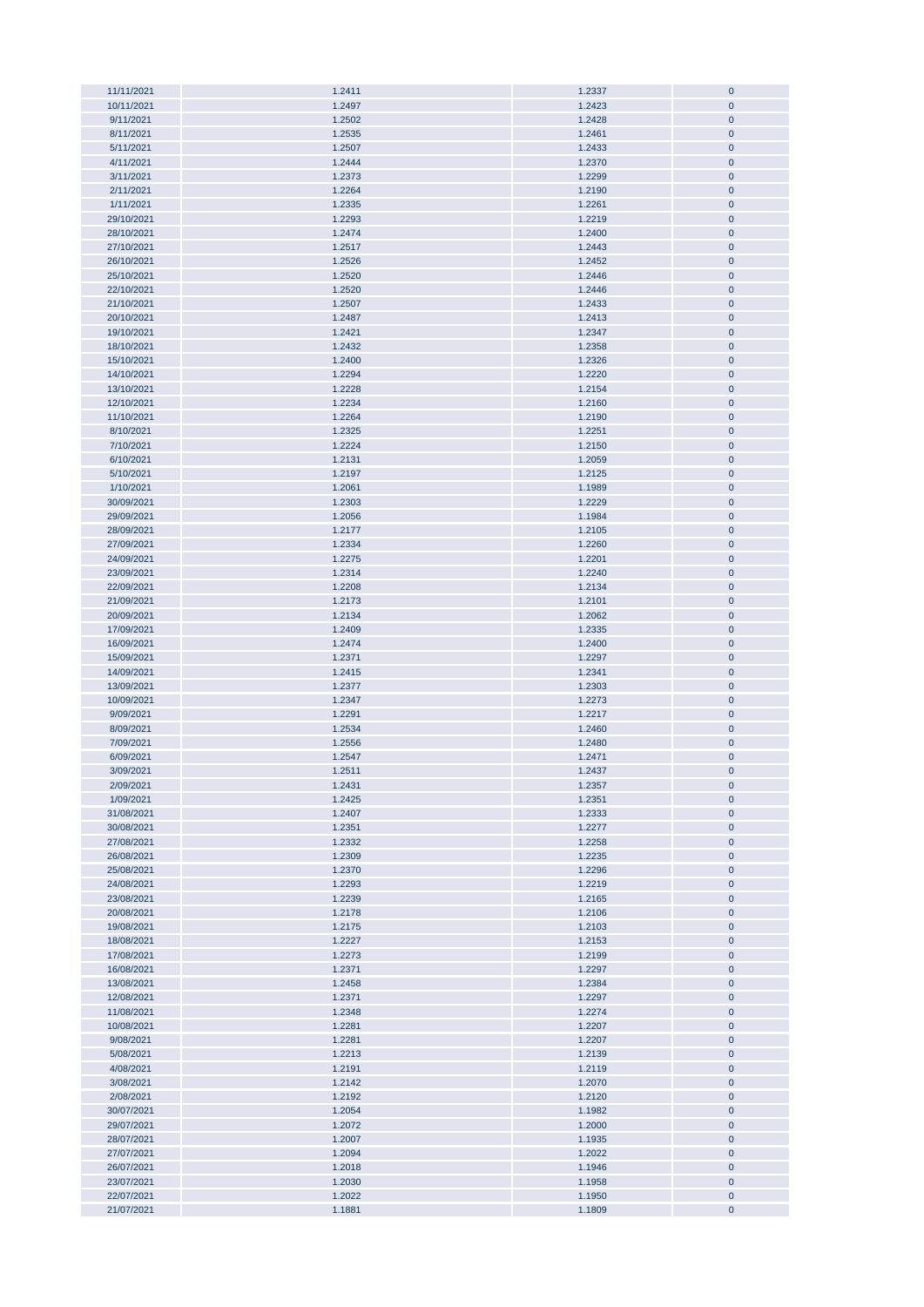| 11/11/2021               | 1.2411           | 1.2337           | $\pmb{0}$              |
|--------------------------|------------------|------------------|------------------------|
| 10/11/2021               | 1.2497           | 1.2423           | $\pmb{0}$              |
|                          |                  |                  | $\mathbf{0}$           |
| 9/11/2021                | 1.2502           | 1.2428           |                        |
| 8/11/2021                | 1.2535           | 1.2461           | $\pmb{0}$              |
| 5/11/2021                | 1.2507           | 1.2433           | $\pmb{0}$              |
|                          |                  |                  |                        |
| 4/11/2021                | 1.2444           | 1.2370           | $\pmb{0}$              |
| 3/11/2021                | 1.2373           | 1.2299           | $\pmb{0}$              |
| 2/11/2021                | 1.2264           | 1.2190           | $\pmb{0}$              |
|                          |                  |                  |                        |
| 1/11/2021                | 1.2335           | 1.2261           | $\pmb{0}$              |
| 29/10/2021               | 1.2293           | 1.2219           | $\pmb{0}$              |
| 28/10/2021               | 1.2474           | 1.2400           | $\pmb{0}$              |
|                          |                  | 1.2443           |                        |
| 27/10/2021               | 1.2517           |                  | $\pmb{0}$              |
| 26/10/2021               | 1.2526           | 1.2452           | $\pmb{0}$              |
| 25/10/2021               | 1.2520           | 1.2446           | $\pmb{0}$              |
|                          |                  |                  |                        |
| 22/10/2021               | 1.2520           | 1.2446           | $\pmb{0}$              |
| 21/10/2021               | 1.2507           | 1.2433           | $\pmb{0}$              |
| 20/10/2021               | 1.2487           | 1.2413           | $\pmb{0}$              |
|                          | 1.2421           | 1.2347           |                        |
| 19/10/2021               |                  |                  | $\bf{0}$               |
| 18/10/2021               | 1.2432           | 1.2358           | $\bf{0}$               |
| 15/10/2021               | 1.2400           | 1.2326           | $\pmb{0}$              |
| 14/10/2021               | 1.2294           |                  | $\pmb{0}$              |
|                          |                  | 1.2220           |                        |
| 13/10/2021               | 1.2228           | 1.2154           | $\pmb{0}$              |
| 12/10/2021               | 1.2234           | 1.2160           | $\bf{0}$               |
| 11/10/2021               | 1.2264           | 1.2190           | $\pmb{0}$              |
|                          |                  |                  |                        |
| 8/10/2021                | 1.2325           | 1.2251           | $\pmb{0}$              |
| 7/10/2021                | 1.2224           | 1.2150           | $\pmb{0}$              |
| 6/10/2021                | 1.2131           | 1.2059           | $\pmb{0}$              |
|                          |                  |                  |                        |
| 5/10/2021                | 1.2197           | 1.2125           | $\pmb{0}$              |
| 1/10/2021                | 1.2061           | 1.1989           | $\pmb{0}$              |
| 30/09/2021               | 1.2303           | 1.2229           | $\pmb{0}$              |
|                          |                  |                  |                        |
| 29/09/2021               | 1.2056           | 1.1984           | $\pmb{0}$              |
| 28/09/2021               | 1.2177           | 1.2105           | $\pmb{0}$              |
| 27/09/2021               | 1.2334           | 1.2260           | $\pmb{0}$              |
|                          |                  |                  |                        |
| 24/09/2021               | 1.2275           | 1.2201           | $\pmb{0}$              |
| 23/09/2021               | 1.2314           | 1.2240           | $\pmb{0}$              |
| 22/09/2021               | 1.2208           | 1.2134           | $\pmb{0}$              |
|                          |                  |                  |                        |
| 21/09/2021               | 1.2173           | 1.2101           | $\pmb{0}$              |
| 20/09/2021               | 1.2134           | 1.2062           | $\pmb{0}$              |
| 17/09/2021               | 1.2409           | 1.2335           | $\pmb{0}$              |
|                          |                  |                  |                        |
| 16/09/2021               | 1.2474           | 1.2400           | $\pmb{0}$              |
| 15/09/2021               | 1.2371           | 1.2297           | $\pmb{0}$              |
| 14/09/2021               | 1.2415           | 1.2341           | $\bf{0}$               |
|                          |                  |                  |                        |
| 13/09/2021               | 1.2377           | 1.2303           | $\bf{0}$               |
| 10/09/2021               | 1.2347           | 1.2273           | $\bf{0}$               |
| 9/09/2021                | 1.2291           | 1.2217           | $\pmb{0}$              |
|                          |                  |                  |                        |
| 8/09/2021                | 1.2534           | 1.2460           | $\bf{0}$               |
| 7/09/2021                | 1.2556           | 1.2480           | $\pmb{0}$              |
| 6/09/2021                | 1.2547           | 1.2471           | $\pmb{0}$              |
| 3/09/2021                | 1.2511           | 1.2437           | $\mathbf 0$            |
|                          |                  |                  |                        |
| 2/09/2021                | 1.2431           | 1.2357           |                        |
| 1/09/2021                | 1.2425           |                  | $\bf{0}$               |
| 31/08/2021               | 1.2407           |                  |                        |
|                          |                  | 1.2351           | $\bf 0$                |
| 30/08/2021               |                  | 1.2333           | $\pmb{0}$              |
|                          | 1.2351           | 1.2277           | $\pmb{0}$              |
| 27/08/2021               | 1.2332           | 1.2258           | $\pmb{0}$              |
|                          |                  |                  |                        |
| 26/08/2021               | 1.2309           | 1.2235           | $\pmb{0}$              |
| 25/08/2021               | 1.2370           | 1.2296           | $\pmb{0}$              |
| 24/08/2021               | 1.2293           | 1.2219           | $\pmb{0}$              |
| 23/08/2021               | 1.2239           | 1.2165           | $\pmb{0}$              |
|                          |                  |                  |                        |
| 20/08/2021               | 1.2178           | 1.2106           | $\pmb{0}$              |
| 19/08/2021               | 1.2175           | 1.2103           | $\pmb{0}$              |
| 18/08/2021               | 1.2227           | 1.2153           | $\pmb{0}$              |
|                          |                  |                  |                        |
| 17/08/2021               | 1.2273           | 1.2199           | $\pmb{0}$              |
| 16/08/2021               | 1.2371           | 1.2297           | $\pmb{0}$              |
| 13/08/2021               | 1.2458           | 1.2384           | $\pmb{0}$              |
| 12/08/2021               | 1.2371           | 1.2297           | $\pmb{0}$              |
|                          |                  |                  |                        |
| 11/08/2021               | 1.2348           | 1.2274           | $\bf{0}$               |
| 10/08/2021               | 1.2281           | 1.2207           | $\bf{0}$               |
| 9/08/2021                | 1.2281           | 1.2207           | $\pmb{0}$              |
|                          |                  |                  |                        |
| 5/08/2021                | 1.2213           | 1.2139           | $\pmb{0}$              |
| 4/08/2021                | 1.2191           | 1.2119           | $\pmb{0}$              |
| 3/08/2021                | 1.2142           | 1.2070           | $\bf{0}$               |
|                          |                  |                  |                        |
| 2/08/2021                | 1.2192           | 1.2120           | $\pmb{0}$              |
| 30/07/2021               | 1.2054           | 1.1982           | $\pmb{0}$              |
| 29/07/2021               | 1.2072           | 1.2000           | $\pmb{0}$              |
|                          |                  |                  |                        |
| 28/07/2021               | 1.2007           | 1.1935           | $\pmb{0}$              |
| 27/07/2021               | 1.2094           | 1.2022           | $\pmb{0}$              |
| 26/07/2021               | 1.2018           | 1.1946           | $\pmb{0}$              |
|                          |                  |                  |                        |
| 23/07/2021               | 1.2030           | 1.1958           | $\pmb{0}$              |
| 22/07/2021<br>21/07/2021 | 1.2022<br>1.1881 | 1.1950<br>1.1809 | $\pmb{0}$<br>$\pmb{0}$ |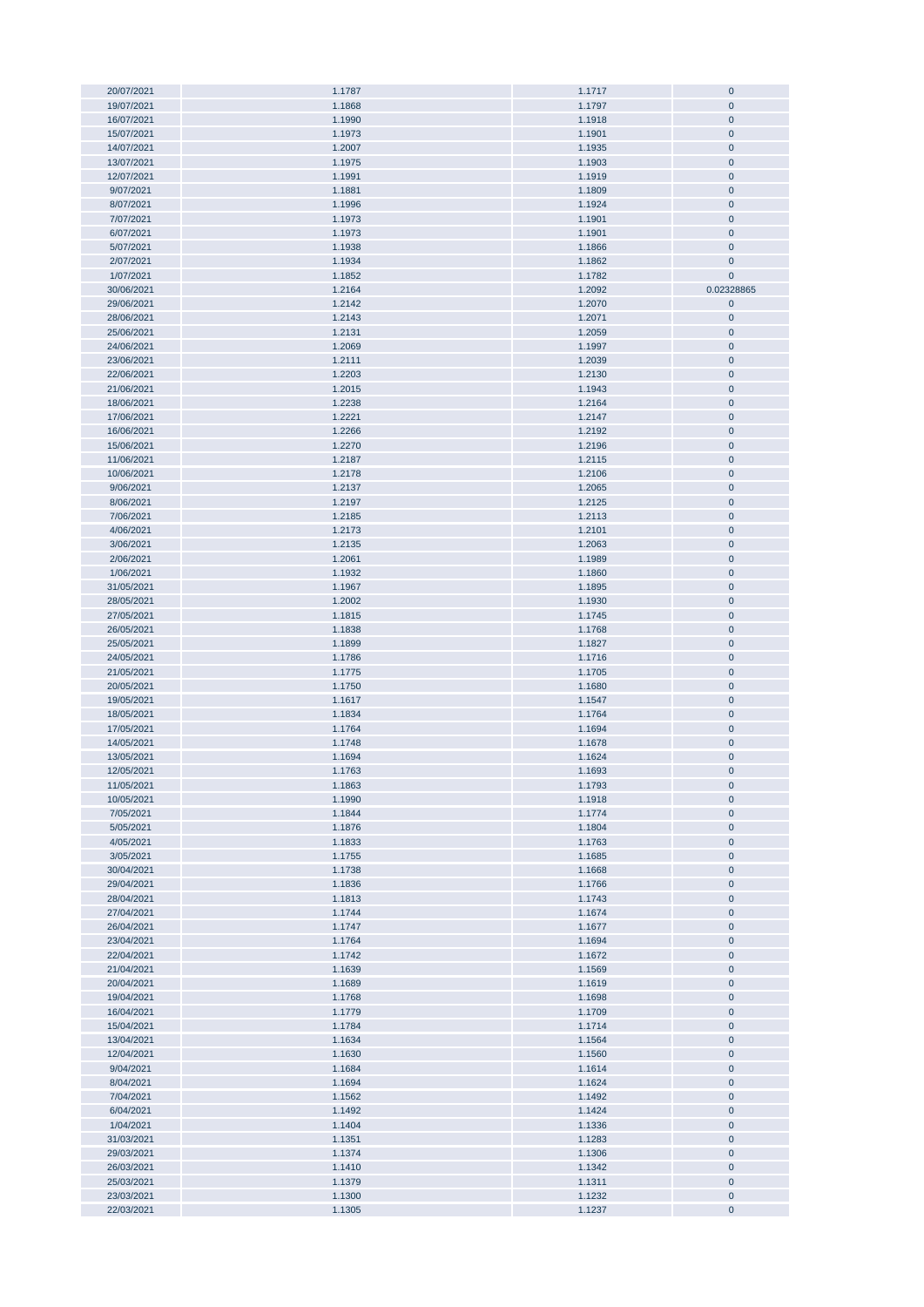| 20/07/2021 | 1.1787 | 1.1717 | $\mathbf 0$ |
|------------|--------|--------|-------------|
|            |        | 1.1797 | $\pmb{0}$   |
| 19/07/2021 | 1.1868 |        |             |
| 16/07/2021 | 1.1990 | 1.1918 | $\pmb{0}$   |
| 15/07/2021 | 1.1973 | 1.1901 | $\pmb{0}$   |
| 14/07/2021 | 1.2007 | 1.1935 | $\pmb{0}$   |
|            |        |        |             |
| 13/07/2021 | 1.1975 | 1.1903 | $\pmb{0}$   |
| 12/07/2021 | 1.1991 | 1.1919 | $\pmb{0}$   |
| 9/07/2021  | 1.1881 | 1.1809 | $\pmb{0}$   |
| 8/07/2021  | 1.1996 | 1.1924 | $\pmb{0}$   |
|            |        |        |             |
| 7/07/2021  | 1.1973 | 1.1901 | $\pmb{0}$   |
| 6/07/2021  | 1.1973 | 1.1901 | $\pmb{0}$   |
| 5/07/2021  | 1.1938 | 1.1866 | $\pmb{0}$   |
| 2/07/2021  | 1.1934 | 1.1862 | $\pmb{0}$   |
|            |        |        |             |
| 1/07/2021  | 1.1852 | 1.1782 | $\pmb{0}$   |
| 30/06/2021 | 1.2164 | 1.2092 | 0.02328865  |
| 29/06/2021 | 1.2142 | 1.2070 | $\pmb{0}$   |
| 28/06/2021 | 1.2143 | 1.2071 | $\pmb{0}$   |
|            |        |        |             |
| 25/06/2021 | 1.2131 | 1.2059 | $\pmb{0}$   |
| 24/06/2021 | 1.2069 | 1.1997 | $\pmb{0}$   |
| 23/06/2021 | 1.2111 | 1.2039 | $\pmb{0}$   |
|            |        |        |             |
| 22/06/2021 | 1.2203 | 1.2130 | $\pmb{0}$   |
| 21/06/2021 | 1.2015 | 1.1943 | $\pmb{0}$   |
| 18/06/2021 | 1.2238 | 1.2164 | $\pmb{0}$   |
| 17/06/2021 | 1.2221 | 1.2147 | $\mathbf 0$ |
|            |        |        |             |
| 16/06/2021 | 1.2266 | 1.2192 | $\pmb{0}$   |
| 15/06/2021 | 1.2270 | 1.2196 | $\pmb{0}$   |
| 11/06/2021 | 1.2187 | 1.2115 | $\pmb{0}$   |
| 10/06/2021 | 1.2178 | 1.2106 | $\pmb{0}$   |
|            |        |        |             |
| 9/06/2021  | 1.2137 | 1.2065 | $\pmb{0}$   |
| 8/06/2021  | 1.2197 | 1.2125 | $\pmb{0}$   |
| 7/06/2021  | 1.2185 | 1.2113 | $\pmb{0}$   |
| 4/06/2021  | 1.2173 | 1.2101 | $\pmb{0}$   |
|            |        |        |             |
| 3/06/2021  | 1.2135 | 1.2063 | $\pmb{0}$   |
| 2/06/2021  | 1.2061 | 1.1989 | $\pmb{0}$   |
| 1/06/2021  | 1.1932 | 1.1860 | $\pmb{0}$   |
|            |        |        |             |
| 31/05/2021 | 1.1967 | 1.1895 | $\mathbf 0$ |
| 28/05/2021 | 1.2002 | 1.1930 | $\pmb{0}$   |
| 27/05/2021 | 1.1815 | 1.1745 | $\pmb{0}$   |
| 26/05/2021 | 1.1838 | 1.1768 | $\pmb{0}$   |
|            |        |        |             |
| 25/05/2021 | 1.1899 | 1.1827 | $\pmb{0}$   |
| 24/05/2021 | 1.1786 | 1.1716 | $\pmb{0}$   |
| 21/05/2021 | 1.1775 | 1.1705 | $\pmb{0}$   |
| 20/05/2021 | 1.1750 | 1.1680 | $\pmb{0}$   |
|            |        |        |             |
| 19/05/2021 | 1.1617 | 1.1547 | $\pmb{0}$   |
| 18/05/2021 | 1.1834 | 1.1764 | $\pmb{0}$   |
| 17/05/2021 | 1.1764 | 1.1694 | $\pmb{0}$   |
|            |        |        |             |
| 14/05/2021 | 1.1748 | 1.1678 | $\pmb{0}$   |
| 13/05/2021 | 1.1694 | 1.1624 | $\mathbf 0$ |
| 12/05/2021 | 1.1763 | 1.1693 | $\pmb{0}$   |
| 11/05/2021 | 1.1863 | 1.1793 | 0           |
|            |        |        |             |
| 10/05/2021 | 1.1990 | 1.1918 | $\pmb{0}$   |
| 7/05/2021  | 1.1844 | 1.1774 | $\pmb{0}$   |
| 5/05/2021  | 1.1876 | 1.1804 | $\pmb{0}$   |
|            |        |        |             |
| 4/05/2021  | 1.1833 | 1.1763 | $\pmb{0}$   |
| 3/05/2021  | 1.1755 | 1.1685 | $\pmb{0}$   |
| 30/04/2021 | 1.1738 | 1.1668 | $\pmb{0}$   |
| 29/04/2021 | 1.1836 | 1.1766 | $\pmb{0}$   |
|            |        |        |             |
| 28/04/2021 | 1.1813 | 1.1743 | $\pmb{0}$   |
| 27/04/2021 | 1.1744 | 1.1674 | $\pmb{0}$   |
| 26/04/2021 | 1.1747 | 1.1677 | $\pmb{0}$   |
| 23/04/2021 | 1.1764 | 1.1694 | $\pmb{0}$   |
| 22/04/2021 |        |        |             |
|            | 1.1742 | 1.1672 | $\pmb{0}$   |
| 21/04/2021 | 1.1639 | 1.1569 | $\pmb{0}$   |
| 20/04/2021 | 1.1689 | 1.1619 | $\pmb{0}$   |
| 19/04/2021 | 1.1768 | 1.1698 | $\pmb{0}$   |
|            |        |        |             |
| 16/04/2021 | 1.1779 | 1.1709 | $\pmb{0}$   |
| 15/04/2021 | 1.1784 | 1.1714 | $\pmb{0}$   |
| 13/04/2021 | 1.1634 | 1.1564 | $\pmb{0}$   |
| 12/04/2021 | 1.1630 | 1.1560 | $\pmb{0}$   |
|            |        |        |             |
| 9/04/2021  | 1.1684 | 1.1614 | $\pmb{0}$   |
| 8/04/2021  | 1.1694 | 1.1624 | $\pmb{0}$   |
| 7/04/2021  | 1.1562 | 1.1492 | 0           |
| 6/04/2021  | 1.1492 | 1.1424 | $\pmb{0}$   |
|            |        |        |             |
| 1/04/2021  | 1.1404 | 1.1336 | $\pmb{0}$   |
| 31/03/2021 | 1.1351 | 1.1283 | $\pmb{0}$   |
| 29/03/2021 | 1.1374 | 1.1306 | $\pmb{0}$   |
| 26/03/2021 | 1.1410 |        | $\pmb{0}$   |
|            |        | 1.1342 |             |
| 25/03/2021 | 1.1379 | 1.1311 | $\pmb{0}$   |
| 23/03/2021 | 1.1300 | 1.1232 | $\pmb{0}$   |
| 22/03/2021 | 1.1305 | 1.1237 | $\pmb{0}$   |
|            |        |        |             |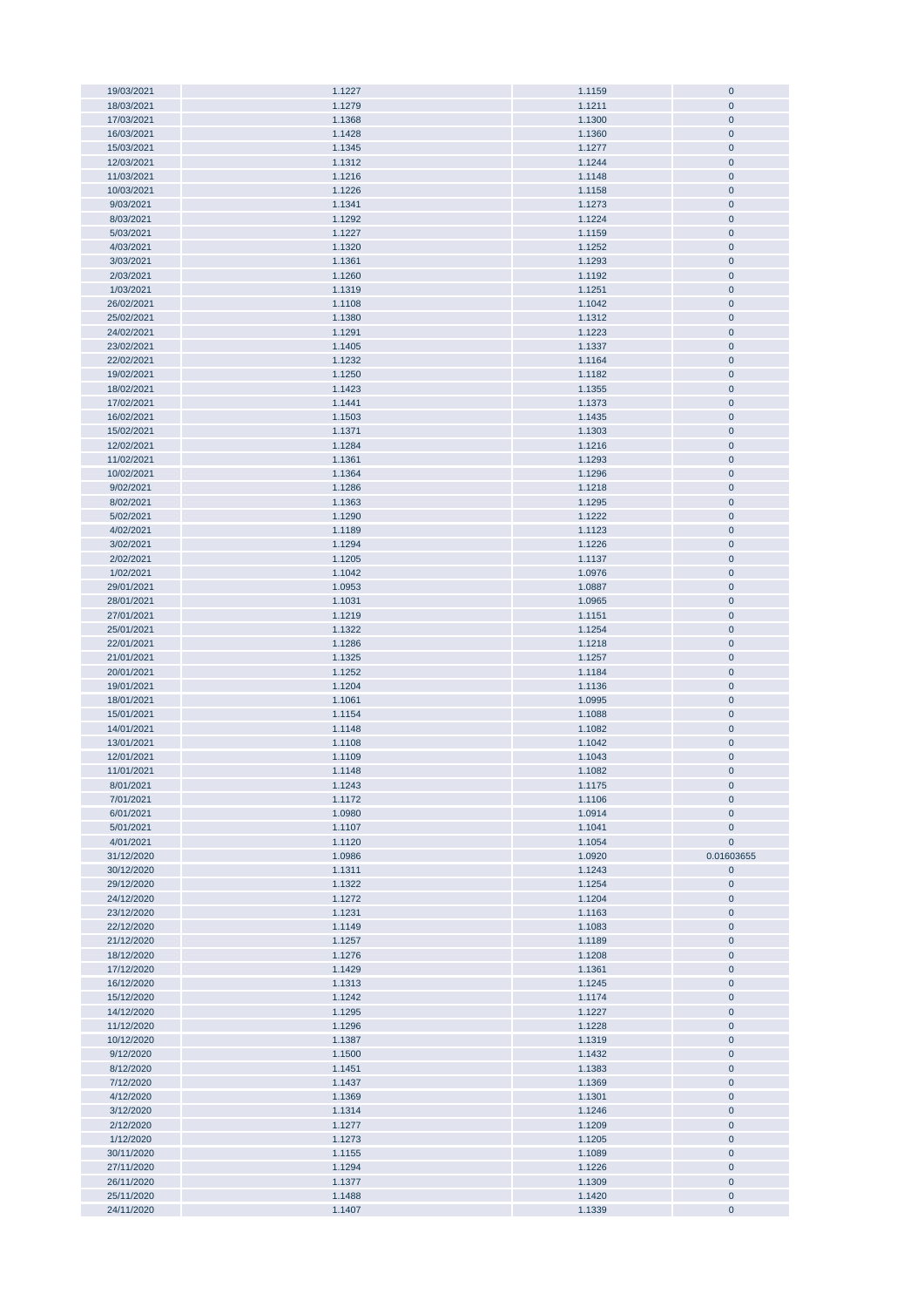| 19/03/2021 | 1.1227 | 1.1159 | $\pmb{0}$      |
|------------|--------|--------|----------------|
| 18/03/2021 | 1.1279 | 1.1211 | $\pmb{0}$      |
|            |        |        | $\mathbf{0}$   |
| 17/03/2021 | 1.1368 | 1.1300 |                |
| 16/03/2021 | 1.1428 | 1.1360 | $\pmb{0}$      |
| 15/03/2021 | 1.1345 | 1.1277 | $\pmb{0}$      |
|            |        |        |                |
| 12/03/2021 | 1.1312 | 1.1244 | $\pmb{0}$      |
| 11/03/2021 | 1.1216 | 1.1148 | $\pmb{0}$      |
| 10/03/2021 | 1.1226 | 1.1158 | $\pmb{0}$      |
|            |        |        |                |
| 9/03/2021  | 1.1341 | 1.1273 | $\pmb{0}$      |
| 8/03/2021  | 1.1292 | 1.1224 | $\pmb{0}$      |
| 5/03/2021  | 1.1227 | 1.1159 | $\pmb{0}$      |
|            |        |        |                |
| 4/03/2021  | 1.1320 | 1.1252 | $\pmb{0}$      |
| 3/03/2021  | 1.1361 | 1.1293 | $\pmb{0}$      |
| 2/03/2021  | 1.1260 | 1.1192 | $\pmb{0}$      |
|            |        |        |                |
| 1/03/2021  | 1.1319 | 1.1251 | $\pmb{0}$      |
| 26/02/2021 | 1.1108 | 1.1042 | $\pmb{0}$      |
| 25/02/2021 | 1.1380 | 1.1312 | $\pmb{0}$      |
|            |        |        |                |
| 24/02/2021 | 1.1291 | 1.1223 | $\bf{0}$       |
| 23/02/2021 | 1.1405 | 1.1337 | $\pmb{0}$      |
| 22/02/2021 | 1.1232 | 1.1164 | $\pmb{0}$      |
|            |        |        |                |
| 19/02/2021 | 1.1250 | 1.1182 | $\pmb{0}$      |
| 18/02/2021 | 1.1423 | 1.1355 | $\pmb{0}$      |
| 17/02/2021 | 1.1441 | 1.1373 | $\overline{0}$ |
|            |        |        |                |
| 16/02/2021 | 1.1503 | 1.1435 | $\pmb{0}$      |
| 15/02/2021 | 1.1371 | 1.1303 | $\pmb{0}$      |
| 12/02/2021 | 1.1284 | 1.1216 | $\pmb{0}$      |
|            |        |        |                |
| 11/02/2021 | 1.1361 | 1.1293 | $\pmb{0}$      |
| 10/02/2021 | 1.1364 | 1.1296 | $\pmb{0}$      |
| 9/02/2021  | 1.1286 | 1.1218 | $\pmb{0}$      |
|            |        |        |                |
| 8/02/2021  | 1.1363 | 1.1295 | $\pmb{0}$      |
| 5/02/2021  | 1.1290 | 1.1222 | $\pmb{0}$      |
| 4/02/2021  | 1.1189 | 1.1123 | $\pmb{0}$      |
|            |        |        |                |
| 3/02/2021  | 1.1294 | 1.1226 | $\pmb{0}$      |
| 2/02/2021  | 1.1205 | 1.1137 | $\pmb{0}$      |
| 1/02/2021  | 1.1042 | 1.0976 | $\pmb{0}$      |
|            |        |        |                |
| 29/01/2021 | 1.0953 | 1.0887 | $\pmb{0}$      |
| 28/01/2021 | 1.1031 | 1.0965 | $\pmb{0}$      |
| 27/01/2021 | 1.1219 | 1.1151 | $\pmb{0}$      |
|            |        |        |                |
| 25/01/2021 | 1.1322 | 1.1254 | $\pmb{0}$      |
| 22/01/2021 | 1.1286 | 1.1218 | $\pmb{0}$      |
| 21/01/2021 | 1.1325 | 1.1257 | $\bf{0}$       |
|            |        |        |                |
| 20/01/2021 | 1.1252 | 1.1184 | $\bf{0}$       |
| 19/01/2021 | 1.1204 | 1.1136 | $\bf{0}$       |
| 18/01/2021 |        |        |                |
|            | 1.1061 | 1.0995 | $\overline{0}$ |
| 15/01/2021 | 1.1154 | 1.1088 | $\pmb{0}$      |
| 14/01/2021 | 1.1148 | 1.1082 | $\pmb{0}$      |
|            |        |        |                |
| 13/01/2021 | 1.1108 | 1.1042 | $\pmb{0}$      |
| 12/01/2021 | 1.1109 | 1.1043 | $\pmb{0}$      |
| 11/01/2021 | 1.1148 | 1.1082 | $\mathbf 0$    |
|            |        |        |                |
| 8/01/2021  | 1.1243 | 1.1175 | $\bf{0}$       |
| 7/01/2021  | 1.1172 | 1.1106 | $\pmb{0}$      |
| 6/01/2021  | 1.0980 | 1.0914 | $\pmb{0}$      |
|            |        |        |                |
| 5/01/2021  | 1.1107 | 1.1041 | $\pmb{0}$      |
| 4/01/2021  | 1.1120 | 1.1054 | $\pmb{0}$      |
| 31/12/2020 | 1.0986 | 1.0920 | 0.01603655     |
| 30/12/2020 | 1.1311 | 1.1243 | $\pmb{0}$      |
|            |        |        |                |
| 29/12/2020 | 1.1322 | 1.1254 | $\pmb{0}$      |
| 24/12/2020 | 1.1272 | 1.1204 | $\bf{0}$       |
| 23/12/2020 | 1.1231 | 1.1163 | $\pmb{0}$      |
|            |        |        |                |
| 22/12/2020 | 1.1149 | 1.1083 | $\bf{0}$       |
| 21/12/2020 | 1.1257 | 1.1189 | $\pmb{0}$      |
| 18/12/2020 | 1.1276 | 1.1208 | $\bf{0}$       |
|            |        |        |                |
| 17/12/2020 | 1.1429 | 1.1361 | $\pmb{0}$      |
| 16/12/2020 | 1.1313 | 1.1245 | $\bf{0}$       |
| 15/12/2020 | 1.1242 | 1.1174 | $\bf{0}$       |
|            |        |        |                |
| 14/12/2020 | 1.1295 | 1.1227 | $\bf{0}$       |
| 11/12/2020 | 1.1296 | 1.1228 | $\bf{0}$       |
| 10/12/2020 | 1.1387 | 1.1319 | $\bf{0}$       |
|            |        |        |                |
| 9/12/2020  | 1.1500 | 1.1432 | $\bf{0}$       |
| 8/12/2020  | 1.1451 | 1.1383 | $\pmb{0}$      |
| 7/12/2020  | 1.1437 | 1.1369 | $\bf{0}$       |
|            |        |        |                |
| 4/12/2020  | 1.1369 | 1.1301 | $\pmb{0}$      |
| 3/12/2020  | 1.1314 | 1.1246 | $\pmb{0}$      |
| 2/12/2020  | 1.1277 | 1.1209 | $\pmb{0}$      |
|            |        |        |                |
| 1/12/2020  | 1.1273 | 1.1205 | $\pmb{0}$      |
| 30/11/2020 | 1.1155 | 1.1089 | $\pmb{0}$      |
| 27/11/2020 | 1.1294 | 1.1226 | $\pmb{0}$      |
|            |        |        |                |
| 26/11/2020 | 1.1377 | 1.1309 | $\pmb{0}$      |
| 25/11/2020 | 1.1488 | 1.1420 | $\pmb{0}$      |
| 24/11/2020 | 1.1407 | 1.1339 | $\pmb{0}$      |
|            |        |        |                |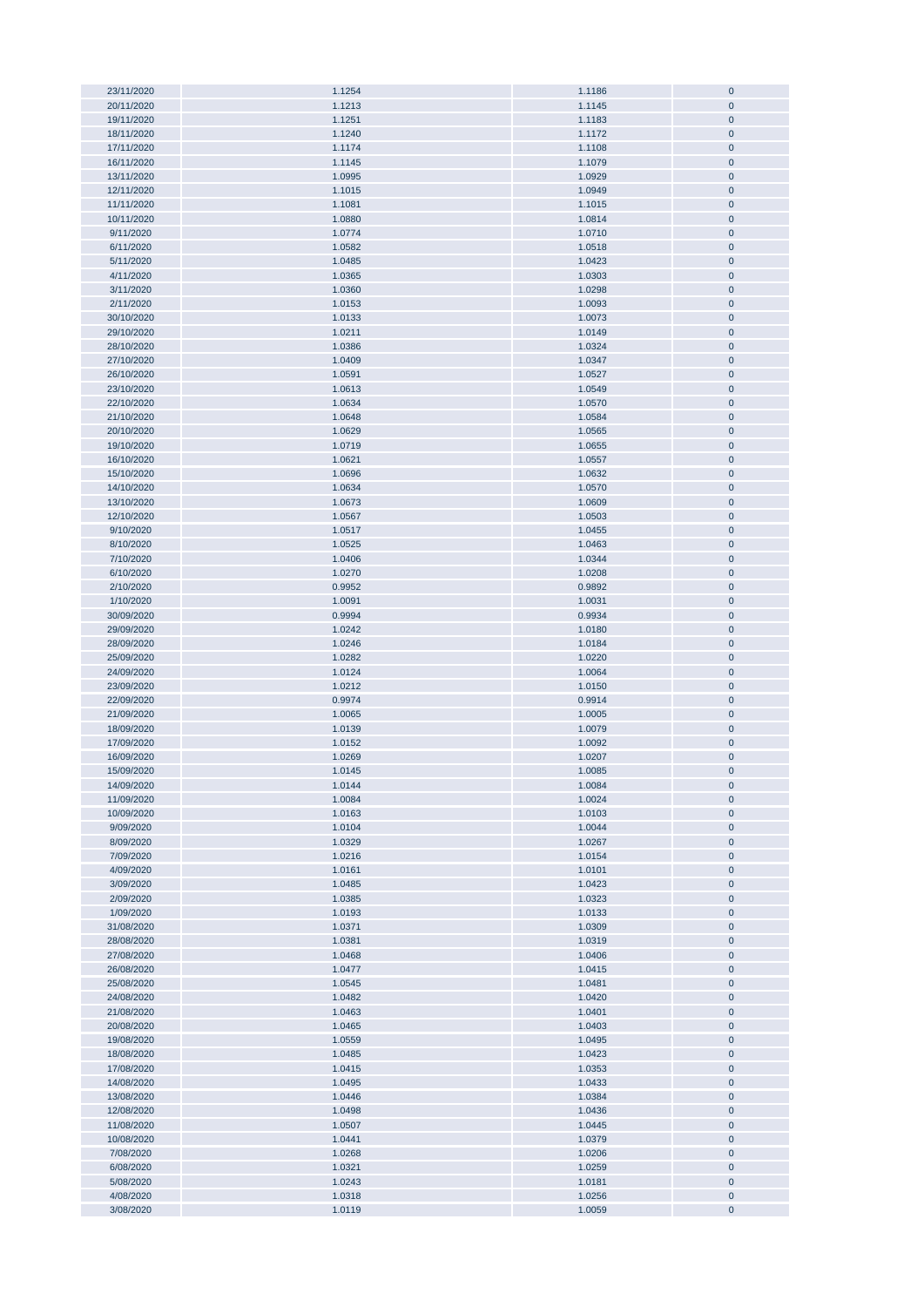| 23/11/2020             | 1.1254           | 1.1186           | $\bf{0}$               |
|------------------------|------------------|------------------|------------------------|
|                        |                  |                  |                        |
| 20/11/2020             | 1.1213           | 1.1145           | $\pmb{0}$              |
| 19/11/2020             | 1.1251           | 1.1183           | $\pmb{0}$              |
| 18/11/2020             | 1.1240           |                  | $\pmb{0}$              |
|                        |                  | 1.1172           |                        |
| 17/11/2020             | 1.1174           | 1.1108           | $\pmb{0}$              |
| 16/11/2020             | 1.1145           | 1.1079           | $\pmb{0}$              |
| 13/11/2020             | 1.0995           | 1.0929           | $\pmb{0}$              |
|                        |                  |                  |                        |
| 12/11/2020             | 1.1015           | 1.0949           | $\pmb{0}$              |
| 11/11/2020             | 1.1081           | 1.1015           | $\pmb{0}$              |
| 10/11/2020             | 1.0880           | 1.0814           | $\pmb{0}$              |
|                        |                  |                  |                        |
| 9/11/2020              | 1.0774           | 1.0710           | $\pmb{0}$              |
| 6/11/2020              | 1.0582           | 1.0518           | $\pmb{0}$              |
| 5/11/2020              | 1.0485           | 1.0423           | $\pmb{0}$              |
|                        |                  |                  |                        |
| 4/11/2020              | 1.0365           | 1.0303           | $\pmb{0}$              |
| 3/11/2020              | 1.0360           | 1.0298           | $\pmb{0}$              |
| 2/11/2020              | 1.0153           | 1.0093           | $\pmb{0}$              |
|                        |                  |                  |                        |
| 30/10/2020             | 1.0133           | 1.0073           | $\pmb{0}$              |
| 29/10/2020             | 1.0211           | 1.0149           | $\pmb{0}$              |
| 28/10/2020             | 1.0386           | 1.0324           | $\pmb{0}$              |
|                        |                  |                  |                        |
| 27/10/2020             | 1.0409           | 1.0347           | $\pmb{0}$              |
| 26/10/2020             | 1.0591           | 1.0527           | $\bf{0}$               |
| 23/10/2020             | 1.0613           | 1.0549           | $\pmb{0}$              |
|                        |                  |                  |                        |
| 22/10/2020             | 1.0634           | 1.0570           | $\pmb{0}$              |
| 21/10/2020             | 1.0648           | 1.0584           | $\pmb{0}$              |
| 20/10/2020             | 1.0629           | 1.0565           | $\pmb{0}$              |
| 19/10/2020             | 1.0719           | 1.0655           | $\pmb{0}$              |
|                        |                  |                  |                        |
| 16/10/2020             | 1.0621           | 1.0557           | $\pmb{0}$              |
| 15/10/2020             | 1.0696           | 1.0632           | $\pmb{0}$              |
| 14/10/2020             | 1.0634           | 1.0570           | $\pmb{0}$              |
|                        |                  |                  |                        |
| 13/10/2020             | 1.0673           | 1.0609           | $\pmb{0}$              |
| 12/10/2020             | 1.0567           | 1.0503           | $\pmb{0}$              |
| 9/10/2020              | 1.0517           | 1.0455           | $\pmb{0}$              |
|                        |                  |                  |                        |
| 8/10/2020              | 1.0525           | 1.0463           | $\pmb{0}$              |
| 7/10/2020              | 1.0406           | 1.0344           | $\pmb{0}$              |
| 6/10/2020              | 1.0270           | 1.0208           | $\pmb{0}$              |
|                        |                  |                  |                        |
| 2/10/2020              | 0.9952           | 0.9892           | $\pmb{0}$              |
| 1/10/2020              | 1.0091           | 1.0031           | $\pmb{0}$              |
| 30/09/2020             | 0.9994           | 0.9934           | $\pmb{0}$              |
|                        |                  |                  |                        |
| 29/09/2020             | 1.0242           | 1.0180           | $\pmb{0}$              |
| 28/09/2020             | 1.0246           | 1.0184           | $\pmb{0}$              |
| 25/09/2020             | 1.0282           | 1.0220           | $\pmb{0}$              |
| 24/09/2020             | 1.0124           | 1.0064           | $\pmb{0}$              |
|                        |                  |                  |                        |
| 23/09/2020             | 1.0212           | 1.0150           | $\pmb{0}$              |
| 22/09/2020             | 0.9974           | 0.9914           | $\pmb{0}$              |
| 21/09/2020             | 1.0065           | 1.0005           | $\bf{0}$               |
|                        |                  |                  |                        |
| 18/09/2020             | 1.0139           | 1.0079           | $\pmb{0}$              |
| 17/09/2020             | 1.0152           | 1.0092           | $\pmb{0}$              |
| 16/09/2020             | 1.0269           | 1.0207           | $\pmb{0}$              |
| 15/09/2020             | 1.0145           |                  | $\mathbf{0}$           |
|                        |                  | 1.0085           |                        |
| 14/09/2020             | 1.0144           | 1.0084           | $\mathbf 0$            |
| 11/09/2020             | 1.0084           | 1.0024           | $\pmb{0}$              |
| 10/09/2020             | 1.0163           | 1.0103           | $\pmb{0}$              |
|                        |                  |                  |                        |
| 9/09/2020              | 1.0104           | 1.0044           | $\pmb{0}$              |
| 8/09/2020              | 1.0329           | 1.0267           | $\pmb{0}$              |
| 7/09/2020              | 1.0216           | 1.0154           | $\pmb{0}$              |
|                        |                  |                  |                        |
| 4/09/2020              | 1.0161           | 1.0101           | $\pmb{0}$              |
| 3/09/2020              | 1.0485           | 1.0423           | $\pmb{0}$              |
| 2/09/2020              | 1.0385           | 1.0323           | $\pmb{0}$              |
| 1/09/2020              | 1.0193           | 1.0133           | $\pmb{0}$              |
|                        |                  |                  |                        |
| 31/08/2020             | 1.0371           | 1.0309           | $\pmb{0}$              |
| 28/08/2020             | 1.0381           | 1.0319           | $\pmb{0}$              |
| 27/08/2020             | 1.0468           | 1.0406           | $\pmb{0}$              |
|                        |                  |                  |                        |
| 26/08/2020             | 1.0477           | 1.0415           | $\pmb{0}$              |
| 25/08/2020             | 1.0545           | 1.0481           | $\pmb{0}$              |
| 24/08/2020             | 1.0482           | 1.0420           | $\pmb{0}$              |
| 21/08/2020             | 1.0463           | 1.0401           | $\pmb{0}$              |
|                        |                  |                  |                        |
| 20/08/2020             | 1.0465           | 1.0403           | $\pmb{0}$              |
| 19/08/2020             | 1.0559           | 1.0495           | $\pmb{0}$              |
| 18/08/2020             | 1.0485           | 1.0423           | $\bf{0}$               |
| 17/08/2020             | 1.0415           | 1.0353           | $\pmb{0}$              |
|                        |                  |                  |                        |
| 14/08/2020             | 1.0495           | 1.0433           | $\bf{0}$               |
|                        |                  |                  |                        |
| 13/08/2020             | 1.0446           | 1.0384           | $\pmb{0}$              |
|                        |                  |                  |                        |
| 12/08/2020             | 1.0498           | 1.0436           | $\pmb{0}$              |
| 11/08/2020             | 1.0507           | 1.0445           | $\pmb{0}$              |
| 10/08/2020             | 1.0441           | 1.0379           | $\pmb{0}$              |
|                        |                  |                  |                        |
| 7/08/2020              | 1.0268           | 1.0206           | $\pmb{0}$              |
| 6/08/2020              | 1.0321           | 1.0259           | $\pmb{0}$              |
| 5/08/2020              | 1.0243           | 1.0181           | $\pmb{0}$              |
|                        |                  |                  |                        |
| 4/08/2020<br>3/08/2020 | 1.0318<br>1.0119 | 1.0256<br>1.0059 | $\pmb{0}$<br>$\pmb{0}$ |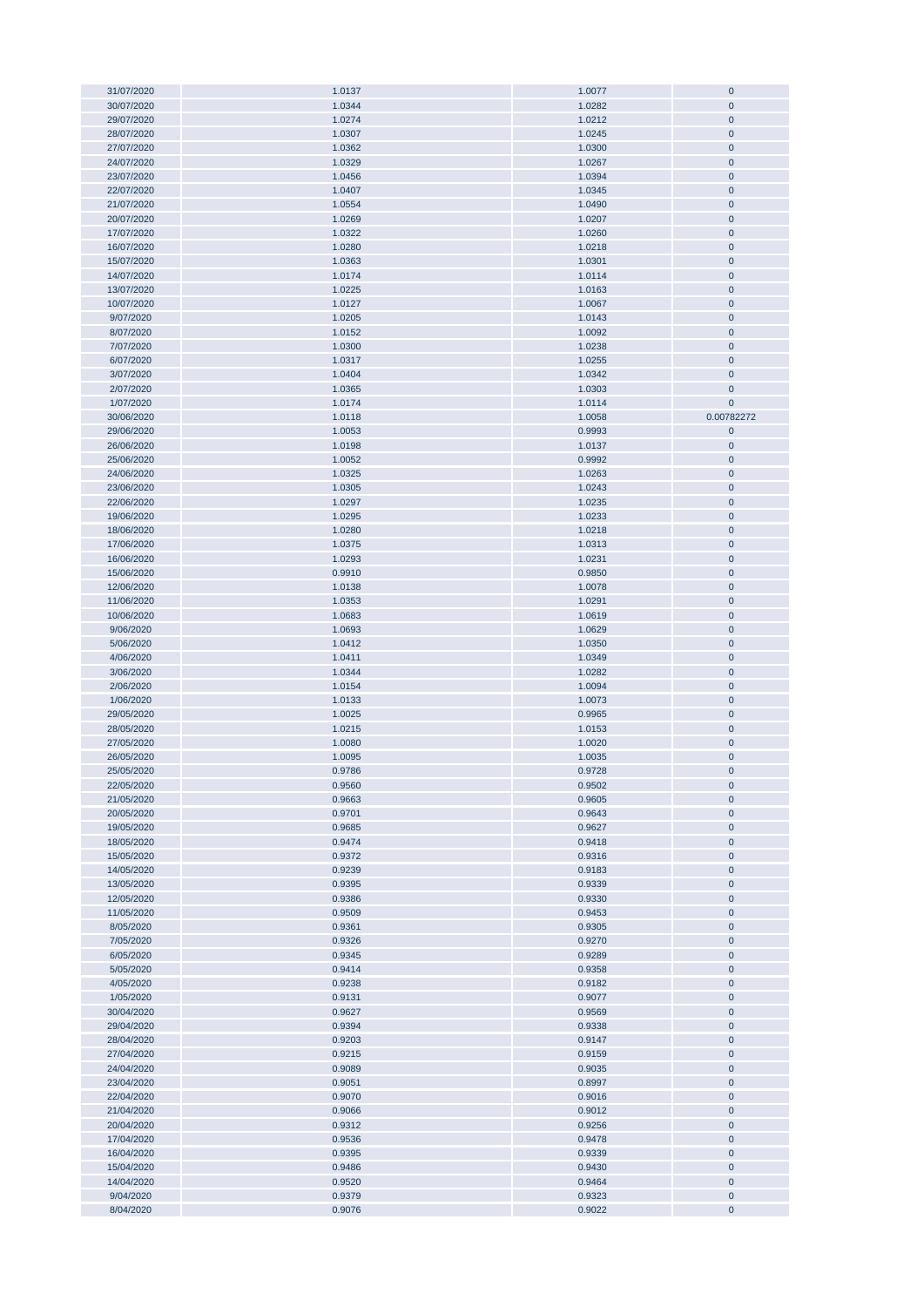| 31/07/2020             | 1.0137           | 1.0077           | $\mathbf 0$            |
|------------------------|------------------|------------------|------------------------|
|                        |                  |                  |                        |
| 30/07/2020             | 1.0344           | 1.0282           | $\pmb{0}$              |
| 29/07/2020             | 1.0274           | 1.0212           | $\pmb{0}$              |
|                        |                  |                  |                        |
| 28/07/2020             | 1.0307           | 1.0245           | $\pmb{0}$              |
| 27/07/2020             | 1.0362           | 1.0300           | $\pmb{0}$              |
| 24/07/2020             | 1.0329           | 1.0267           | $\pmb{0}$              |
| 23/07/2020             | 1.0456           | 1.0394           | $\pmb{0}$              |
|                        |                  |                  |                        |
| 22/07/2020             | 1.0407           | 1.0345           | $\pmb{0}$              |
| 21/07/2020             | 1.0554           | 1.0490           | $\mathbf 0$            |
|                        |                  |                  |                        |
| 20/07/2020             | 1.0269           | 1.0207           | $\pmb{0}$              |
| 17/07/2020             | 1.0322           | 1.0260           | $\pmb{0}$              |
| 16/07/2020             | 1.0280           | 1.0218           | $\pmb{0}$              |
|                        |                  |                  |                        |
| 15/07/2020             | 1.0363           | 1.0301           | $\pmb{0}$              |
| 14/07/2020             | 1.0174           | 1.0114           | $\pmb{0}$              |
| 13/07/2020             | 1.0225           | 1.0163           | $\pmb{0}$              |
|                        |                  |                  |                        |
| 10/07/2020             | 1.0127           | 1.0067           | $\pmb{0}$              |
| 9/07/2020              | 1.0205           | 1.0143           | $\pmb{0}$              |
| 8/07/2020              | 1.0152           | 1.0092           | $\pmb{0}$              |
|                        |                  |                  |                        |
| 7/07/2020              | 1.0300           | 1.0238           | $\pmb{0}$              |
| 6/07/2020              | 1.0317           | 1.0255           | 0                      |
| 3/07/2020              | 1.0404           | 1.0342           | $\mathbf 0$            |
|                        |                  |                  |                        |
| 2/07/2020              | 1.0365           | 1.0303           | $\mathbf 0$            |
| 1/07/2020              | 1.0174           | 1.0114           | $\mathbf 0$            |
| 30/06/2020             | 1.0118           |                  | 0.00782272             |
|                        |                  | 1.0058           |                        |
| 29/06/2020             | 1.0053           | 0.9993           | $\pmb{0}$              |
| 26/06/2020             | 1.0198           | 1.0137           | 0                      |
|                        |                  |                  |                        |
| 25/06/2020             | 1.0052           | 0.9992           | $\pmb{0}$              |
| 24/06/2020             | 1.0325           | 1.0263           | $\pmb{0}$              |
| 23/06/2020             | 1.0305           | 1.0243           | $\pmb{0}$              |
|                        |                  |                  |                        |
| 22/06/2020             | 1.0297           | 1.0235           | $\pmb{0}$              |
| 19/06/2020             | 1.0295           | 1.0233           | $\pmb{0}$              |
| 18/06/2020             | 1.0280           | 1.0218           | $\mathbf 0$            |
|                        |                  |                  |                        |
| 17/06/2020             | 1.0375           | 1.0313           | $\mathbf 0$            |
| 16/06/2020             | 1.0293           | 1.0231           | $\pmb{0}$              |
| 15/06/2020             | 0.9910           | 0.9850           | $\pmb{0}$              |
|                        |                  |                  |                        |
| 12/06/2020             | 1.0138           | 1.0078           | $\pmb{0}$              |
| 11/06/2020             | 1.0353           | 1.0291           | $\pmb{0}$              |
| 10/06/2020             | 1.0683           | 1.0619           | $\pmb{0}$              |
|                        |                  |                  |                        |
| 9/06/2020              | 1.0693           | 1.0629           | $\pmb{0}$              |
| 5/06/2020              | 1.0412           | 1.0350           | $\pmb{0}$              |
| 4/06/2020              | 1.0411           | 1.0349           | $\pmb{0}$              |
|                        |                  |                  |                        |
| 3/06/2020              | 1.0344           | 1.0282           | $\pmb{0}$              |
| 2/06/2020              | 1.0154           | 1.0094           | $\pmb{0}$              |
| 1/06/2020              | 1.0133           | 1.0073           | $\pmb{0}$              |
|                        |                  |                  |                        |
| 29/05/2020             | 1.0025           | 0.9965           | $\mathbf 0$            |
| 28/05/2020             | 1.0215           | 1.0153           | $\pmb{0}$              |
| 27/05/2020             | 1.0080           | 1.0020           | $\pmb{0}$              |
|                        |                  |                  |                        |
| 26/05/2020             | 1.0095           | 1.0035           | $\pmb{0}$              |
| 25/05/2020             | 0.9786           | 0.9728           | $\pmb{0}$              |
| 22/05/2020             | 0.9560           | 0.9502           | 0                      |
|                        |                  |                  |                        |
| 21/05/2020             | 0.9663           | 0.9605           | $\pmb{0}$              |
| 20/05/2020             | 0.9701           | 0.9643           | $\pmb{0}$              |
| 19/05/2020             | 0.9685           | 0.9627           | $\pmb{0}$              |
|                        |                  |                  |                        |
| 18/05/2020             | 0.9474           | 0.9418           | $\pmb{0}$              |
| 15/05/2020             | 0.9372           | 0.9316           | $\pmb{0}$              |
| 14/05/2020             | 0.9239           | 0.9183           | $\pmb{0}$              |
| 13/05/2020             | 0.9395           | 0.9339           | $\pmb{0}$              |
|                        |                  |                  |                        |
| 12/05/2020             | 0.9386           | 0.9330           | $\pmb{0}$              |
| 11/05/2020             | 0.9509           | 0.9453           | $\pmb{0}$              |
| 8/05/2020              | 0.9361           | 0.9305           | $\pmb{0}$              |
|                        |                  |                  |                        |
| 7/05/2020              | 0.9326           | 0.9270           | $\pmb{0}$              |
| 6/05/2020              | 0.9345           | 0.9289           | $\pmb{0}$              |
| 5/05/2020              | 0.9414           | 0.9358           | $\pmb{0}$              |
|                        |                  |                  |                        |
| 4/05/2020              | 0.9238           | 0.9182           | $\pmb{0}$              |
| 1/05/2020              | 0.9131           | 0.9077           | $\pmb{0}$              |
| 30/04/2020             | 0.9627           | 0.9569           | $\pmb{0}$              |
| 29/04/2020             | 0.9394           | 0.9338           | $\pmb{0}$              |
|                        |                  |                  |                        |
| 28/04/2020             | 0.9203           | 0.9147           | 0                      |
| 27/04/2020             | 0.9215           | 0.9159           | $\pmb{0}$              |
|                        |                  |                  |                        |
| 24/04/2020             | 0.9089           | 0.9035           | $\pmb{0}$              |
| 23/04/2020             | 0.9051           | 0.8997           | $\pmb{0}$              |
| 22/04/2020             | 0.9070           | 0.9016           | $\pmb{0}$              |
|                        |                  |                  |                        |
| 21/04/2020             | 0.9066           | 0.9012           | $\pmb{0}$              |
| 20/04/2020             | 0.9312           | 0.9256           | $\pmb{0}$              |
| 17/04/2020             | 0.9536           | 0.9478           | $\pmb{0}$              |
|                        |                  |                  |                        |
| 16/04/2020             | 0.9395           | 0.9339           | $\pmb{0}$              |
| 15/04/2020             | 0.9486           | 0.9430           | $\pmb{0}$              |
|                        |                  |                  |                        |
| 14/04/2020             | 0.9520           | 0.9464           | $\pmb{0}$              |
|                        |                  |                  |                        |
| 9/04/2020<br>8/04/2020 | 0.9379<br>0.9076 | 0.9323<br>0.9022 | $\pmb{0}$<br>$\pmb{0}$ |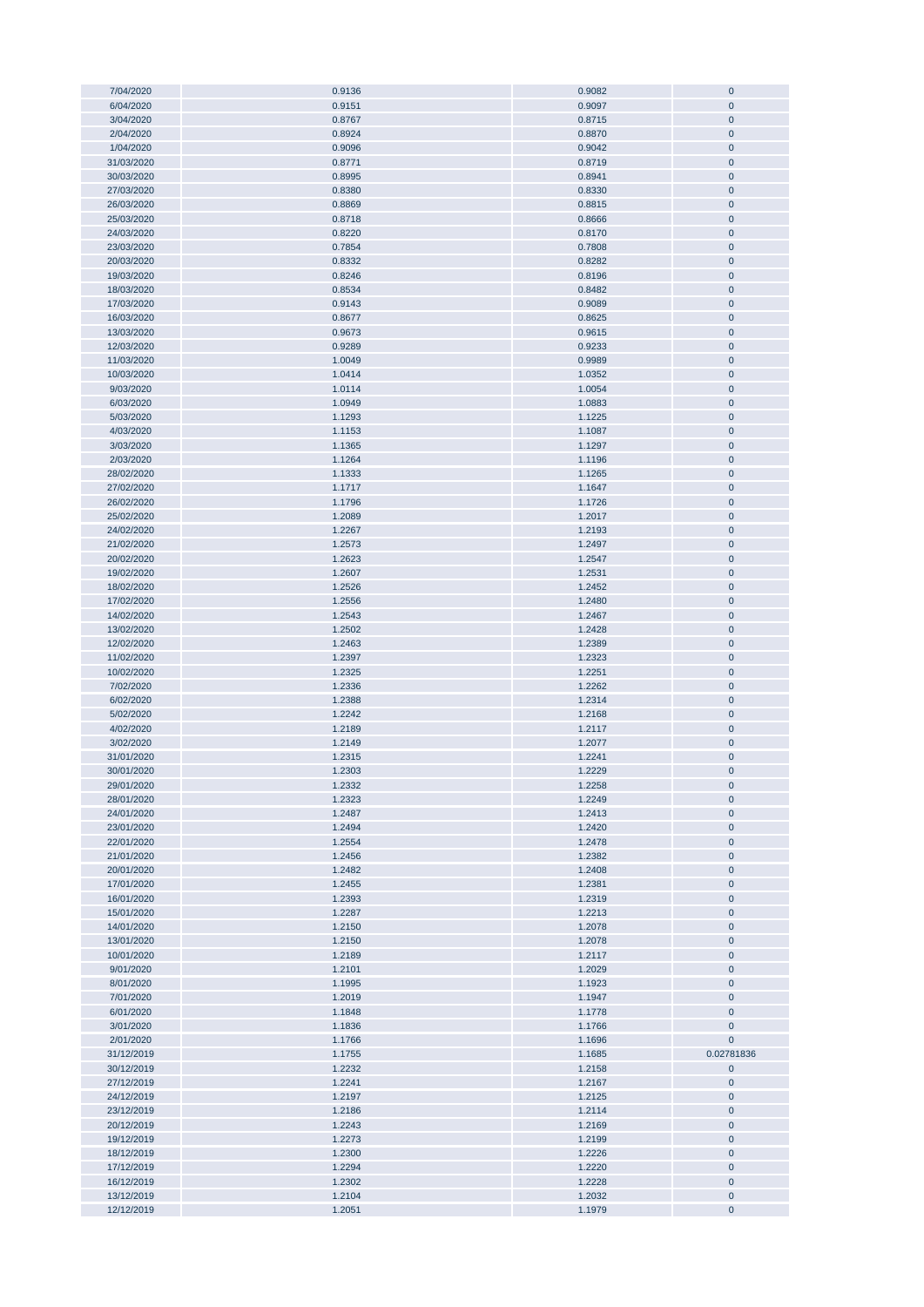| 7/04/2020                | 0.9136           | 0.9082           | $\pmb{0}$              |
|--------------------------|------------------|------------------|------------------------|
|                          |                  |                  | $\mathbf{0}$           |
| 6/04/2020                | 0.9151           | 0.9097           |                        |
| 3/04/2020                | 0.8767           | 0.8715           | $\pmb{0}$              |
| 2/04/2020                | 0.8924           | 0.8870           | $\pmb{0}$              |
| 1/04/2020                | 0.9096           | 0.9042           | $\pmb{0}$              |
|                          |                  |                  |                        |
| 31/03/2020               | 0.8771           | 0.8719           | $\pmb{0}$              |
| 30/03/2020               | 0.8995           | 0.8941           | $\pmb{0}$              |
| 27/03/2020               | 0.8380           | 0.8330           | $\pmb{0}$              |
|                          |                  |                  |                        |
| 26/03/2020               | 0.8869           | 0.8815           | $\pmb{0}$              |
| 25/03/2020               | 0.8718           | 0.8666           | $\pmb{0}$              |
| 24/03/2020               | 0.8220           | 0.8170           | $\pmb{0}$              |
|                          |                  |                  |                        |
| 23/03/2020               | 0.7854           | 0.7808           | $\pmb{0}$              |
| 20/03/2020               | 0.8332           | 0.8282           | $\pmb{0}$              |
|                          |                  |                  |                        |
| 19/03/2020               | 0.8246           | 0.8196           | $\pmb{0}$              |
| 18/03/2020               | 0.8534           | 0.8482           | $\pmb{0}$              |
| 17/03/2020               | 0.9143           | 0.9089           | $\pmb{0}$              |
|                          |                  |                  |                        |
| 16/03/2020               | 0.8677           | 0.8625           | $\pmb{0}$              |
| 13/03/2020               | 0.9673           | 0.9615           | $\pmb{0}$              |
| 12/03/2020               | 0.9289           | 0.9233           | $\pmb{0}$              |
| 11/03/2020               |                  | 0.9989           | $\pmb{0}$              |
|                          | 1.0049           |                  |                        |
| 10/03/2020               | 1.0414           | 1.0352           | $\pmb{0}$              |
| 9/03/2020                | 1.0114           | 1.0054           | $\pmb{0}$              |
| 6/03/2020                | 1.0949           | 1.0883           | $\mathbf{0}$           |
|                          |                  |                  |                        |
| 5/03/2020                | 1.1293           | 1.1225           | $\mathbf{0}$           |
| 4/03/2020                | 1.1153           | 1.1087           | $\pmb{0}$              |
| 3/03/2020                | 1.1365           | 1.1297           | $\pmb{0}$              |
|                          |                  |                  |                        |
| 2/03/2020                | 1.1264           | 1.1196           | $\pmb{0}$              |
| 28/02/2020               | 1.1333           | 1.1265           | $\pmb{0}$              |
| 27/02/2020               | 1.1717           | 1.1647           | $\overline{0}$         |
|                          |                  |                  |                        |
| 26/02/2020               | 1.1796           | 1.1726           | $\pmb{0}$              |
| 25/02/2020               | 1.2089           | 1.2017           | $\pmb{0}$              |
| 24/02/2020               | 1.2267           | 1.2193           | $\pmb{0}$              |
|                          |                  |                  |                        |
| 21/02/2020               | 1.2573           | 1.2497           | $\pmb{0}$              |
| 20/02/2020               | 1.2623           | 1.2547           | $\pmb{0}$              |
| 19/02/2020               | 1.2607           | 1.2531           | $\pmb{0}$              |
| 18/02/2020               | 1.2526           |                  | $\pmb{0}$              |
|                          |                  | 1.2452           |                        |
| 17/02/2020               | 1.2556           | 1.2480           | $\pmb{0}$              |
| 14/02/2020               | 1.2543           | 1.2467           | $\pmb{0}$              |
| 13/02/2020               | 1.2502           | 1.2428           | $\pmb{0}$              |
|                          |                  |                  |                        |
| 12/02/2020               | 1.2463           | 1.2389           | $\pmb{0}$              |
| 11/02/2020               | 1.2397           | 1.2323           | $\pmb{0}$              |
| 10/02/2020               | 1.2325           | 1.2251           | $\pmb{0}$              |
|                          |                  |                  |                        |
| 7/02/2020                | 1.2336           | 1.2262           | $\pmb{0}$              |
| 6/02/2020                | 1.2388           | 1.2314           | $\pmb{0}$              |
|                          |                  |                  |                        |
|                          |                  |                  |                        |
| 5/02/2020                | 1.2242           | 1.2168           | $\pmb{0}$              |
| 4/02/2020                | 1.2189           | 1.2117           | $\pmb{0}$              |
| 3/02/2020                | 1.2149           | 1.2077           | $\pmb{0}$              |
|                          |                  |                  |                        |
| 31/01/2020               | 1.2315           | 1.2241           | $\mathbf{0}$           |
| 30/01/2020               | 1.2303           | 1.2229           | $\mathbf 0$            |
| 29/01/2020               | 1.2332           | 1.2258           | $\mathbf{0}$           |
|                          |                  |                  |                        |
| 28/01/2020               | 1.2323           | 1.2249           | $\pmb{0}$              |
| 24/01/2020               | 1.2487           | 1.2413           | $\bf{0}$               |
| 23/01/2020               | 1.2494           | 1.2420           | $\pmb{0}$              |
| 22/01/2020               | 1.2554           | 1.2478           | $\pmb{0}$              |
|                          |                  |                  |                        |
| 21/01/2020               | 1.2456           | 1.2382           | $\pmb{0}$              |
| 20/01/2020               | 1.2482           | 1.2408           | $\pmb{0}$              |
| 17/01/2020               | 1.2455           | 1.2381           | $\pmb{0}$              |
| 16/01/2020               | 1.2393           | 1.2319           | $\pmb{0}$              |
|                          |                  |                  |                        |
| 15/01/2020               | 1.2287           | 1.2213           | $\pmb{0}$              |
| 14/01/2020               | 1.2150           | 1.2078           | $\pmb{0}$              |
| 13/01/2020               | 1.2150           | 1.2078           | $\pmb{0}$              |
|                          |                  |                  |                        |
| 10/01/2020               | 1.2189           | 1.2117           | $\bf{0}$               |
| 9/01/2020                | 1.2101           | 1.2029           | $\pmb{0}$              |
| 8/01/2020                | 1.1995           | 1.1923           | $\bf{0}$               |
| 7/01/2020                | 1.2019           | 1.1947           | $\pmb{0}$              |
|                          |                  |                  |                        |
| 6/01/2020                | 1.1848           | 1.1778           | $\pmb{0}$              |
| 3/01/2020                | 1.1836           | 1.1766           | $\bf{0}$               |
| 2/01/2020                | 1.1766           | 1.1696           | 0                      |
|                          |                  |                  |                        |
| 31/12/2019               | 1.1755           | 1.1685           | 0.02781836             |
| 30/12/2019               | 1.2232           | 1.2158           | 0                      |
| 27/12/2019               | 1.2241           | 1.2167           | 0                      |
|                          |                  |                  |                        |
| 24/12/2019               | 1.2197           | 1.2125           | 0                      |
| 23/12/2019               | 1.2186           | 1.2114           | $\pmb{0}$              |
| 20/12/2019               | 1.2243           | 1.2169           | 0                      |
|                          |                  |                  |                        |
| 19/12/2019               | 1.2273           | 1.2199           | $\pmb{0}$              |
| 18/12/2019               | 1.2300           | 1.2226           | $\bf{0}$               |
| 17/12/2019               | 1.2294           | 1.2220           | $\pmb{0}$              |
|                          | 1.2302           | 1.2228           | $\pmb{0}$              |
| 16/12/2019               |                  |                  |                        |
| 13/12/2019<br>12/12/2019 | 1.2104<br>1.2051 | 1.2032<br>1.1979 | $\pmb{0}$<br>$\pmb{0}$ |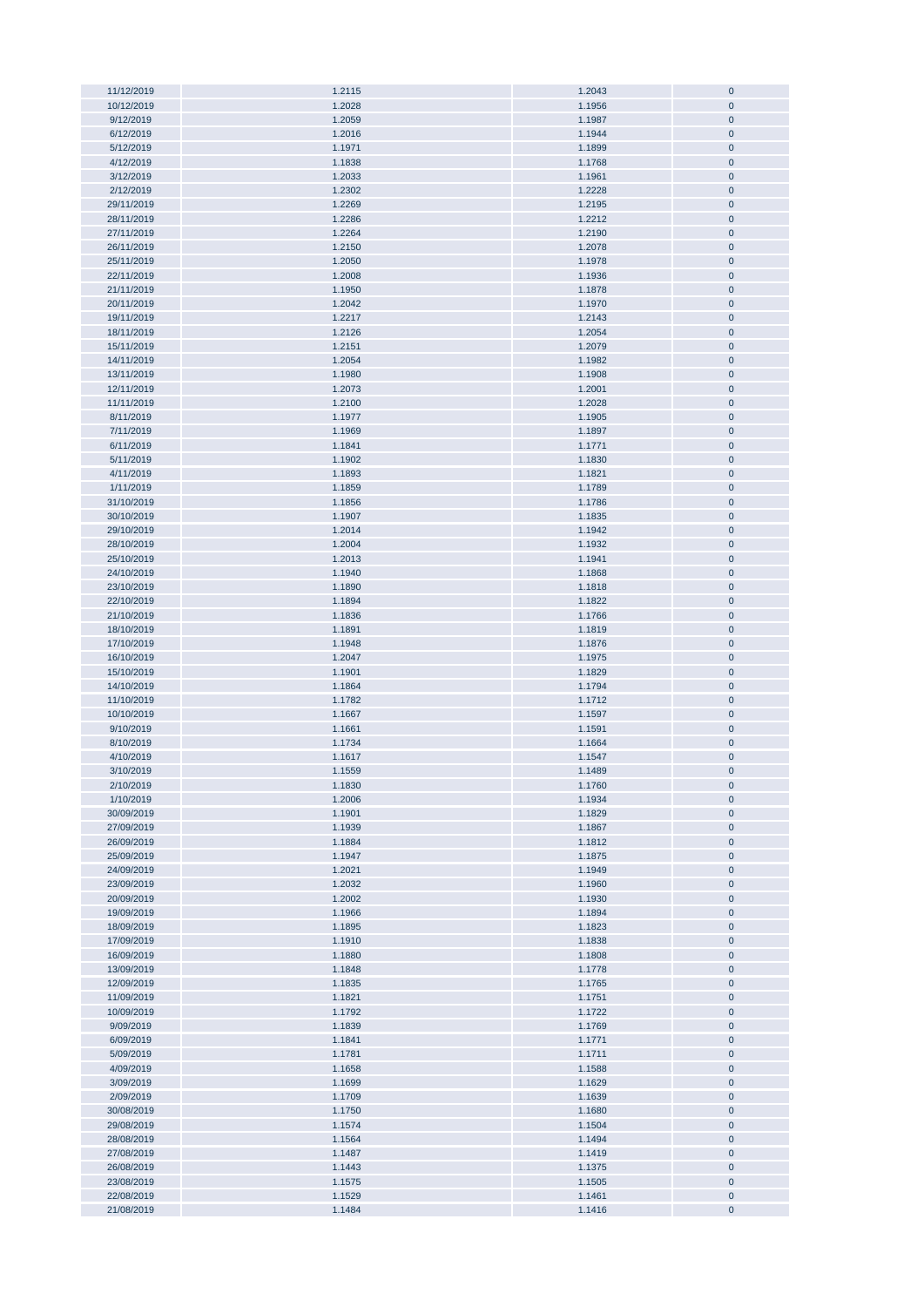| 11/12/2019 | 1.2115 | 1.2043 | $\pmb{0}$   |
|------------|--------|--------|-------------|
| 10/12/2019 | 1.2028 | 1.1956 | $\pmb{0}$   |
|            |        |        |             |
| 9/12/2019  | 1.2059 | 1.1987 | $\mathbf 0$ |
| 6/12/2019  | 1.2016 | 1.1944 | $\pmb{0}$   |
| 5/12/2019  | 1.1971 |        | $\pmb{0}$   |
|            |        | 1.1899 |             |
| 4/12/2019  | 1.1838 | 1.1768 | $\pmb{0}$   |
| 3/12/2019  | 1.2033 | 1.1961 | $\pmb{0}$   |
|            |        |        |             |
| 2/12/2019  | 1.2302 | 1.2228 | $\mathbf 0$ |
| 29/11/2019 | 1.2269 | 1.2195 | $\pmb{0}$   |
|            |        |        |             |
| 28/11/2019 | 1.2286 | 1.2212 | $\pmb{0}$   |
| 27/11/2019 | 1.2264 | 1.2190 | $\pmb{0}$   |
|            |        |        |             |
| 26/11/2019 | 1.2150 | 1.2078 | $\pmb{0}$   |
| 25/11/2019 | 1.2050 | 1.1978 | $\pmb{0}$   |
|            |        |        |             |
| 22/11/2019 | 1.2008 | 1.1936 | $\pmb{0}$   |
| 21/11/2019 | 1.1950 | 1.1878 | $\pmb{0}$   |
| 20/11/2019 | 1.2042 | 1.1970 | $\pmb{0}$   |
|            |        |        |             |
| 19/11/2019 | 1.2217 | 1.2143 | $\pmb{0}$   |
| 18/11/2019 | 1.2126 | 1.2054 | $\pmb{0}$   |
|            |        |        |             |
| 15/11/2019 | 1.2151 | 1.2079 | $\pmb{0}$   |
| 14/11/2019 | 1.2054 | 1.1982 | $\pmb{0}$   |
|            |        |        |             |
| 13/11/2019 | 1.1980 | 1.1908 | $\pmb{0}$   |
| 12/11/2019 | 1.2073 | 1.2001 | $\pmb{0}$   |
| 11/11/2019 | 1.2100 | 1.2028 | $\pmb{0}$   |
|            |        |        |             |
| 8/11/2019  | 1.1977 | 1.1905 | $\pmb{0}$   |
| 7/11/2019  | 1.1969 | 1.1897 | $\pmb{0}$   |
|            |        |        |             |
| 6/11/2019  | 1.1841 | 1.1771 | $\pmb{0}$   |
| 5/11/2019  | 1.1902 | 1.1830 | $\pmb{0}$   |
|            |        |        |             |
| 4/11/2019  | 1.1893 | 1.1821 | $\pmb{0}$   |
| 1/11/2019  | 1.1859 | 1.1789 | $\pmb{0}$   |
| 31/10/2019 | 1.1856 | 1.1786 | $\pmb{0}$   |
|            |        |        |             |
| 30/10/2019 | 1.1907 | 1.1835 | $\pmb{0}$   |
| 29/10/2019 | 1.2014 | 1.1942 | $\mathbf 0$ |
|            |        |        |             |
| 28/10/2019 | 1.2004 | 1.1932 | $\pmb{0}$   |
| 25/10/2019 | 1.2013 | 1.1941 | $\pmb{0}$   |
| 24/10/2019 | 1.1940 | 1.1868 | $\pmb{0}$   |
|            |        |        |             |
| 23/10/2019 | 1.1890 | 1.1818 | $\pmb{0}$   |
| 22/10/2019 | 1.1894 | 1.1822 | $\pmb{0}$   |
| 21/10/2019 | 1.1836 | 1.1766 | $\pmb{0}$   |
|            |        |        |             |
| 18/10/2019 | 1.1891 | 1.1819 | $\pmb{0}$   |
| 17/10/2019 | 1.1948 | 1.1876 | $\pmb{0}$   |
| 16/10/2019 | 1.2047 | 1.1975 | $\pmb{0}$   |
|            |        |        |             |
| 15/10/2019 | 1.1901 | 1.1829 | $\pmb{0}$   |
| 14/10/2019 | 1.1864 | 1.1794 | $\pmb{0}$   |
| 11/10/2019 | 1.1782 | 1.1712 | $\pmb{0}$   |
|            |        |        |             |
| 10/10/2019 | 1.1667 | 1.1597 | $\pmb{0}$   |
| 9/10/2019  | 1.1661 | 1.1591 | $\pmb{0}$   |
| 8/10/2019  | 1.1734 | 1.1664 | $\pmb{0}$   |
|            |        |        |             |
| 4/10/2019  | 1.1617 | 1.1547 | $\pmb{0}$   |
| 3/10/2019  | 1.1559 | 1.1489 | $\mathbf 0$ |
| 2/10/2019  | 1.1830 | 1.1760 | $\pmb{0}$   |
|            |        |        |             |
| 1/10/2019  | 1.2006 | 1.1934 | $\pmb{0}$   |
| 30/09/2019 | 1.1901 | 1.1829 | $\mathbf 0$ |
|            |        |        |             |
| 27/09/2019 | 1.1939 | 1.1867 | $\pmb{0}$   |
| 26/09/2019 | 1.1884 | 1.1812 | $\mathbf 0$ |
| 25/09/2019 | 1.1947 | 1.1875 | $\pmb{0}$   |
|            |        |        |             |
| 24/09/2019 | 1.2021 | 1.1949 | $\mathbf 0$ |
| 23/09/2019 | 1.2032 | 1.1960 | $\pmb{0}$   |
| 20/09/2019 | 1.2002 |        | $\pmb{0}$   |
|            |        | 1.1930 |             |
| 19/09/2019 | 1.1966 | 1.1894 | $\pmb{0}$   |
| 18/09/2019 | 1.1895 | 1.1823 | $\pmb{0}$   |
|            |        |        |             |
| 17/09/2019 | 1.1910 | 1.1838 | $\pmb{0}$   |
| 16/09/2019 | 1.1880 | 1.1808 | $\pmb{0}$   |
| 13/09/2019 | 1.1848 | 1.1778 | $\pmb{0}$   |
|            |        |        |             |
| 12/09/2019 | 1.1835 | 1.1765 | $\pmb{0}$   |
| 11/09/2019 | 1.1821 | 1.1751 | $\pmb{0}$   |
| 10/09/2019 | 1.1792 | 1.1722 | $\pmb{0}$   |
|            |        |        |             |
| 9/09/2019  | 1.1839 | 1.1769 | $\pmb{0}$   |
| 6/09/2019  | 1.1841 | 1.1771 | $\pmb{0}$   |
| 5/09/2019  | 1.1781 | 1.1711 | $\pmb{0}$   |
|            |        |        |             |
| 4/09/2019  | 1.1658 | 1.1588 | $\pmb{0}$   |
| 3/09/2019  | 1.1699 | 1.1629 | $\pmb{0}$   |
| 2/09/2019  | 1.1709 | 1.1639 | $\pmb{0}$   |
|            |        |        |             |
| 30/08/2019 | 1.1750 | 1.1680 | $\pmb{0}$   |
| 29/08/2019 | 1.1574 | 1.1504 | $\pmb{0}$   |
| 28/08/2019 | 1.1564 | 1.1494 | $\pmb{0}$   |
|            |        |        |             |
| 27/08/2019 | 1.1487 | 1.1419 | $\pmb{0}$   |
| 26/08/2019 | 1.1443 | 1.1375 | $\pmb{0}$   |
| 23/08/2019 | 1.1575 | 1.1505 | $\pmb{0}$   |
|            |        |        |             |
| 22/08/2019 | 1.1529 | 1.1461 | $\pmb{0}$   |
| 21/08/2019 | 1.1484 | 1.1416 | $\pmb{0}$   |
|            |        |        |             |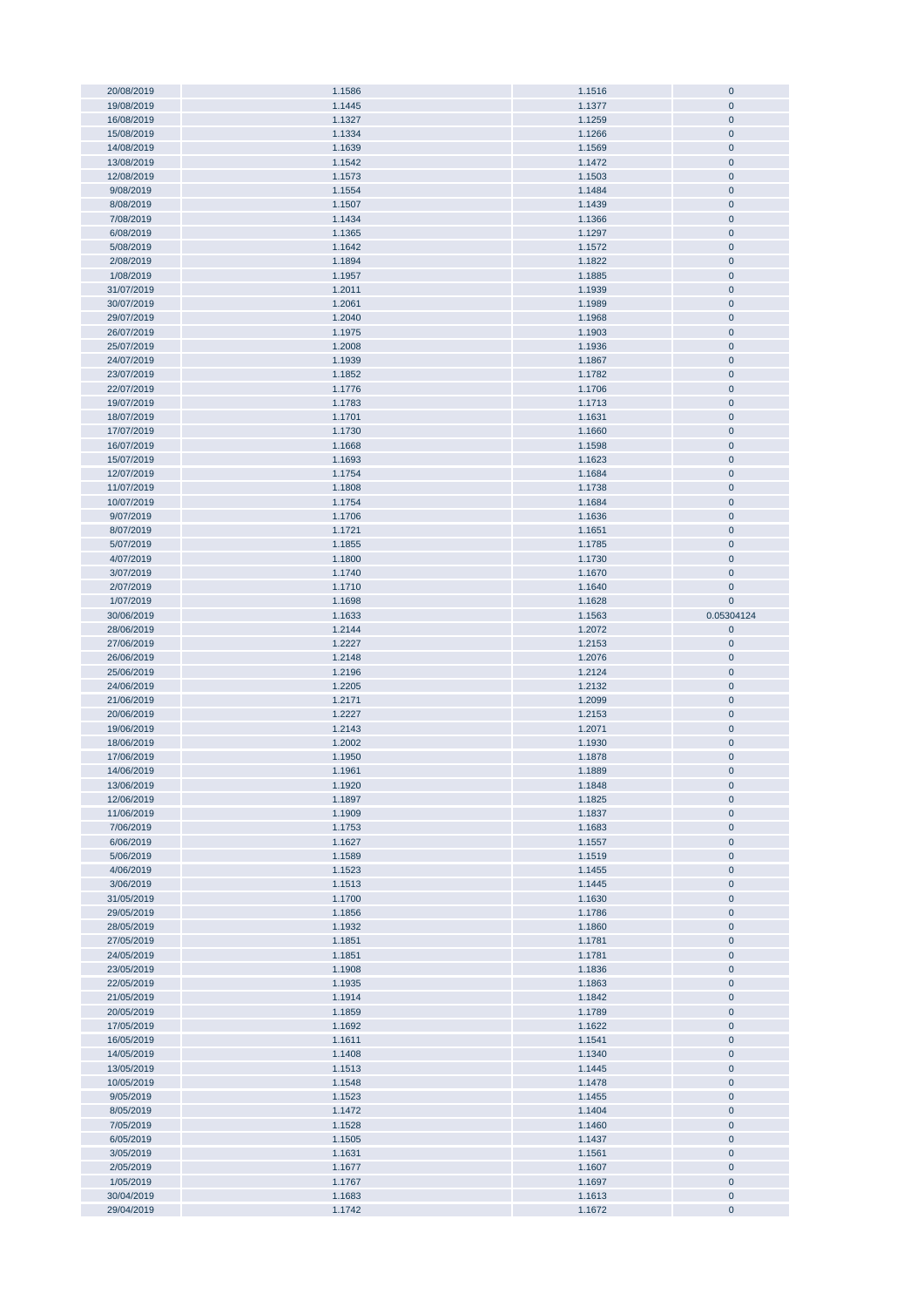| 20/08/2019 | 1.1586 | 1.1516 | $\bf{0}$    |
|------------|--------|--------|-------------|
|            |        |        |             |
| 19/08/2019 | 1.1445 | 1.1377 | $\pmb{0}$   |
| 16/08/2019 | 1.1327 | 1.1259 | $\pmb{0}$   |
| 15/08/2019 | 1.1334 | 1.1266 | $\pmb{0}$   |
|            |        |        |             |
| 14/08/2019 | 1.1639 | 1.1569 | $\pmb{0}$   |
| 13/08/2019 | 1.1542 | 1.1472 | $\mathbf 0$ |
| 12/08/2019 | 1.1573 | 1.1503 | $\bf{0}$    |
|            |        |        |             |
| 9/08/2019  | 1.1554 | 1.1484 | $\mathbf 0$ |
| 8/08/2019  | 1.1507 | 1.1439 | $\pmb{0}$   |
| 7/08/2019  | 1.1434 | 1.1366 | $\bf{0}$    |
|            |        |        |             |
| 6/08/2019  | 1.1365 | 1.1297 | $\bf{0}$    |
| 5/08/2019  | 1.1642 | 1.1572 | $\pmb{0}$   |
| 2/08/2019  | 1.1894 | 1.1822 | $\pmb{0}$   |
|            |        |        |             |
| 1/08/2019  | 1.1957 | 1.1885 | $\pmb{0}$   |
| 31/07/2019 | 1.2011 | 1.1939 | $\pmb{0}$   |
| 30/07/2019 | 1.2061 | 1.1989 | $\pmb{0}$   |
|            |        |        |             |
| 29/07/2019 | 1.2040 | 1.1968 | $\pmb{0}$   |
| 26/07/2019 | 1.1975 | 1.1903 | $\pmb{0}$   |
| 25/07/2019 | 1.2008 | 1.1936 | $\pmb{0}$   |
|            |        |        |             |
| 24/07/2019 | 1.1939 | 1.1867 | $\pmb{0}$   |
| 23/07/2019 | 1.1852 | 1.1782 | $\pmb{0}$   |
| 22/07/2019 | 1.1776 | 1.1706 | $\pmb{0}$   |
|            |        |        |             |
| 19/07/2019 | 1.1783 | 1.1713 | $\pmb{0}$   |
| 18/07/2019 | 1.1701 | 1.1631 | $\pmb{0}$   |
| 17/07/2019 | 1.1730 | 1.1660 | $\pmb{0}$   |
|            |        |        |             |
| 16/07/2019 | 1.1668 | 1.1598 | $\pmb{0}$   |
| 15/07/2019 | 1.1693 | 1.1623 | $\pmb{0}$   |
| 12/07/2019 | 1.1754 | 1.1684 | $\pmb{0}$   |
| 11/07/2019 | 1.1808 | 1.1738 | $\pmb{0}$   |
|            |        |        |             |
| 10/07/2019 | 1.1754 | 1.1684 | $\bf{0}$    |
| 9/07/2019  | 1.1706 | 1.1636 | $\mathbf 0$ |
| 8/07/2019  | 1.1721 | 1.1651 | $\bf{0}$    |
|            |        |        |             |
| 5/07/2019  | 1.1855 | 1.1785 | $\pmb{0}$   |
| 4/07/2019  | 1.1800 | 1.1730 | $\bf{0}$    |
| 3/07/2019  | 1.1740 | 1.1670 | $\bf{0}$    |
|            |        |        |             |
| 2/07/2019  | 1.1710 | 1.1640 | $\mathbf 0$ |
| 1/07/2019  | 1.1698 | 1.1628 | $\mathbf 0$ |
| 30/06/2019 | 1.1633 | 1.1563 | 0.05304124  |
|            |        |        |             |
| 28/06/2019 | 1.2144 | 1.2072 | $\pmb{0}$   |
| 27/06/2019 | 1.2227 | 1.2153 | $\pmb{0}$   |
|            |        |        |             |
|            |        |        |             |
| 26/06/2019 | 1.2148 | 1.2076 | $\pmb{0}$   |
| 25/06/2019 | 1.2196 | 1.2124 | $\pmb{0}$   |
| 24/06/2019 | 1.2205 | 1.2132 | $\bf{0}$    |
|            |        |        |             |
| 21/06/2019 | 1.2171 | 1.2099 | $\pmb{0}$   |
| 20/06/2019 | 1.2227 | 1.2153 | $\pmb{0}$   |
| 19/06/2019 | 1.2143 | 1.2071 | $\pmb{0}$   |
|            |        |        |             |
| 18/06/2019 | 1.2002 | 1.1930 | $\pmb{0}$   |
| 17/06/2019 | 1.1950 | 1.1878 | $\pmb{0}$   |
| 14/06/2019 | 1.1961 | 1.1889 | $\mathbf 0$ |
|            |        |        |             |
| 13/06/2019 | 1.1920 | 1.1848 | U           |
| 12/06/2019 | 1.1897 | 1.1825 | $\pmb{0}$   |
| 11/06/2019 | 1.1909 | 1.1837 | $\pmb{0}$   |
| 7/06/2019  | 1.1753 | 1.1683 | $\pmb{0}$   |
|            |        |        |             |
| 6/06/2019  | 1.1627 | 1.1557 | $\pmb{0}$   |
| 5/06/2019  | 1.1589 | 1.1519 | $\pmb{0}$   |
| 4/06/2019  | 1.1523 | 1.1455 | $\pmb{0}$   |
|            |        |        |             |
| 3/06/2019  | 1.1513 | 1.1445 | $\pmb{0}$   |
| 31/05/2019 | 1.1700 | 1.1630 | $\pmb{0}$   |
| 29/05/2019 | 1.1856 | 1.1786 | $\pmb{0}$   |
| 28/05/2019 | 1.1932 | 1.1860 | $\pmb{0}$   |
|            |        |        |             |
| 27/05/2019 | 1.1851 | 1.1781 | $\pmb{0}$   |
| 24/05/2019 | 1.1851 | 1.1781 | $\pmb{0}$   |
| 23/05/2019 | 1.1908 | 1.1836 | $\pmb{0}$   |
|            |        |        |             |
| 22/05/2019 | 1.1935 | 1.1863 | $\pmb{0}$   |
| 21/05/2019 | 1.1914 | 1.1842 | $\pmb{0}$   |
| 20/05/2019 | 1.1859 | 1.1789 | $\pmb{0}$   |
| 17/05/2019 | 1.1692 |        | $\pmb{0}$   |
|            |        | 1.1622 |             |
| 16/05/2019 | 1.1611 | 1.1541 | $\pmb{0}$   |
| 14/05/2019 | 1.1408 | 1.1340 | $\pmb{0}$   |
| 13/05/2019 | 1.1513 | 1.1445 | $\pmb{0}$   |
|            |        |        |             |
| 10/05/2019 | 1.1548 | 1.1478 | $\pmb{0}$   |
| 9/05/2019  | 1.1523 | 1.1455 | $\pmb{0}$   |
| 8/05/2019  | 1.1472 | 1.1404 | $\pmb{0}$   |
|            |        |        |             |
| 7/05/2019  | 1.1528 | 1.1460 | $\pmb{0}$   |
| 6/05/2019  | 1.1505 | 1.1437 | $\pmb{0}$   |
| 3/05/2019  | 1.1631 | 1.1561 | $\pmb{0}$   |
| 2/05/2019  |        |        | $\pmb{0}$   |
|            | 1.1677 | 1.1607 |             |
| 1/05/2019  | 1.1767 | 1.1697 | $\pmb{0}$   |
| 30/04/2019 | 1.1683 | 1.1613 | $\pmb{0}$   |
| 29/04/2019 | 1.1742 | 1.1672 | $\pmb{0}$   |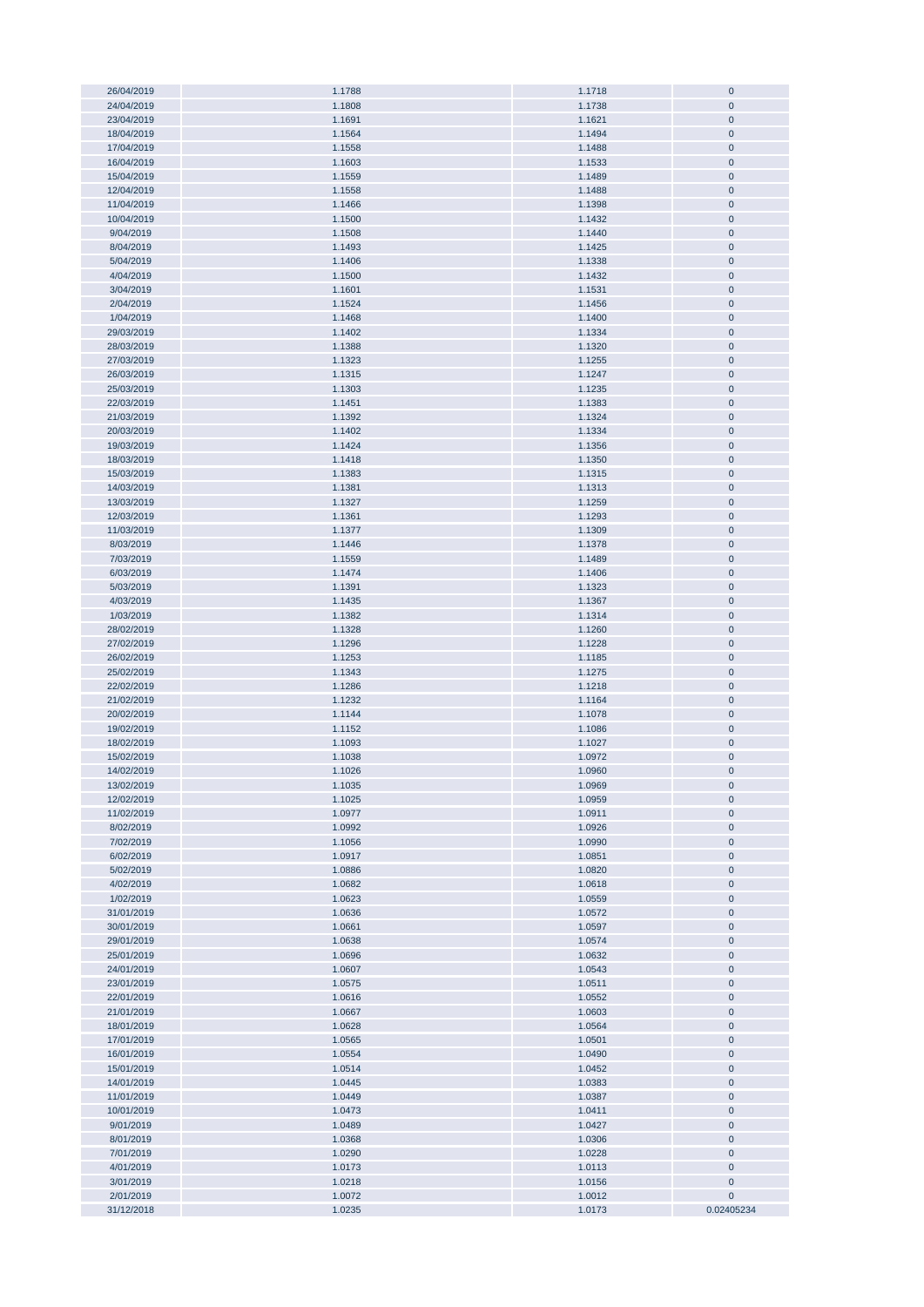| 26/04/2019 | 1.1788 | 1.1718 | $\bf{0}$    |
|------------|--------|--------|-------------|
| 24/04/2019 | 1.1808 | 1.1738 | $\pmb{0}$   |
|            |        |        |             |
| 23/04/2019 | 1.1691 | 1.1621 | $\pmb{0}$   |
| 18/04/2019 | 1.1564 | 1.1494 | $\pmb{0}$   |
| 17/04/2019 | 1.1558 | 1.1488 | $\pmb{0}$   |
| 16/04/2019 | 1.1603 |        | $\pmb{0}$   |
|            |        | 1.1533 |             |
| 15/04/2019 | 1.1559 | 1.1489 | $\pmb{0}$   |
| 12/04/2019 | 1.1558 | 1.1488 | $\pmb{0}$   |
| 11/04/2019 | 1.1466 | 1.1398 | $\pmb{0}$   |
| 10/04/2019 | 1.1500 |        | $\pmb{0}$   |
|            |        | 1.1432 |             |
| 9/04/2019  | 1.1508 | 1.1440 | $\pmb{0}$   |
| 8/04/2019  | 1.1493 | 1.1425 | $\pmb{0}$   |
| 5/04/2019  | 1.1406 | 1.1338 | $\pmb{0}$   |
|            |        |        |             |
| 4/04/2019  | 1.1500 | 1.1432 | $\pmb{0}$   |
| 3/04/2019  | 1.1601 | 1.1531 | $\pmb{0}$   |
| 2/04/2019  | 1.1524 | 1.1456 | $\pmb{0}$   |
| 1/04/2019  | 1.1468 | 1.1400 | $\pmb{0}$   |
|            |        |        |             |
| 29/03/2019 | 1.1402 | 1.1334 | $\pmb{0}$   |
| 28/03/2019 | 1.1388 | 1.1320 | $\pmb{0}$   |
| 27/03/2019 | 1.1323 | 1.1255 | $\pmb{0}$   |
|            |        |        |             |
| 26/03/2019 | 1.1315 | 1.1247 | $\pmb{0}$   |
| 25/03/2019 | 1.1303 | 1.1235 | $\pmb{0}$   |
| 22/03/2019 | 1.1451 | 1.1383 | $\pmb{0}$   |
| 21/03/2019 | 1.1392 | 1.1324 | $\pmb{0}$   |
|            |        |        |             |
| 20/03/2019 | 1.1402 | 1.1334 | $\pmb{0}$   |
| 19/03/2019 | 1.1424 | 1.1356 | $\pmb{0}$   |
| 18/03/2019 | 1.1418 | 1.1350 | $\pmb{0}$   |
|            |        |        |             |
| 15/03/2019 | 1.1383 | 1.1315 | $\pmb{0}$   |
| 14/03/2019 | 1.1381 | 1.1313 | $\pmb{0}$   |
| 13/03/2019 | 1.1327 | 1.1259 | $\pmb{0}$   |
| 12/03/2019 | 1.1361 | 1.1293 | $\pmb{0}$   |
|            |        |        |             |
| 11/03/2019 | 1.1377 | 1.1309 | $\pmb{0}$   |
| 8/03/2019  | 1.1446 | 1.1378 | $\pmb{0}$   |
| 7/03/2019  | 1.1559 | 1.1489 | $\pmb{0}$   |
| 6/03/2019  | 1.1474 | 1.1406 | $\pmb{0}$   |
|            |        |        |             |
| 5/03/2019  | 1.1391 | 1.1323 | $\pmb{0}$   |
| 4/03/2019  | 1.1435 | 1.1367 | $\pmb{0}$   |
| 1/03/2019  | 1.1382 | 1.1314 | $\pmb{0}$   |
|            |        |        |             |
| 28/02/2019 | 1.1328 | 1.1260 | $\pmb{0}$   |
| 27/02/2019 | 1.1296 | 1.1228 | $\pmb{0}$   |
| 26/02/2019 | 1.1253 | 1.1185 | $\pmb{0}$   |
| 25/02/2019 | 1.1343 | 1.1275 | $\pmb{0}$   |
|            |        |        |             |
| 22/02/2019 | 1.1286 | 1.1218 | $\pmb{0}$   |
| 21/02/2019 | 1.1232 | 1.1164 | $\pmb{0}$   |
| 20/02/2019 | 1.1144 | 1.1078 | $\pmb{0}$   |
| 19/02/2019 | 1.1152 | 1.1086 | $\pmb{0}$   |
|            |        |        |             |
| 18/02/2019 | 1.1093 | 1.1027 | $\pmb{0}$   |
| 15/02/2019 | 1.1038 | 1.0972 | $\pmb{0}$   |
| 14/02/2019 | 1.1026 | 1.0960 | $\pmb{0}$   |
|            |        |        |             |
| 13/02/2019 | 1.1035 | 1.0969 | $\mathbf 0$ |
| 12/02/2019 | 1.1025 | 1.0959 | $\pmb{0}$   |
| 11/02/2019 | 1.0977 | 1.0911 | $\pmb{0}$   |
| 8/02/2019  | 1.0992 | 1.0926 | $\pmb{0}$   |
|            |        |        |             |
| 7/02/2019  | 1.1056 | 1.0990 | $\pmb{0}$   |
| 6/02/2019  | 1.0917 | 1.0851 | $\pmb{0}$   |
| 5/02/2019  | 1.0886 | 1.0820 | $\pmb{0}$   |
| 4/02/2019  | 1.0682 | 1.0618 | $\pmb{0}$   |
|            |        |        |             |
| 1/02/2019  | 1.0623 | 1.0559 | $\pmb{0}$   |
| 31/01/2019 | 1.0636 | 1.0572 | $\pmb{0}$   |
| 30/01/2019 | 1.0661 | 1.0597 | $\pmb{0}$   |
| 29/01/2019 | 1.0638 | 1.0574 | $\pmb{0}$   |
|            |        |        |             |
| 25/01/2019 | 1.0696 | 1.0632 | $\pmb{0}$   |
| 24/01/2019 | 1.0607 | 1.0543 | $\pmb{0}$   |
| 23/01/2019 | 1.0575 | 1.0511 | $\pmb{0}$   |
| 22/01/2019 |        |        | $\pmb{0}$   |
|            | 1.0616 | 1.0552 |             |
| 21/01/2019 | 1.0667 | 1.0603 | $\pmb{0}$   |
| 18/01/2019 | 1.0628 | 1.0564 | $\pmb{0}$   |
| 17/01/2019 | 1.0565 | 1.0501 | $\pmb{0}$   |
|            |        |        |             |
| 16/01/2019 | 1.0554 | 1.0490 | $\pmb{0}$   |
| 15/01/2019 | 1.0514 | 1.0452 | $\pmb{0}$   |
| 14/01/2019 | 1.0445 | 1.0383 | $\pmb{0}$   |
| 11/01/2019 | 1.0449 | 1.0387 | $\pmb{0}$   |
|            |        |        |             |
| 10/01/2019 | 1.0473 | 1.0411 | $\pmb{0}$   |
| 9/01/2019  | 1.0489 | 1.0427 | $\pmb{0}$   |
| 8/01/2019  | 1.0368 | 1.0306 | $\pmb{0}$   |
| 7/01/2019  | 1.0290 | 1.0228 | $\pmb{0}$   |
|            |        |        |             |
| 4/01/2019  | 1.0173 | 1.0113 | $\pmb{0}$   |
| 3/01/2019  | 1.0218 | 1.0156 | $\pmb{0}$   |
| 2/01/2019  | 1.0072 | 1.0012 | $\pmb{0}$   |
| 31/12/2018 | 1.0235 |        | 0.02405234  |
|            |        | 1.0173 |             |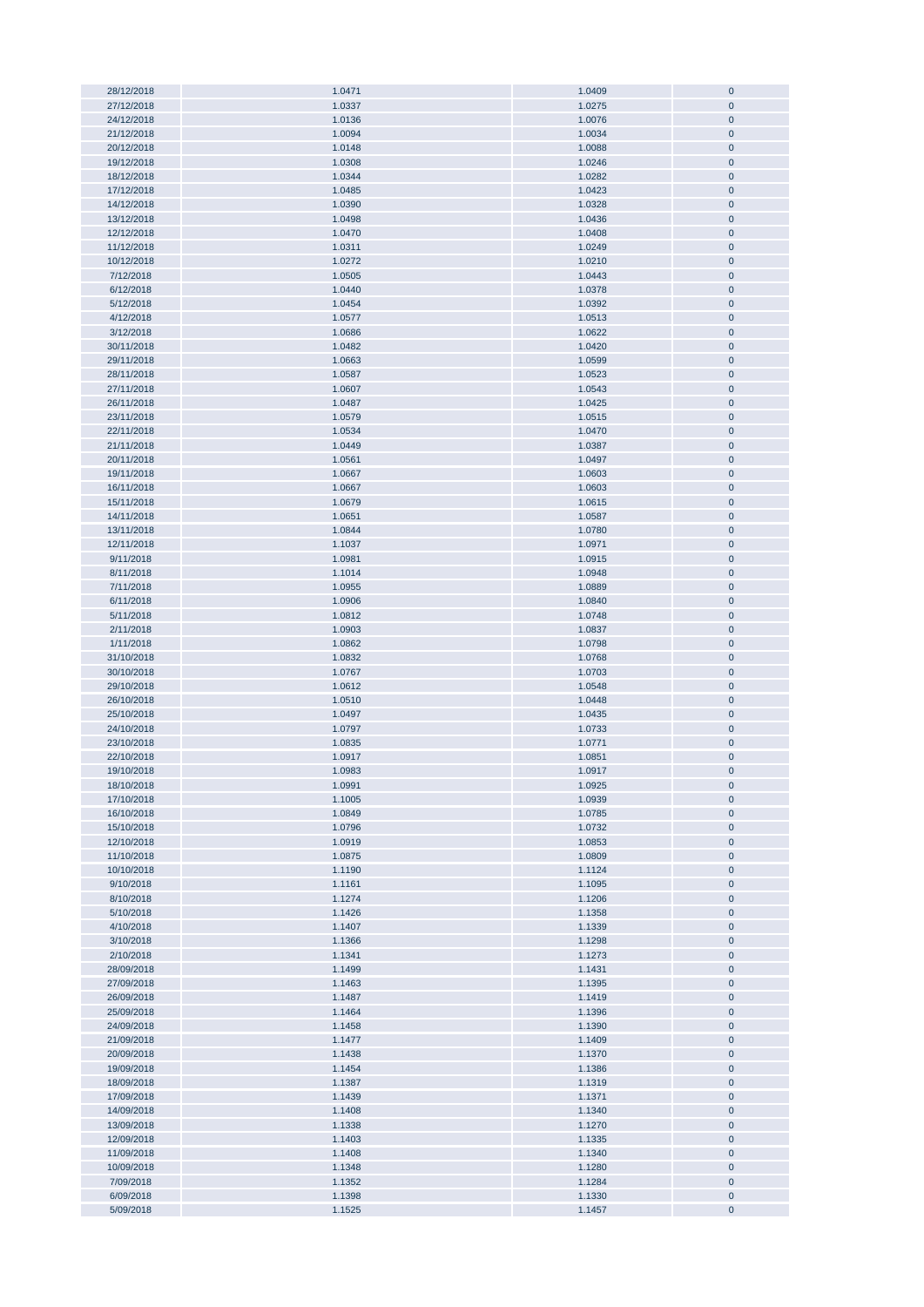| 28/12/2018 | 1.0471 | 1.0409 | $\pmb{0}$    |
|------------|--------|--------|--------------|
| 27/12/2018 | 1.0337 | 1.0275 | $\pmb{0}$    |
| 24/12/2018 | 1.0136 | 1.0076 | $\mathbf{0}$ |
|            |        |        |              |
| 21/12/2018 | 1.0094 | 1.0034 | $\pmb{0}$    |
| 20/12/2018 | 1.0148 | 1.0088 | $\pmb{0}$    |
| 19/12/2018 | 1.0308 | 1.0246 | $\pmb{0}$    |
|            |        |        |              |
| 18/12/2018 | 1.0344 | 1.0282 | $\pmb{0}$    |
| 17/12/2018 | 1.0485 | 1.0423 | $\pmb{0}$    |
| 14/12/2018 | 1.0390 | 1.0328 | $\pmb{0}$    |
|            |        |        |              |
| 13/12/2018 | 1.0498 | 1.0436 | $\pmb{0}$    |
| 12/12/2018 | 1.0470 | 1.0408 | $\pmb{0}$    |
| 11/12/2018 | 1.0311 | 1.0249 | $\pmb{0}$    |
|            |        |        |              |
| 10/12/2018 | 1.0272 | 1.0210 | $\pmb{0}$    |
| 7/12/2018  | 1.0505 | 1.0443 | $\pmb{0}$    |
| 6/12/2018  | 1.0440 | 1.0378 | $\pmb{0}$    |
|            |        | 1.0392 |              |
| 5/12/2018  | 1.0454 |        | $\pmb{0}$    |
| 4/12/2018  | 1.0577 | 1.0513 | $\pmb{0}$    |
| 3/12/2018  | 1.0686 | 1.0622 | $\pmb{0}$    |
| 30/11/2018 | 1.0482 | 1.0420 | $\pmb{0}$    |
|            |        |        |              |
| 29/11/2018 | 1.0663 | 1.0599 | $\mathbf 0$  |
| 28/11/2018 | 1.0587 | 1.0523 | $\pmb{0}$    |
| 27/11/2018 | 1.0607 | 1.0543 | $\pmb{0}$    |
|            |        |        |              |
| 26/11/2018 | 1.0487 | 1.0425 | $\pmb{0}$    |
| 23/11/2018 | 1.0579 | 1.0515 | $\pmb{0}$    |
| 22/11/2018 | 1.0534 | 1.0470 | $\pmb{0}$    |
| 21/11/2018 | 1.0449 | 1.0387 | $\pmb{0}$    |
|            |        |        |              |
| 20/11/2018 | 1.0561 | 1.0497 | $\pmb{0}$    |
| 19/11/2018 | 1.0667 | 1.0603 | $\pmb{0}$    |
| 16/11/2018 | 1.0667 | 1.0603 | $\pmb{0}$    |
|            |        |        |              |
| 15/11/2018 | 1.0679 | 1.0615 | $\pmb{0}$    |
| 14/11/2018 | 1.0651 | 1.0587 | $\pmb{0}$    |
| 13/11/2018 | 1.0844 | 1.0780 | $\pmb{0}$    |
|            |        |        |              |
| 12/11/2018 | 1.1037 | 1.0971 | $\pmb{0}$    |
| 9/11/2018  | 1.0981 | 1.0915 | $\pmb{0}$    |
| 8/11/2018  | 1.1014 | 1.0948 | $\pmb{0}$    |
| 7/11/2018  | 1.0955 | 1.0889 | $\pmb{0}$    |
|            |        |        |              |
| 6/11/2018  | 1.0906 | 1.0840 | $\pmb{0}$    |
| 5/11/2018  | 1.0812 | 1.0748 | $\pmb{0}$    |
| 2/11/2018  | 1.0903 | 1.0837 | $\pmb{0}$    |
| 1/11/2018  | 1.0862 | 1.0798 | $\pmb{0}$    |
|            |        |        |              |
| 31/10/2018 | 1.0832 | 1.0768 | $\pmb{0}$    |
| 30/10/2018 | 1.0767 | 1.0703 | $\bf{0}$     |
| 29/10/2018 | 1.0612 | 1.0548 | $\pmb{0}$    |
|            |        |        |              |
| 26/10/2018 | 1.0510 | 1.0448 | $\pmb{0}$    |
| 25/10/2018 | 1.0497 | 1.0435 | $\pmb{0}$    |
| 24/10/2018 | 1.0797 | 1.0733 | $\pmb{0}$    |
|            |        |        |              |
| 23/10/2018 | 1.0835 | 1.0771 | $\pmb{0}$    |
| 22/10/2018 | 1.0917 | 1.0851 | $\pmb{0}$    |
| 19/10/2018 | 1.0983 | 1.0917 | $\mathbf{0}$ |
|            |        |        | $\bf{0}$     |
| 18/10/2018 | 1.0991 | 1.0925 |              |
| 17/10/2018 | 1.1005 | 1.0939 | $\bf 0$      |
| 16/10/2018 | 1.0849 | 1.0785 | $\pmb{0}$    |
| 15/10/2018 | 1.0796 | 1.0732 | $\pmb{0}$    |
|            |        |        |              |
| 12/10/2018 | 1.0919 | 1.0853 | $\pmb{0}$    |
| 11/10/2018 | 1.0875 | 1.0809 | $\pmb{0}$    |
| 10/10/2018 | 1.1190 | 1.1124 | $\pmb{0}$    |
| 9/10/2018  | 1.1161 | 1.1095 | $\pmb{0}$    |
|            |        |        |              |
| 8/10/2018  | 1.1274 | 1.1206 | $\pmb{0}$    |
| 5/10/2018  | 1.1426 | 1.1358 | $\pmb{0}$    |
| 4/10/2018  | 1.1407 | 1.1339 | $\pmb{0}$    |
|            |        |        |              |
| 3/10/2018  | 1.1366 | 1.1298 | $\pmb{0}$    |
| 2/10/2018  | 1.1341 | 1.1273 | $\pmb{0}$    |
| 28/09/2018 | 1.1499 | 1.1431 | $\pmb{0}$    |
| 27/09/2018 | 1.1463 | 1.1395 | $\pmb{0}$    |
|            |        |        |              |
| 26/09/2018 | 1.1487 | 1.1419 | $\pmb{0}$    |
| 25/09/2018 | 1.1464 | 1.1396 | $\pmb{0}$    |
| 24/09/2018 | 1.1458 | 1.1390 | $\bf{0}$     |
|            |        |        |              |
| 21/09/2018 | 1.1477 | 1.1409 | $\pmb{0}$    |
| 20/09/2018 | 1.1438 | 1.1370 | $\pmb{0}$    |
| 19/09/2018 | 1.1454 | 1.1386 | $\pmb{0}$    |
| 18/09/2018 | 1.1387 | 1.1319 | $\pmb{0}$    |
|            |        |        |              |
| 17/09/2018 | 1.1439 | 1.1371 | $\pmb{0}$    |
| 14/09/2018 | 1.1408 | 1.1340 | $\pmb{0}$    |
| 13/09/2018 | 1.1338 | 1.1270 | $\pmb{0}$    |
|            |        |        |              |
| 12/09/2018 | 1.1403 | 1.1335 | $\pmb{0}$    |
| 11/09/2018 | 1.1408 | 1.1340 | $\pmb{0}$    |
| 10/09/2018 | 1.1348 | 1.1280 | $\pmb{0}$    |
| 7/09/2018  | 1.1352 | 1.1284 | $\pmb{0}$    |
|            |        |        |              |
| 6/09/2018  | 1.1398 | 1.1330 | $\pmb{0}$    |
| 5/09/2018  | 1.1525 | 1.1457 | $\pmb{0}$    |
|            |        |        |              |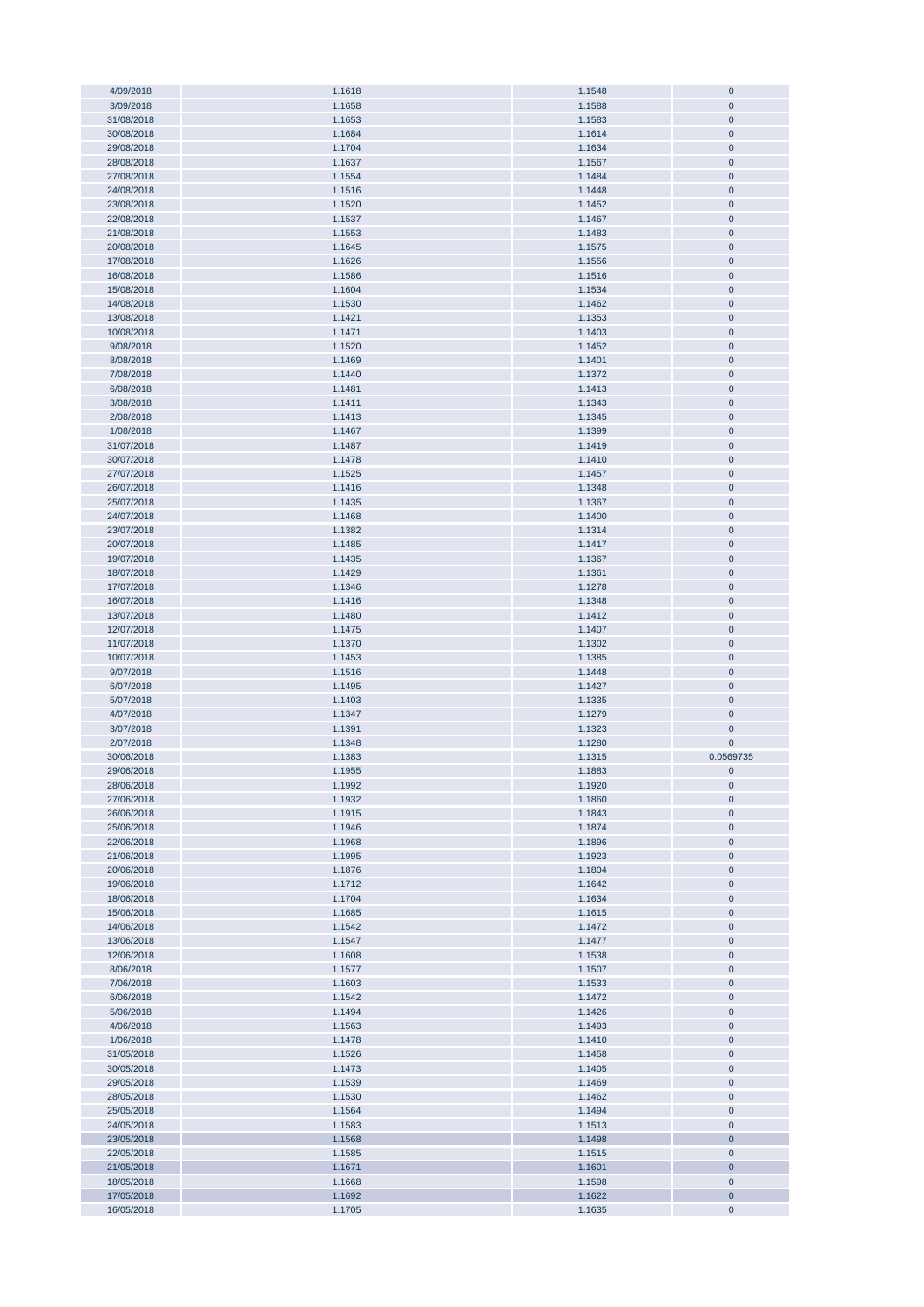| 4/09/2018  | 1.1618 | 1.1548 | $\mathbf 0$  |
|------------|--------|--------|--------------|
|            |        |        |              |
| 3/09/2018  | 1.1658 | 1.1588 | $\mathbf 0$  |
| 31/08/2018 | 1.1653 | 1.1583 | $\mathbf{0}$ |
| 30/08/2018 | 1.1684 | 1.1614 | $\pmb{0}$    |
|            |        |        |              |
| 29/08/2018 | 1.1704 | 1.1634 | $\pmb{0}$    |
| 28/08/2018 | 1.1637 | 1.1567 | $\pmb{0}$    |
| 27/08/2018 | 1.1554 | 1.1484 | $\mathbf{0}$ |
| 24/08/2018 |        | 1.1448 |              |
|            | 1.1516 |        | $\pmb{0}$    |
| 23/08/2018 | 1.1520 | 1.1452 | $\mathbf{0}$ |
| 22/08/2018 | 1.1537 | 1.1467 | $\pmb{0}$    |
| 21/08/2018 | 1.1553 | 1.1483 | $\mathbf{0}$ |
|            |        |        |              |
| 20/08/2018 | 1.1645 | 1.1575 | $\pmb{0}$    |
| 17/08/2018 | 1.1626 | 1.1556 | $\pmb{0}$    |
|            |        |        | $\pmb{0}$    |
| 16/08/2018 | 1.1586 | 1.1516 |              |
| 15/08/2018 | 1.1604 | 1.1534 | $\pmb{0}$    |
| 14/08/2018 | 1.1530 | 1.1462 | $\pmb{0}$    |
| 13/08/2018 | 1.1421 | 1.1353 | $\pmb{0}$    |
|            |        |        |              |
| 10/08/2018 | 1.1471 | 1.1403 | $\pmb{0}$    |
| 9/08/2018  | 1.1520 | 1.1452 | $\mathbf 0$  |
| 8/08/2018  | 1.1469 | 1.1401 | $\pmb{0}$    |
|            |        |        |              |
| 7/08/2018  | 1.1440 | 1.1372 | $\mathbf 0$  |
| 6/08/2018  | 1.1481 | 1.1413 | $\pmb{0}$    |
| 3/08/2018  | 1.1411 | 1.1343 | $\mathbf 0$  |
|            |        |        |              |
| 2/08/2018  | 1.1413 | 1.1345 | $\mathbf 0$  |
| 1/08/2018  | 1.1467 | 1.1399 | $\pmb{0}$    |
| 31/07/2018 | 1.1487 | 1.1419 | $\pmb{0}$    |
|            |        |        |              |
| 30/07/2018 | 1.1478 | 1.1410 | $\pmb{0}$    |
| 27/07/2018 | 1.1525 | 1.1457 | $\mathbf 0$  |
| 26/07/2018 | 1.1416 | 1.1348 | $\pmb{0}$    |
|            |        |        |              |
| 25/07/2018 | 1.1435 | 1.1367 | $\pmb{0}$    |
| 24/07/2018 | 1.1468 | 1.1400 | $\pmb{0}$    |
| 23/07/2018 | 1.1382 | 1.1314 | $\mathbf{0}$ |
| 20/07/2018 | 1.1485 | 1.1417 | $\mathbf 0$  |
|            |        |        |              |
| 19/07/2018 | 1.1435 | 1.1367 | $\pmb{0}$    |
| 18/07/2018 | 1.1429 | 1.1361 | $\pmb{0}$    |
| 17/07/2018 | 1.1346 | 1.1278 | $\pmb{0}$    |
|            |        |        |              |
| 16/07/2018 | 1.1416 | 1.1348 | $\pmb{0}$    |
| 13/07/2018 | 1.1480 | 1.1412 | $\pmb{0}$    |
| 12/07/2018 | 1.1475 | 1.1407 | $\pmb{0}$    |
|            |        |        |              |
| 11/07/2018 | 1.1370 | 1.1302 | $\pmb{0}$    |
| 10/07/2018 | 1.1453 | 1.1385 | $\pmb{0}$    |
| 9/07/2018  | 1.1516 | 1.1448 | $\mathbf 0$  |
|            |        |        |              |
| 6/07/2018  | 1.1495 | 1.1427 | $\pmb{0}$    |
| 5/07/2018  | 1.1403 | 1.1335 | $\mathbf 0$  |
| 4/07/2018  | 1.1347 | 1.1279 | $\mathbf 0$  |
|            |        |        |              |
| 3/07/2018  | 1.1391 | 1.1323 | $\mathbf 0$  |
| 2/07/2018  | 1.1348 | 1.1280 | $\mathbf 0$  |
| 30/06/2018 | 1.1383 | 1.1315 | 0.0569735    |
| 29/06/2018 | 1.1955 | 1.1883 | $\mathbf 0$  |
|            |        |        |              |
| 28/06/2018 | 1.1992 | 1.1920 | $\mathbf 0$  |
| 27/06/2018 | 1.1932 | 1.1860 | $\pmb{0}$    |
| 26/06/2018 | 1.1915 | 1.1843 | $\mathbf 0$  |
|            |        |        |              |
| 25/06/2018 | 1.1946 | 1.1874 | $\pmb{0}$    |
| 22/06/2018 | 1.1968 | 1.1896 | $\mathbf 0$  |
| 21/06/2018 | 1.1995 | 1.1923 | $\pmb{0}$    |
|            |        |        |              |
| 20/06/2018 | 1.1876 | 1.1804 | $\pmb{0}$    |
| 19/06/2018 | 1.1712 | 1.1642 | $\pmb{0}$    |
| 18/06/2018 | 1.1704 | 1.1634 | $\pmb{0}$    |
| 15/06/2018 | 1.1685 |        |              |
|            |        |        |              |
|            |        | 1.1615 | $\pmb{0}$    |
| 14/06/2018 | 1.1542 | 1.1472 | $\pmb{0}$    |
| 13/06/2018 | 1.1547 | 1.1477 | $\pmb{0}$    |
| 12/06/2018 |        |        | $\pmb{0}$    |
|            | 1.1608 | 1.1538 |              |
| 8/06/2018  | 1.1577 | 1.1507 | $\pmb{0}$    |
| 7/06/2018  | 1.1603 | 1.1533 | $\pmb{0}$    |
| 6/06/2018  | 1.1542 | 1.1472 | $\pmb{0}$    |
|            |        |        |              |
| 5/06/2018  | 1.1494 | 1.1426 | $\pmb{0}$    |
| 4/06/2018  | 1.1563 | 1.1493 | $\pmb{0}$    |
| 1/06/2018  | 1.1478 | 1.1410 | $\pmb{0}$    |
| 31/05/2018 | 1.1526 | 1.1458 | $\pmb{0}$    |
|            |        |        |              |
| 30/05/2018 | 1.1473 | 1.1405 | $\pmb{0}$    |
| 29/05/2018 | 1.1539 | 1.1469 | $\mathbf 0$  |
| 28/05/2018 | 1.1530 | 1.1462 | $\mathbf 0$  |
|            |        |        |              |
| 25/05/2018 | 1.1564 | 1.1494 | $\mathbf 0$  |
| 24/05/2018 | 1.1583 | 1.1513 | $\mathbf 0$  |
| 23/05/2018 | 1.1568 | 1.1498 | $\mathbf 0$  |
|            |        |        |              |
| 22/05/2018 | 1.1585 | 1.1515 | $\mathbf 0$  |
| 21/05/2018 | 1.1671 | 1.1601 | $\mathbf 0$  |
| 18/05/2018 | 1.1668 | 1.1598 | $\mathbf 0$  |
| 17/05/2018 | 1.1692 | 1.1622 | $\pmb{0}$    |
| 16/05/2018 | 1.1705 | 1.1635 | $\mathbf 0$  |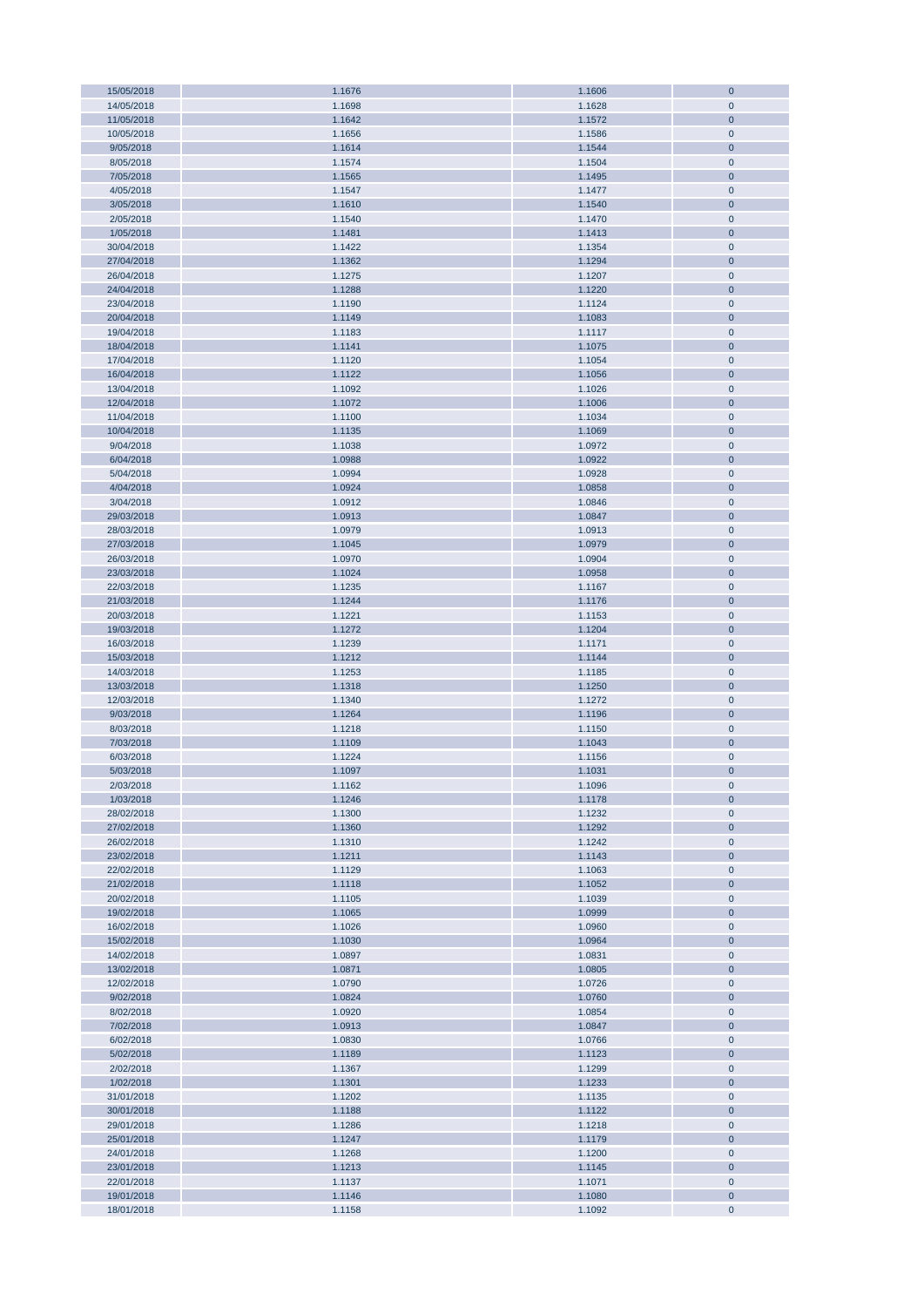| 15/05/2018 | 1.1676 | 1.1606 | $\mathbf{0}$   |
|------------|--------|--------|----------------|
| 14/05/2018 | 1.1698 | 1.1628 | $\mathbf 0$    |
| 11/05/2018 | 1.1642 | 1.1572 | $\mathbf{0}$   |
| 10/05/2018 | 1.1656 | 1.1586 | $\pmb{0}$      |
|            |        |        |                |
| 9/05/2018  | 1.1614 | 1.1544 | $\bf 0$        |
| 8/05/2018  | 1.1574 | 1.1504 | $\pmb{0}$      |
| 7/05/2018  | 1.1565 | 1.1495 | $\pmb{0}$      |
| 4/05/2018  | 1.1547 | 1.1477 | $\pmb{0}$      |
| 3/05/2018  | 1.1610 | 1.1540 | $\pmb{0}$      |
|            |        |        |                |
| 2/05/2018  | 1.1540 | 1.1470 | $\pmb{0}$      |
| 1/05/2018  | 1.1481 | 1.1413 | $\pmb{0}$      |
| 30/04/2018 | 1.1422 | 1.1354 | $\pmb{0}$      |
| 27/04/2018 | 1.1362 | 1.1294 | $\pmb{0}$      |
|            |        |        |                |
| 26/04/2018 | 1.1275 | 1.1207 | $\pmb{0}$      |
| 24/04/2018 | 1.1288 | 1.1220 | $\pmb{0}$      |
| 23/04/2018 | 1.1190 | 1.1124 | $\pmb{0}$      |
| 20/04/2018 | 1.1149 | 1.1083 | $\pmb{0}$      |
|            |        |        |                |
| 19/04/2018 | 1.1183 | 1.1117 | $\pmb{0}$      |
| 18/04/2018 | 1.1141 | 1.1075 | $\pmb{0}$      |
| 17/04/2018 | 1.1120 | 1.1054 | $\pmb{0}$      |
| 16/04/2018 | 1.1122 | 1.1056 | $\pmb{0}$      |
|            |        |        |                |
| 13/04/2018 | 1.1092 | 1.1026 | $\pmb{0}$      |
| 12/04/2018 | 1.1072 | 1.1006 | $\bf 0$        |
| 11/04/2018 | 1.1100 | 1.1034 | $\pmb{0}$      |
| 10/04/2018 | 1.1135 | 1.1069 | $\bf 0$        |
| 9/04/2018  | 1.1038 | 1.0972 | $\pmb{0}$      |
|            |        |        |                |
| 6/04/2018  | 1.0988 | 1.0922 | $\bf 0$        |
| 5/04/2018  | 1.0994 | 1.0928 | $\pmb{0}$      |
| 4/04/2018  | 1.0924 | 1.0858 | $\pmb{0}$      |
| 3/04/2018  | 1.0912 | 1.0846 | $\pmb{0}$      |
|            |        |        |                |
| 29/03/2018 | 1.0913 | 1.0847 | $\pmb{0}$      |
| 28/03/2018 | 1.0979 | 1.0913 | $\pmb{0}$      |
| 27/03/2018 | 1.1045 | 1.0979 | $\pmb{0}$      |
| 26/03/2018 | 1.0970 | 1.0904 | $\pmb{0}$      |
| 23/03/2018 | 1.1024 | 1.0958 | $\pmb{0}$      |
|            |        |        |                |
| 22/03/2018 | 1.1235 | 1.1167 | $\pmb{0}$      |
| 21/03/2018 | 1.1244 | 1.1176 | $\pmb{0}$      |
| 20/03/2018 | 1.1221 | 1.1153 | $\pmb{0}$      |
| 19/03/2018 | 1.1272 | 1.1204 | $\pmb{0}$      |
|            |        |        |                |
| 16/03/2018 | 1.1239 | 1.1171 | $\pmb{0}$      |
| 15/03/2018 | 1.1212 | 1.1144 | $\pmb{0}$      |
| 14/03/2018 | 1.1253 | 1.1185 | $\pmb{0}$      |
| 13/03/2018 | 1.1318 | 1.1250 | $\pmb{0}$      |
|            |        |        |                |
| 12/03/2018 | 1.1340 | 1.1272 | $\pmb{0}$      |
| 9/03/2018  | 1.1264 | 1.1196 | $\pmb{0}$      |
| 8/03/2018  | 1.1218 | 1.1150 | $\pmb{0}$      |
| 7/03/2018  | 1.1109 | 1.1043 | $\bf{0}$       |
|            |        |        |                |
| 6/03/2018  | 1.1224 | 1.1156 | $\mathbf 0$    |
| 5/03/2018  | 1.1097 | 1.1031 | $\overline{0}$ |
| 2/03/2018  | 1.1162 | 1.1096 | $\pmb{0}$      |
| 1/03/2018  | 1.1246 | 1.1178 | $\bf 0$        |
| 28/02/2018 | 1.1300 | 1.1232 | $\pmb{0}$      |
|            |        |        |                |
| 27/02/2018 | 1.1360 | 1.1292 | $\pmb{0}$      |
| 26/02/2018 | 1.1310 | 1.1242 | $\pmb{0}$      |
| 23/02/2018 | 1.1211 | 1.1143 | $\pmb{0}$      |
| 22/02/2018 | 1.1129 | 1.1063 | $\pmb{0}$      |
|            |        |        |                |
| 21/02/2018 | 1.1118 | 1.1052 | $\pmb{0}$      |
| 20/02/2018 | 1.1105 | 1.1039 | $\pmb{0}$      |
| 19/02/2018 | 1.1065 | 1.0999 | $\pmb{0}$      |
| 16/02/2018 | 1.1026 | 1.0960 | $\pmb{0}$      |
| 15/02/2018 | 1.1030 | 1.0964 | $\pmb{0}$      |
|            |        |        |                |
| 14/02/2018 | 1.0897 | 1.0831 | $\pmb{0}$      |
| 13/02/2018 | 1.0871 | 1.0805 | $\pmb{0}$      |
| 12/02/2018 | 1.0790 | 1.0726 | $\pmb{0}$      |
| 9/02/2018  | 1.0824 | 1.0760 | $\pmb{0}$      |
| 8/02/2018  | 1.0920 | 1.0854 | $\pmb{0}$      |
|            |        |        |                |
| 7/02/2018  | 1.0913 | 1.0847 | $\pmb{0}$      |
| 6/02/2018  | 1.0830 | 1.0766 | $\pmb{0}$      |
| 5/02/2018  | 1.1189 | 1.1123 | $\bf 0$        |
| 2/02/2018  | 1.1367 | 1.1299 | $\pmb{0}$      |
|            |        |        |                |
| 1/02/2018  | 1.1301 | 1.1233 | $\bf 0$        |
| 31/01/2018 | 1.1202 | 1.1135 | $\pmb{0}$      |
| 30/01/2018 | 1.1188 | 1.1122 | $\bf 0$        |
| 29/01/2018 | 1.1286 | 1.1218 | $\pmb{0}$      |
|            |        |        |                |
| 25/01/2018 | 1.1247 | 1.1179 | $\bf 0$        |
| 24/01/2018 | 1.1268 | 1.1200 | $\pmb{0}$      |
| 23/01/2018 | 1.1213 | 1.1145 | $\pmb{0}$      |
| 22/01/2018 | 1.1137 | 1.1071 | $\pmb{0}$      |
| 19/01/2018 | 1.1146 | 1.1080 | $\pmb{0}$      |
|            |        |        |                |
| 18/01/2018 | 1.1158 | 1.1092 | $\pmb{0}$      |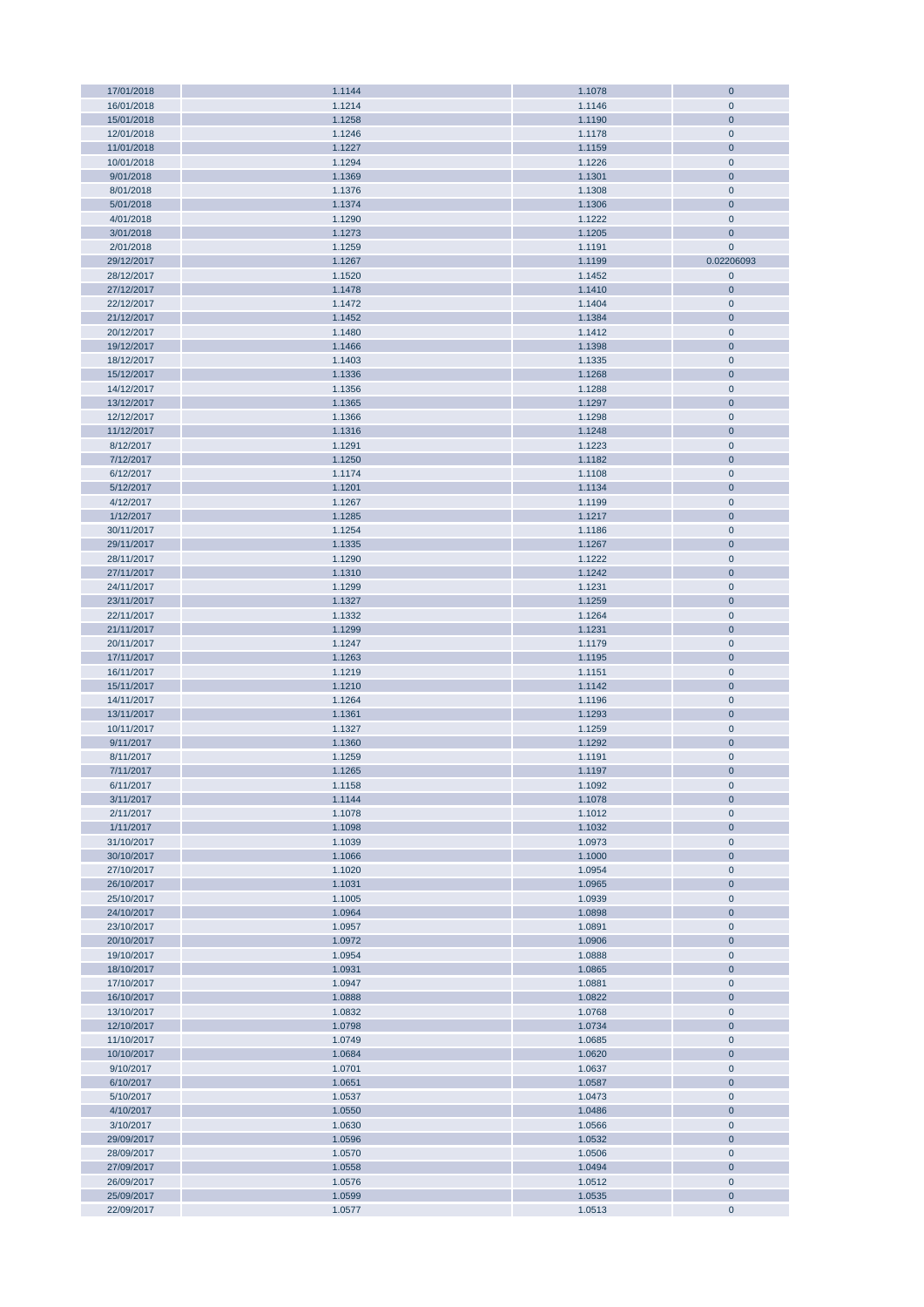| 17/01/2018 | 1.1144 | 1.1078 | $\bf 0$        |
|------------|--------|--------|----------------|
| 16/01/2018 | 1.1214 | 1.1146 | $\mathbf 0$    |
| 15/01/2018 | 1.1258 | 1.1190 | $\bf 0$        |
|            |        |        |                |
| 12/01/2018 | 1.1246 | 1.1178 | $\pmb{0}$      |
| 11/01/2018 | 1.1227 | 1.1159 | $\bf 0$        |
| 10/01/2018 | 1.1294 | 1.1226 | $\pmb{0}$      |
| 9/01/2018  | 1.1369 | 1.1301 | $\mathbf 0$    |
|            |        |        |                |
| 8/01/2018  | 1.1376 | 1.1308 | $\mathbf 0$    |
| 5/01/2018  | 1.1374 | 1.1306 | $\mathbf 0$    |
| 4/01/2018  | 1.1290 | 1.1222 | $\mathbf 0$    |
| 3/01/2018  | 1.1273 | 1.1205 | $\mathbf 0$    |
|            |        |        |                |
| 2/01/2018  | 1.1259 | 1.1191 | $\mathbf 0$    |
| 29/12/2017 | 1.1267 | 1.1199 | 0.02206093     |
| 28/12/2017 | 1.1520 | 1.1452 | $\pmb{0}$      |
| 27/12/2017 | 1.1478 | 1.1410 | $\mathbf 0$    |
|            |        |        |                |
| 22/12/2017 | 1.1472 | 1.1404 | $\mathbf 0$    |
| 21/12/2017 | 1.1452 | 1.1384 | $\mathbf 0$    |
| 20/12/2017 | 1.1480 | 1.1412 | $\pmb{0}$      |
| 19/12/2017 | 1.1466 | 1.1398 | $\mathbf 0$    |
|            |        |        |                |
| 18/12/2017 | 1.1403 | 1.1335 | $\pmb{0}$      |
| 15/12/2017 | 1.1336 | 1.1268 | $\overline{0}$ |
| 14/12/2017 | 1.1356 | 1.1288 | $\pmb{0}$      |
| 13/12/2017 | 1.1365 | 1.1297 | $\mathbf 0$    |
| 12/12/2017 | 1.1366 | 1.1298 | $\pmb{0}$      |
|            |        |        |                |
| 11/12/2017 | 1.1316 | 1.1248 | $\bf 0$        |
| 8/12/2017  | 1.1291 | 1.1223 | $\pmb{0}$      |
| 7/12/2017  | 1.1250 | 1.1182 | $\bf 0$        |
| 6/12/2017  | 1.1174 | 1.1108 | $\pmb{0}$      |
|            |        |        |                |
| 5/12/2017  | 1.1201 | 1.1134 | $\bf 0$        |
| 4/12/2017  | 1.1267 | 1.1199 | $\pmb{0}$      |
| 1/12/2017  | 1.1285 | 1.1217 | $\mathbf 0$    |
| 30/11/2017 | 1.1254 | 1.1186 | $\pmb{0}$      |
|            |        |        |                |
| 29/11/2017 | 1.1335 | 1.1267 | $\mathbf 0$    |
| 28/11/2017 | 1.1290 | 1.1222 | $\pmb{0}$      |
| 27/11/2017 | 1.1310 | 1.1242 | $\mathbf 0$    |
| 24/11/2017 | 1.1299 | 1.1231 | $\pmb{0}$      |
|            |        |        |                |
| 23/11/2017 | 1.1327 | 1.1259 | $\mathbf 0$    |
| 22/11/2017 | 1.1332 | 1.1264 | $\pmb{0}$      |
| 21/11/2017 | 1.1299 | 1.1231 | $\mathbf 0$    |
| 20/11/2017 | 1.1247 | 1.1179 | $\pmb{0}$      |
|            |        |        |                |
| 17/11/2017 | 1.1263 | 1.1195 | $\mathbf 0$    |
| 16/11/2017 | 1.1219 | 1.1151 | $\mathbf 0$    |
| 15/11/2017 | 1.1210 | 1.1142 | $\mathbf 0$    |
| 14/11/2017 | 1.1264 | 1.1196 | $\mathbf 0$    |
|            |        |        |                |
| 13/11/2017 | 1.1361 | 1.1293 | $\overline{0}$ |
| 10/11/2017 | 1.1327 | 1.1259 | $\pmb{0}$      |
| 9/11/2017  | 1.1360 | 1.1292 | $\pmb{0}$      |
| 8/11/2017  | 1.1259 | 1.1191 | $\pmb{0}$      |
|            |        |        |                |
| 7/11/2017  | 1.1265 | 1.1197 | $\mathbf 0$    |
| 6/11/2017  | 1.1158 | 1.1092 | $\mathbf 0$    |
| 3/11/2017  | 1.1144 | 1.1078 | $\bf 0$        |
| 2/11/2017  | 1.1078 | 1.1012 | $\mathbf 0$    |
|            |        |        | $\mathbf 0$    |
| 1/11/2017  | 1.1098 | 1.1032 |                |
| 31/10/2017 | 1.1039 | 1.0973 | $\pmb{0}$      |
| 30/10/2017 | 1.1066 | 1.1000 | $\mathbf 0$    |
| 27/10/2017 | 1.1020 | 1.0954 | $\mathbf 0$    |
| 26/10/2017 | 1.1031 | 1.0965 | $\mathbf 0$    |
|            |        |        |                |
| 25/10/2017 | 1.1005 | 1.0939 | $\mathbf 0$    |
| 24/10/2017 | 1.0964 | 1.0898 | $\mathbf 0$    |
| 23/10/2017 | 1.0957 | 1.0891 | $\pmb{0}$      |
| 20/10/2017 | 1.0972 | 1.0906 | $\mathbf 0$    |
| 19/10/2017 | 1.0954 | 1.0888 | $\pmb{0}$      |
|            |        |        |                |
| 18/10/2017 | 1.0931 | 1.0865 | $\mathbf 0$    |
| 17/10/2017 | 1.0947 | 1.0881 | $\mathbf 0$    |
| 16/10/2017 | 1.0888 | 1.0822 | $\mathbf 0$    |
| 13/10/2017 | 1.0832 | 1.0768 | $\pmb{0}$      |
| 12/10/2017 | 1.0798 |        | $\mathbf 0$    |
|            |        | 1.0734 |                |
| 11/10/2017 | 1.0749 | 1.0685 | $\mathbf 0$    |
| 10/10/2017 | 1.0684 | 1.0620 | $\overline{0}$ |
| 9/10/2017  | 1.0701 | 1.0637 | $\pmb{0}$      |
| 6/10/2017  | 1.0651 | 1.0587 | $\overline{0}$ |
|            |        |        |                |
| 5/10/2017  | 1.0537 | 1.0473 | $\pmb{0}$      |
| 4/10/2017  | 1.0550 | 1.0486 | $\bf 0$        |
| 3/10/2017  | 1.0630 | 1.0566 | $\pmb{0}$      |
| 29/09/2017 | 1.0596 | 1.0532 | $\bf 0$        |
|            |        |        |                |
| 28/09/2017 | 1.0570 | 1.0506 | $\pmb{0}$      |
| 27/09/2017 | 1.0558 | 1.0494 | $\mathbf 0$    |
| 26/09/2017 | 1.0576 | 1.0512 | $\mathbf 0$    |
| 25/09/2017 | 1.0599 | 1.0535 | $\mathbf 0$    |
|            |        |        |                |
| 22/09/2017 | 1.0577 | 1.0513 | $\mathbf 0$    |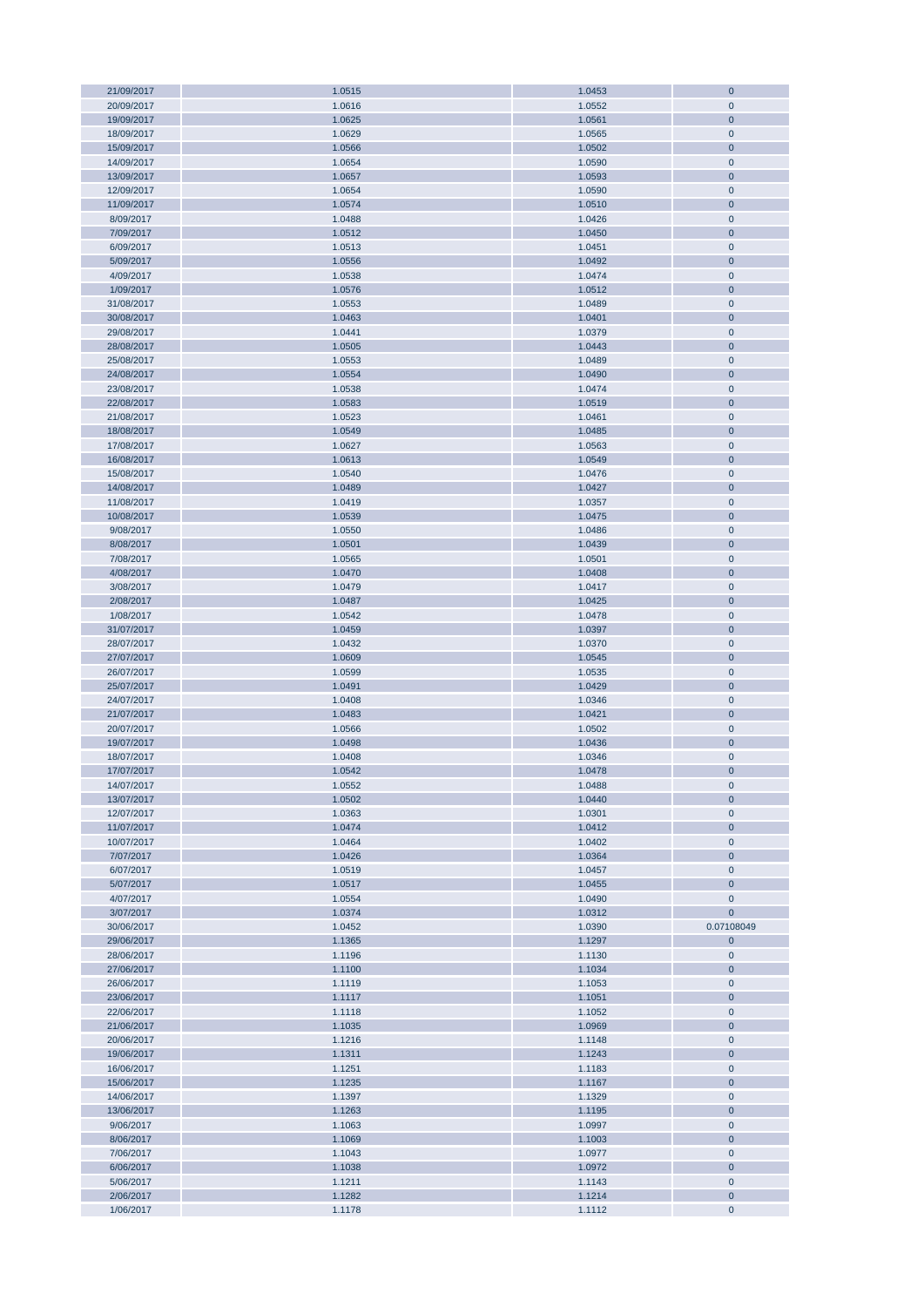| 21/09/2017 | 1.0515 | 1.0453 | $\mathbf 0$    |
|------------|--------|--------|----------------|
| 20/09/2017 | 1.0616 | 1.0552 | $\mathbf 0$    |
| 19/09/2017 | 1.0625 | 1.0561 | $\mathbf 0$    |
| 18/09/2017 | 1.0629 | 1.0565 | $\mathbf 0$    |
|            |        |        |                |
| 15/09/2017 | 1.0566 | 1.0502 | $\mathbf 0$    |
| 14/09/2017 | 1.0654 | 1.0590 | $\mathbf 0$    |
| 13/09/2017 | 1.0657 | 1.0593 | $\mathbf 0$    |
| 12/09/2017 | 1.0654 | 1.0590 | $\mathbf 0$    |
|            |        |        |                |
| 11/09/2017 | 1.0574 | 1.0510 | $\bf 0$        |
| 8/09/2017  | 1.0488 | 1.0426 | $\mathbf 0$    |
| 7/09/2017  | 1.0512 | 1.0450 | $\mathbf 0$    |
| 6/09/2017  | 1.0513 | 1.0451 | $\mathbf 0$    |
| 5/09/2017  | 1.0556 | 1.0492 | $\bf 0$        |
|            |        |        |                |
| 4/09/2017  | 1.0538 | 1.0474 | $\pmb{0}$      |
| 1/09/2017  | 1.0576 | 1.0512 | $\mathbf 0$    |
| 31/08/2017 | 1.0553 | 1.0489 | $\mathbf 0$    |
| 30/08/2017 | 1.0463 | 1.0401 | $\mathbf 0$    |
|            |        |        |                |
| 29/08/2017 | 1.0441 | 1.0379 | $\mathbf 0$    |
| 28/08/2017 | 1.0505 | 1.0443 | $\mathbf 0$    |
| 25/08/2017 | 1.0553 | 1.0489 | $\mathbf 0$    |
| 24/08/2017 | 1.0554 | 1.0490 | $\mathbf 0$    |
|            | 1.0538 | 1.0474 | $\mathbf 0$    |
| 23/08/2017 |        |        |                |
| 22/08/2017 | 1.0583 | 1.0519 | $\mathbf 0$    |
| 21/08/2017 | 1.0523 | 1.0461 | $\mathbf 0$    |
| 18/08/2017 | 1.0549 | 1.0485 | $\mathbf 0$    |
| 17/08/2017 | 1.0627 | 1.0563 | $\pmb{0}$      |
|            |        |        |                |
| 16/08/2017 | 1.0613 | 1.0549 | $\mathbf 0$    |
| 15/08/2017 | 1.0540 | 1.0476 | $\mathbf 0$    |
| 14/08/2017 | 1.0489 | 1.0427 | $\mathbf 0$    |
| 11/08/2017 | 1.0419 | 1.0357 | $\mathbf 0$    |
|            |        |        |                |
| 10/08/2017 | 1.0539 | 1.0475 | $\overline{0}$ |
| 9/08/2017  | 1.0550 | 1.0486 | $\mathbf 0$    |
| 8/08/2017  | 1.0501 | 1.0439 | $\overline{0}$ |
| 7/08/2017  | 1.0565 | 1.0501 | $\pmb{0}$      |
| 4/08/2017  | 1.0470 | 1.0408 | $\mathbf 0$    |
|            |        |        |                |
| 3/08/2017  | 1.0479 | 1.0417 | $\pmb{0}$      |
| 2/08/2017  | 1.0487 | 1.0425 | $\mathbf 0$    |
| 1/08/2017  | 1.0542 | 1.0478 | $\pmb{0}$      |
| 31/07/2017 | 1.0459 | 1.0397 | $\mathbf 0$    |
|            |        |        |                |
| 28/07/2017 | 1.0432 | 1.0370 | $\mathbf 0$    |
| 27/07/2017 | 1.0609 | 1.0545 | $\mathbf 0$    |
| 26/07/2017 | 1.0599 | 1.0535 | $\mathbf 0$    |
| 25/07/2017 | 1.0491 | 1.0429 | $\mathbf 0$    |
| 24/07/2017 | 1.0408 | 1.0346 | $\mathbf 0$    |
|            |        |        |                |
| 21/07/2017 | 1.0483 | 1.0421 | $\mathbf 0$    |
| 20/07/2017 | 1.0566 | 1.0502 | $\mathbf 0$    |
| 19/07/2017 | 1.0498 | 1.0436 | $\mathbf 0$    |
| 18/07/2017 | 1.0408 | 1.0346 | $\mathbf 0$    |
|            |        |        |                |
| 17/07/2017 | 1.0542 | 1.0478 | $\overline{0}$ |
| 14/07/2017 | 1.0552 | 1.0488 | $\mathbf 0$    |
| 13/07/2017 | 1.0502 | 1.0440 | $\bf 0$        |
| 12/07/2017 | 1.0363 | 1.0301 | $\mathbf 0$    |
| 11/07/2017 | 1.0474 | 1.0412 | $\pmb{0}$      |
|            |        |        |                |
| 10/07/2017 | 1.0464 | 1.0402 | $\pmb{0}$      |
| 7/07/2017  | 1.0426 | 1.0364 | $\pmb{0}$      |
| 6/07/2017  | 1.0519 | 1.0457 | $\pmb{0}$      |
| 5/07/2017  | 1.0517 | 1.0455 | $\bf 0$        |
| 4/07/2017  | 1.0554 | 1.0490 | $\pmb{0}$      |
|            |        |        |                |
| 3/07/2017  | 1.0374 | 1.0312 | $\mathbf{0}$   |
| 30/06/2017 | 1.0452 | 1.0390 | 0.07108049     |
| 29/06/2017 | 1.1365 | 1.1297 | $\bf{0}$       |
| 28/06/2017 | 1.1196 | 1.1130 | $\pmb{0}$      |
|            | 1.1100 | 1.1034 |                |
| 27/06/2017 |        |        | $\mathbf 0$    |
| 26/06/2017 | 1.1119 | 1.1053 | $\pmb{0}$      |
| 23/06/2017 | 1.1117 | 1.1051 | $\mathbf 0$    |
| 22/06/2017 | 1.1118 | 1.1052 | $\mathbf 0$    |
| 21/06/2017 | 1.1035 | 1.0969 | $\mathbf 0$    |
|            |        |        |                |
| 20/06/2017 | 1.1216 | 1.1148 | $\pmb{0}$      |
| 19/06/2017 | 1.1311 | 1.1243 | $\mathbf 0$    |
| 16/06/2017 | 1.1251 | 1.1183 | $\pmb{0}$      |
| 15/06/2017 | 1.1235 | 1.1167 | $\mathbf 0$    |
| 14/06/2017 | 1.1397 | 1.1329 | $\pmb{0}$      |
|            |        |        |                |
| 13/06/2017 | 1.1263 | 1.1195 | $\mathbf 0$    |
| 9/06/2017  | 1.1063 | 1.0997 | $\pmb{0}$      |
| 8/06/2017  | 1.1069 | 1.1003 | $\bf 0$        |
| 7/06/2017  | 1.1043 | 1.0977 | $\pmb{0}$      |
|            |        |        |                |
| 6/06/2017  | 1.1038 | 1.0972 | $\bf 0$        |
| 5/06/2017  | 1.1211 | 1.1143 | $\pmb{0}$      |
| 2/06/2017  | 1.1282 | 1.1214 | $\mathbf 0$    |
| 1/06/2017  | 1.1178 | 1.1112 | $\pmb{0}$      |
|            |        |        |                |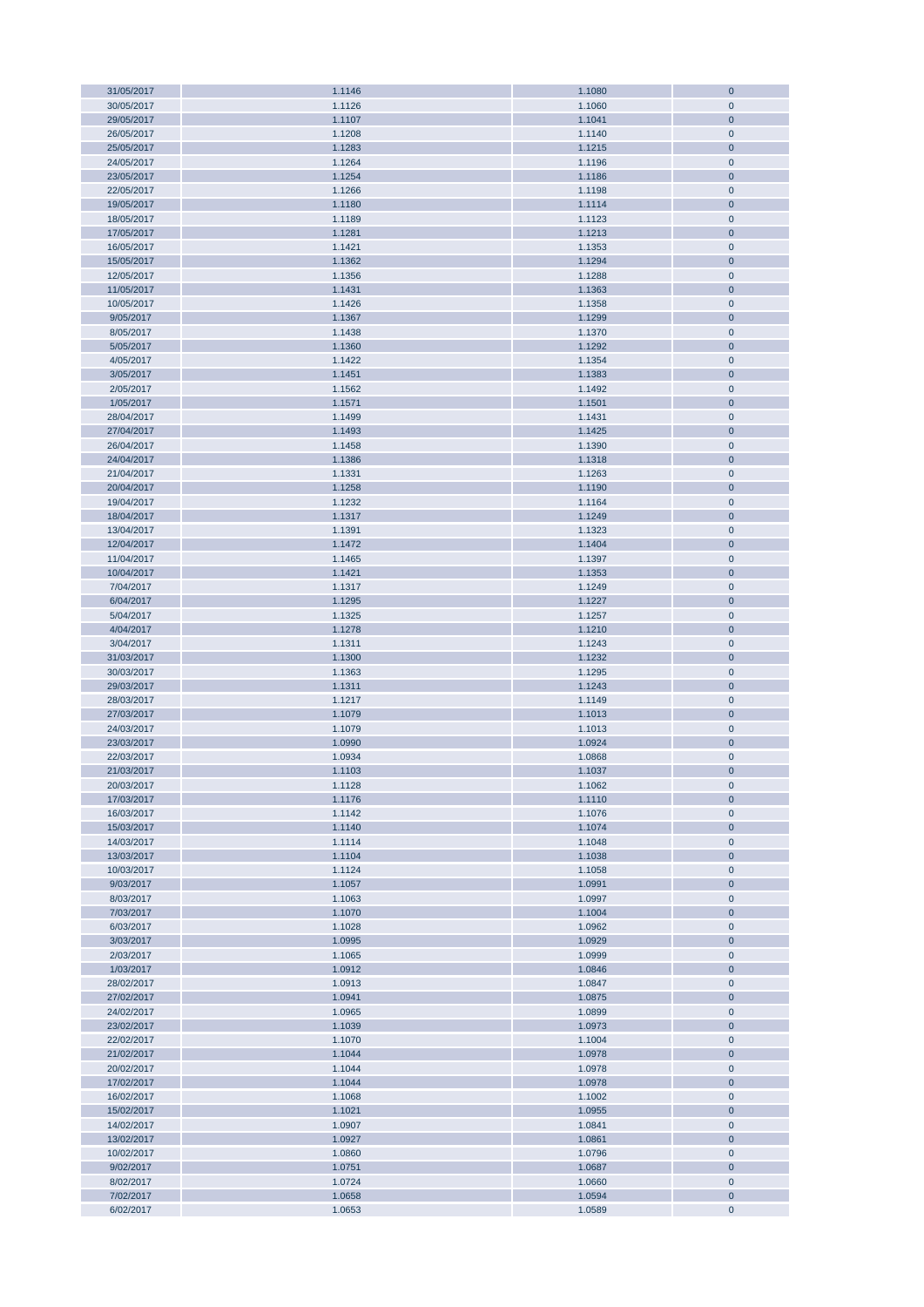| 31/05/2017 | 1.1146 | 1.1080 | $\bf{0}$       |
|------------|--------|--------|----------------|
| 30/05/2017 | 1.1126 | 1.1060 | $\mathbf 0$    |
| 29/05/2017 | 1.1107 | 1.1041 | $\overline{0}$ |
| 26/05/2017 | 1.1208 | 1.1140 | $\pmb{0}$      |
|            |        |        |                |
| 25/05/2017 | 1.1283 | 1.1215 | $\bf 0$        |
| 24/05/2017 | 1.1264 | 1.1196 | $\pmb{0}$      |
| 23/05/2017 | 1.1254 | 1.1186 | $\bf 0$        |
| 22/05/2017 | 1.1266 | 1.1198 | $\pmb{0}$      |
| 19/05/2017 | 1.1180 | 1.1114 | $\bf 0$        |
|            |        |        |                |
| 18/05/2017 | 1.1189 | 1.1123 | $\pmb{0}$      |
| 17/05/2017 | 1.1281 | 1.1213 | $\pmb{0}$      |
| 16/05/2017 | 1.1421 | 1.1353 | $\pmb{0}$      |
| 15/05/2017 | 1.1362 | 1.1294 | $\pmb{0}$      |
|            |        |        |                |
| 12/05/2017 | 1.1356 | 1.1288 | $\pmb{0}$      |
| 11/05/2017 | 1.1431 | 1.1363 | $\pmb{0}$      |
| 10/05/2017 | 1.1426 | 1.1358 | $\pmb{0}$      |
| 9/05/2017  | 1.1367 | 1.1299 | $\pmb{0}$      |
|            |        |        |                |
| 8/05/2017  | 1.1438 | 1.1370 | $\pmb{0}$      |
| 5/05/2017  | 1.1360 | 1.1292 | $\pmb{0}$      |
| 4/05/2017  | 1.1422 | 1.1354 | $\pmb{0}$      |
| 3/05/2017  | 1.1451 | 1.1383 | $\bf 0$        |
| 2/05/2017  | 1.1562 | 1.1492 | $\pmb{0}$      |
|            |        |        |                |
| 1/05/2017  | 1.1571 | 1.1501 | $\mathbf{0}$   |
| 28/04/2017 | 1.1499 | 1.1431 | $\pmb{0}$      |
| 27/04/2017 | 1.1493 | 1.1425 | $\mathbf{0}$   |
| 26/04/2017 | 1.1458 | 1.1390 | $\pmb{0}$      |
|            |        |        |                |
| 24/04/2017 | 1.1386 | 1.1318 | $\bf 0$        |
| 21/04/2017 | 1.1331 | 1.1263 | $\pmb{0}$      |
| 20/04/2017 | 1.1258 | 1.1190 | $\bf 0$        |
| 19/04/2017 | 1.1232 | 1.1164 | $\pmb{0}$      |
| 18/04/2017 | 1.1317 |        | $\bf 0$        |
|            |        | 1.1249 |                |
| 13/04/2017 | 1.1391 | 1.1323 | $\pmb{0}$      |
| 12/04/2017 | 1.1472 | 1.1404 | $\bf 0$        |
| 11/04/2017 | 1.1465 | 1.1397 | $\pmb{0}$      |
| 10/04/2017 | 1.1421 | 1.1353 | $\bf 0$        |
|            |        |        |                |
| 7/04/2017  | 1.1317 | 1.1249 | $\pmb{0}$      |
| 6/04/2017  | 1.1295 | 1.1227 | $\pmb{0}$      |
| 5/04/2017  | 1.1325 | 1.1257 | $\pmb{0}$      |
| 4/04/2017  | 1.1278 | 1.1210 | $\pmb{0}$      |
|            |        |        |                |
| 3/04/2017  | 1.1311 | 1.1243 | $\pmb{0}$      |
| 31/03/2017 | 1.1300 | 1.1232 | $\pmb{0}$      |
| 30/03/2017 | 1.1363 | 1.1295 | $\pmb{0}$      |
| 29/03/2017 | 1.1311 | 1.1243 | $\pmb{0}$      |
|            |        |        |                |
| 28/03/2017 | 1.1217 | 1.1149 | $\pmb{0}$      |
| 27/03/2017 | 1.1079 | 1.1013 | $\bf{0}$       |
| 24/03/2017 | 1.1079 | 1.1013 | $\pmb{0}$      |
| 23/03/2017 | 1.0990 | 1.0924 | $\mathbf{0}$   |
| 22/03/2017 | 1.0934 | 1.0868 | $\mathbf{0}$   |
|            |        |        |                |
| 21/03/2017 | 1.1103 | 1.1037 | $\overline{0}$ |
| 20/03/2017 | 1.1128 | 1.1062 | $\pmb{0}$      |
| 17/03/2017 | 1.1176 | 1.1110 | $\bf{0}$       |
| 16/03/2017 | 1.1142 | 1.1076 | $\pmb{0}$      |
|            |        |        |                |
| 15/03/2017 | 1.1140 | 1.1074 | $\pmb{0}$      |
| 14/03/2017 | 1.1114 | 1.1048 | $\pmb{0}$      |
| 13/03/2017 | 1.1104 | 1.1038 | $\pmb{0}$      |
| 10/03/2017 | 1.1124 | 1.1058 | $\pmb{0}$      |
| 9/03/2017  | 1.1057 | 1.0991 | $\pmb{0}$      |
|            |        |        |                |
| 8/03/2017  | 1.1063 | 1.0997 | $\pmb{0}$      |
| 7/03/2017  | 1.1070 | 1.1004 | $\pmb{0}$      |
| 6/03/2017  | 1.1028 | 1.0962 | $\pmb{0}$      |
| 3/03/2017  | 1.0995 | 1.0929 | $\pmb{0}$      |
|            |        |        |                |
| 2/03/2017  | 1.1065 | 1.0999 | $\pmb{0}$      |
| 1/03/2017  | 1.0912 | 1.0846 | $\pmb{0}$      |
| 28/02/2017 | 1.0913 | 1.0847 | $\pmb{0}$      |
| 27/02/2017 | 1.0941 | 1.0875 | $\pmb{0}$      |
| 24/02/2017 | 1.0965 | 1.0899 | $\pmb{0}$      |
|            |        |        |                |
| 23/02/2017 | 1.1039 | 1.0973 | $\bf 0$        |
| 22/02/2017 | 1.1070 | 1.1004 | $\pmb{0}$      |
| 21/02/2017 | 1.1044 | 1.0978 | $\bf 0$        |
| 20/02/2017 | 1.1044 | 1.0978 | $\pmb{0}$      |
| 17/02/2017 | 1.1044 | 1.0978 | $\mathbf{0}$   |
|            |        |        |                |
| 16/02/2017 | 1.1068 | 1.1002 | $\pmb{0}$      |
| 15/02/2017 | 1.1021 | 1.0955 | $\mathbf{0}$   |
| 14/02/2017 | 1.0907 | 1.0841 | $\pmb{0}$      |
| 13/02/2017 | 1.0927 | 1.0861 | $\mathbf{0}$   |
|            |        |        |                |
| 10/02/2017 | 1.0860 | 1.0796 | $\pmb{0}$      |
| 9/02/2017  | 1.0751 | 1.0687 | $\bf 0$        |
| 8/02/2017  | 1.0724 | 1.0660 | $\pmb{0}$      |
| 7/02/2017  | 1.0658 | 1.0594 | $\pmb{0}$      |
|            | 1.0653 | 1.0589 | $\pmb{0}$      |
| 6/02/2017  |        |        |                |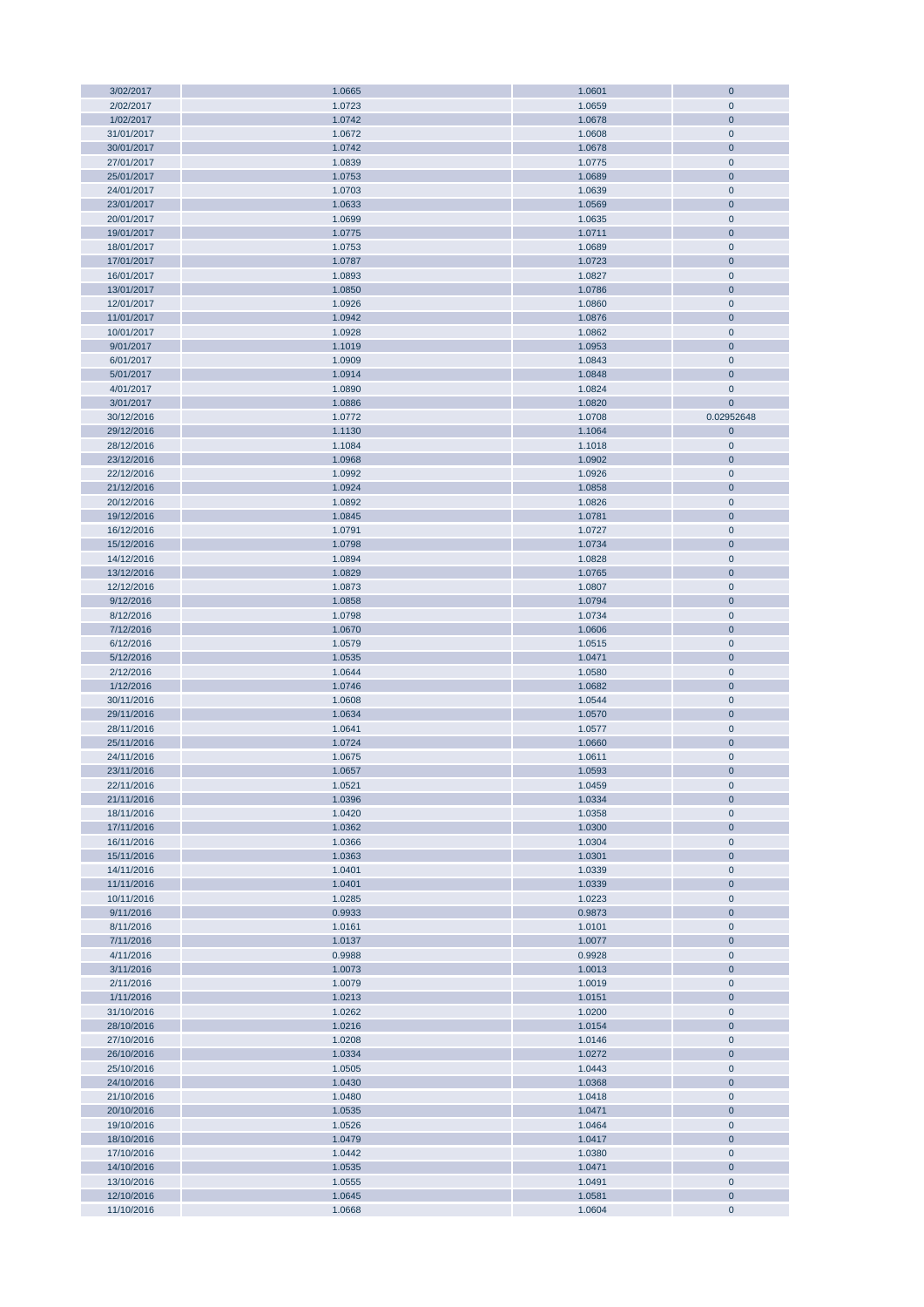| 3/02/2017  | 1.0665 | 1.0601 | $\mathbf 0$    |
|------------|--------|--------|----------------|
| 2/02/2017  | 1.0723 | 1.0659 | $\mathbf 0$    |
| 1/02/2017  | 1.0742 | 1.0678 | $\mathbf 0$    |
| 31/01/2017 |        |        | $\mathbf 0$    |
|            | 1.0672 | 1.0608 |                |
| 30/01/2017 | 1.0742 | 1.0678 | $\mathbf 0$    |
| 27/01/2017 | 1.0839 | 1.0775 | $\pmb{0}$      |
| 25/01/2017 | 1.0753 | 1.0689 | $\mathbf 0$    |
| 24/01/2017 | 1.0703 | 1.0639 | $\mathbf 0$    |
|            |        |        |                |
| 23/01/2017 | 1.0633 | 1.0569 | $\mathbf 0$    |
| 20/01/2017 | 1.0699 | 1.0635 | $\mathbf 0$    |
| 19/01/2017 | 1.0775 | 1.0711 | $\mathbf 0$    |
| 18/01/2017 | 1.0753 | 1.0689 | $\mathbf 0$    |
|            |        |        |                |
| 17/01/2017 | 1.0787 | 1.0723 | $\mathbf 0$    |
| 16/01/2017 | 1.0893 | 1.0827 | $\mathbf 0$    |
| 13/01/2017 | 1.0850 | 1.0786 | $\mathbf 0$    |
| 12/01/2017 | 1.0926 | 1.0860 | $\mathbf 0$    |
| 11/01/2017 | 1.0942 | 1.0876 | $\mathbf 0$    |
|            |        |        |                |
| 10/01/2017 | 1.0928 | 1.0862 | $\mathbf 0$    |
| 9/01/2017  | 1.1019 | 1.0953 | $\mathbf 0$    |
| 6/01/2017  | 1.0909 | 1.0843 | $\mathbf 0$    |
| 5/01/2017  | 1.0914 | 1.0848 | $\mathbf 0$    |
| 4/01/2017  | 1.0890 | 1.0824 | $\mathbf 0$    |
|            |        |        |                |
| 3/01/2017  | 1.0886 | 1.0820 | $\overline{0}$ |
| 30/12/2016 | 1.0772 | 1.0708 | 0.02952648     |
| 29/12/2016 | 1.1130 | 1.1064 | $\mathbf 0$    |
| 28/12/2016 | 1.1084 | 1.1018 | $\pmb{0}$      |
|            |        |        |                |
| 23/12/2016 | 1.0968 | 1.0902 | $\mathbf 0$    |
| 22/12/2016 | 1.0992 | 1.0926 | $\pmb{0}$      |
| 21/12/2016 | 1.0924 | 1.0858 | $\mathbf 0$    |
| 20/12/2016 | 1.0892 | 1.0826 | $\pmb{0}$      |
| 19/12/2016 | 1.0845 | 1.0781 | $\mathbf 0$    |
|            |        |        |                |
| 16/12/2016 | 1.0791 | 1.0727 | $\pmb{0}$      |
| 15/12/2016 | 1.0798 | 1.0734 | $\mathbf 0$    |
| 14/12/2016 | 1.0894 | 1.0828 | $\pmb{0}$      |
| 13/12/2016 | 1.0829 | 1.0765 | $\mathbf 0$    |
| 12/12/2016 | 1.0873 | 1.0807 | $\mathbf 0$    |
|            |        |        |                |
| 9/12/2016  | 1.0858 | 1.0794 | $\mathbf 0$    |
| 8/12/2016  | 1.0798 | 1.0734 | $\mathbf 0$    |
| 7/12/2016  | 1.0670 | 1.0606 | $\mathbf 0$    |
| 6/12/2016  | 1.0579 | 1.0515 | $\mathbf 0$    |
| 5/12/2016  | 1.0535 | 1.0471 | $\mathbf 0$    |
|            |        |        |                |
| 2/12/2016  | 1.0644 | 1.0580 | $\pmb{0}$      |
| 1/12/2016  | 1.0746 | 1.0682 | $\mathbf 0$    |
| 30/11/2016 | 1.0608 | 1.0544 | $\mathbf 0$    |
| 29/11/2016 | 1.0634 | 1.0570 | $\mathbf{0}$   |
|            |        |        |                |
| 28/11/2016 | 1.0641 | 1.0577 | $\mathbf 0$    |
| 25/11/2016 | 1.0724 | 1.0660 | $\mathbf 0$    |
| 24/11/2016 | 1.0675 | 1.0611 | $\mathbf 0$    |
| 23/11/2016 | 1.0657 | 1.0593 | $\overline{0}$ |
| 22/11/2016 | 1.0521 | 1.0459 | $\mathbf 0$    |
|            |        |        |                |
| 21/11/2016 | 1.0396 | 1.0334 | $\bf 0$        |
| 18/11/2016 | 1.0420 | 1.0358 | $\mathbf 0$    |
| 17/11/2016 | 1.0362 | 1.0300 | $\mathbf 0$    |
| 16/11/2016 | 1.0366 | 1.0304 | $\mathbf 0$    |
| 15/11/2016 | 1.0363 | 1.0301 | $\mathbf 0$    |
|            |        |        |                |
| 14/11/2016 | 1.0401 | 1.0339 | $\mathbf 0$    |
| 11/11/2016 | 1.0401 | 1.0339 | $\mathbf 0$    |
| 10/11/2016 | 1.0285 | 1.0223 | $\pmb{0}$      |
| 9/11/2016  | 0.9933 | 0.9873 | $\mathbf 0$    |
| 8/11/2016  | 1.0161 | 1.0101 | $\mathbf 0$    |
|            |        |        |                |
| 7/11/2016  | 1.0137 | 1.0077 | $\mathbf 0$    |
| 4/11/2016  | 0.9988 | 0.9928 | $\mathbf 0$    |
| 3/11/2016  | 1.0073 | 1.0013 | $\mathbf 0$    |
| 2/11/2016  | 1.0079 | 1.0019 | $\mathbf 0$    |
| 1/11/2016  | 1.0213 | 1.0151 | $\mathbf 0$    |
|            |        |        |                |
| 31/10/2016 | 1.0262 | 1.0200 | $\pmb{0}$      |
| 28/10/2016 | 1.0216 | 1.0154 | $\mathbf 0$    |
| 27/10/2016 | 1.0208 | 1.0146 | $\mathbf 0$    |
| 26/10/2016 | 1.0334 | 1.0272 | $\mathbf 0$    |
| 25/10/2016 | 1.0505 | 1.0443 | $\mathbf 0$    |
|            |        |        |                |
| 24/10/2016 | 1.0430 | 1.0368 | $\overline{0}$ |
| 21/10/2016 | 1.0480 | 1.0418 | $\mathbf 0$    |
| 20/10/2016 | 1.0535 | 1.0471 | $\overline{0}$ |
| 19/10/2016 | 1.0526 | 1.0464 | $\pmb{0}$      |
|            |        |        |                |
| 18/10/2016 | 1.0479 | 1.0417 | $\mathbf 0$    |
| 17/10/2016 | 1.0442 | 1.0380 | $\pmb{0}$      |
| 14/10/2016 | 1.0535 | 1.0471 | $\mathbf 0$    |
| 13/10/2016 | 1.0555 | 1.0491 | $\pmb{0}$      |
| 12/10/2016 | 1.0645 | 1.0581 | $\mathbf 0$    |
|            |        |        |                |
| 11/10/2016 | 1.0668 | 1.0604 | $\pmb{0}$      |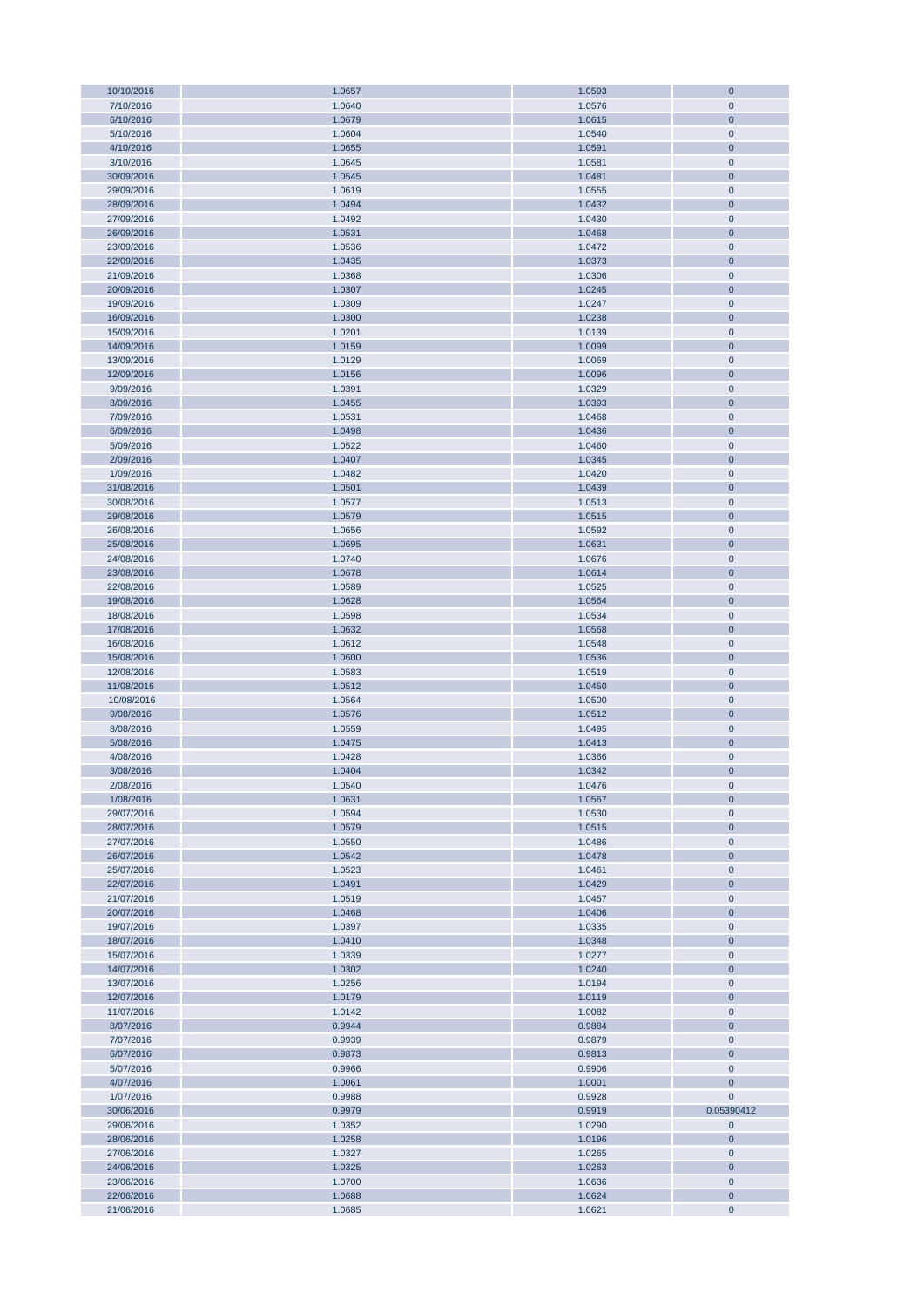| 10/10/2016<br>7/10/2016<br>6/10/2016 |                  |                  |                       |
|--------------------------------------|------------------|------------------|-----------------------|
|                                      | 1.0657           | 1.0593           | $\overline{0}$        |
|                                      | 1.0640           | 1.0576           | $\mathbf 0$           |
|                                      | 1.0679           | 1.0615           | $\mathbf{0}$          |
| 5/10/2016                            | 1.0604           | 1.0540           | $\mathbf 0$           |
| 4/10/2016                            | 1.0655           | 1.0591           | $\mathbf{0}$          |
| 3/10/2016                            | 1.0645           |                  |                       |
|                                      |                  | 1.0581           | $\pmb{0}$             |
| 30/09/2016                           | 1.0545           | 1.0481           | $\mathbf{0}$          |
| 29/09/2016                           | 1.0619           | 1.0555           | $\mathbf 0$           |
| 28/09/2016                           | 1.0494           | 1.0432           | $\mathbf 0$           |
| 27/09/2016                           | 1.0492           | 1.0430           | $\pmb{0}$             |
| 26/09/2016                           | 1.0531           | 1.0468           | $\mathbf 0$           |
| 23/09/2016                           | 1.0536           | 1.0472           | $\mathbf 0$           |
| 22/09/2016                           | 1.0435           | 1.0373           | $\overline{0}$        |
| 21/09/2016                           | 1.0368           | 1.0306           | $\mathbf 0$           |
|                                      |                  |                  |                       |
| 20/09/2016                           | 1.0307           | 1.0245           | $\mathbf 0$           |
| 19/09/2016                           | 1.0309           | 1.0247           | $\mathbf 0$           |
| 16/09/2016                           | 1.0300           | 1.0238           | $\overline{0}$        |
| 15/09/2016                           | 1.0201           | 1.0139           | $\pmb{0}$             |
| 14/09/2016                           | 1.0159           | 1.0099           | $\overline{0}$        |
| 13/09/2016                           | 1.0129           | 1.0069           | $\mathbf 0$           |
| 12/09/2016                           | 1.0156           | 1.0096           | $\overline{0}$        |
| 9/09/2016                            | 1.0391           | 1.0329           | $\pmb{0}$             |
|                                      |                  | 1.0393           | $\overline{0}$        |
| 8/09/2016                            | 1.0455           |                  |                       |
| 7/09/2016                            | 1.0531           | 1.0468           | $\mathbf 0$           |
| 6/09/2016                            | 1.0498           | 1.0436           | $\overline{0}$        |
| 5/09/2016                            | 1.0522           | 1.0460           | $\pmb{0}$             |
| 2/09/2016                            | 1.0407           | 1.0345           | $\overline{0}$        |
| 1/09/2016                            | 1.0482           | 1.0420           | $\mathbf 0$           |
| 31/08/2016                           | 1.0501           | 1.0439           | $\overline{0}$        |
| 30/08/2016                           | 1.0577           | 1.0513           | $\pmb{0}$             |
| 29/08/2016                           | 1.0579           | 1.0515           | $\overline{0}$        |
|                                      |                  |                  |                       |
| 26/08/2016                           | 1.0656           | 1.0592           | $\pmb{0}$             |
| 25/08/2016                           | 1.0695           | 1.0631           | $\mathbf 0$           |
| 24/08/2016                           | 1.0740           | 1.0676           | $\pmb{0}$             |
| 23/08/2016                           | 1.0678           | 1.0614           | $\mathbf{0}$          |
| 22/08/2016                           | 1.0589           | 1.0525           | $\mathbf 0$           |
| 19/08/2016                           | 1.0628           | 1.0564           | $\overline{0}$        |
| 18/08/2016                           | 1.0598           | 1.0534           | $\pmb{0}$             |
| 17/08/2016                           | 1.0632           | 1.0568           | $\overline{0}$        |
| 16/08/2016                           | 1.0612           | 1.0548           | $\mathbf 0$           |
|                                      |                  |                  |                       |
| 15/08/2016                           | 1.0600           | 1.0536           | $\overline{0}$        |
| 12/08/2016                           | 1.0583           | 1.0519           | $\pmb{0}$             |
| 11/08/2016                           | 1.0512           | 1.0450           | $\overline{0}$        |
| 10/08/2016                           | 1.0564           | 1.0500           | $\pmb{0}$             |
| 9/08/2016                            | 1.0576           | 1.0512           | $\overline{0}$        |
| 8/08/2016                            | 1.0559           | 1.0495           | $\pmb{0}$             |
| 5/08/2016                            | 1.0475           | 1.0413           | $\overline{0}$        |
| 4/08/2016                            | 1.0428           | 1.0366           | $\mathbf 0$           |
|                                      |                  |                  |                       |
| 3/08/2016                            | 1.0404           |                  |                       |
| 2/08/2016                            | 1.0540           | 1.0342           | $\overline{0}$        |
|                                      |                  | 1.0476           | $\mathbf 0$           |
| 1/08/2016                            | 1.0631           | 1.0567           | $\mathbf{0}$          |
| 29/07/2016                           | 1.0594           | 1.0530           | $\mathbf 0$           |
| 28/07/2016                           | 1.0579           | 1.0515           | $\mathbf{0}$          |
| 27/07/2016                           | 1.0550           | 1.0486           | $\pmb{0}$             |
| 26/07/2016                           | 1.0542           | 1.0478           | $\mathbf{0}$          |
|                                      |                  |                  | $\mathbf 0$           |
| 25/07/2016                           | 1.0523           | 1.0461           |                       |
| 22/07/2016                           | 1.0491           | 1.0429           | $\mathbf 0$           |
| 21/07/2016                           | 1.0519           | 1.0457           | $\mathbf 0$           |
| 20/07/2016                           | 1.0468           | 1.0406           | $\bf{0}$              |
| 19/07/2016                           | 1.0397           | 1.0335           | $\mathbf 0$           |
| 18/07/2016                           | 1.0410           | 1.0348           | $\mathbf 0$           |
| 15/07/2016                           | 1.0339           | 1.0277           | $\mathbf 0$           |
| 14/07/2016                           | 1.0302           | 1.0240           | $\mathbf 0$           |
| 13/07/2016                           | 1.0256           | 1.0194           | $\mathbf 0$           |
| 12/07/2016                           | 1.0179           | 1.0119           | $\overline{0}$        |
| 11/07/2016                           | 1.0142           | 1.0082           | $\pmb{0}$             |
|                                      |                  |                  |                       |
| 8/07/2016                            | 0.9944           | 0.9884           | $\overline{0}$        |
| 7/07/2016                            | 0.9939           | 0.9879           | $\mathbf 0$           |
| 6/07/2016                            | 0.9873           | 0.9813           | $\overline{0}$        |
| 5/07/2016                            | 0.9966           | 0.9906           | $\pmb{0}$             |
| 4/07/2016                            | 1.0061           | 1.0001           | $\mathbf{0}$          |
| 1/07/2016                            | 0.9988           | 0.9928           | $\mathbf 0$           |
| 30/06/2016                           | 0.9979           | 0.9919           | 0.05390412            |
| 29/06/2016                           | 1.0352           | 1.0290           | $\pmb{0}$             |
| 28/06/2016                           | 1.0258           | 1.0196           | $\mathbf 0$           |
|                                      |                  |                  |                       |
| 27/06/2016                           | 1.0327           | 1.0265           | $\pmb{0}$             |
| 24/06/2016                           | 1.0325           | 1.0263           | $\overline{0}$        |
| 23/06/2016                           | 1.0700           | 1.0636           | $\pmb{0}$             |
| 22/06/2016<br>21/06/2016             | 1.0688<br>1.0685 | 1.0624<br>1.0621 | $\bf{0}$<br>$\pmb{0}$ |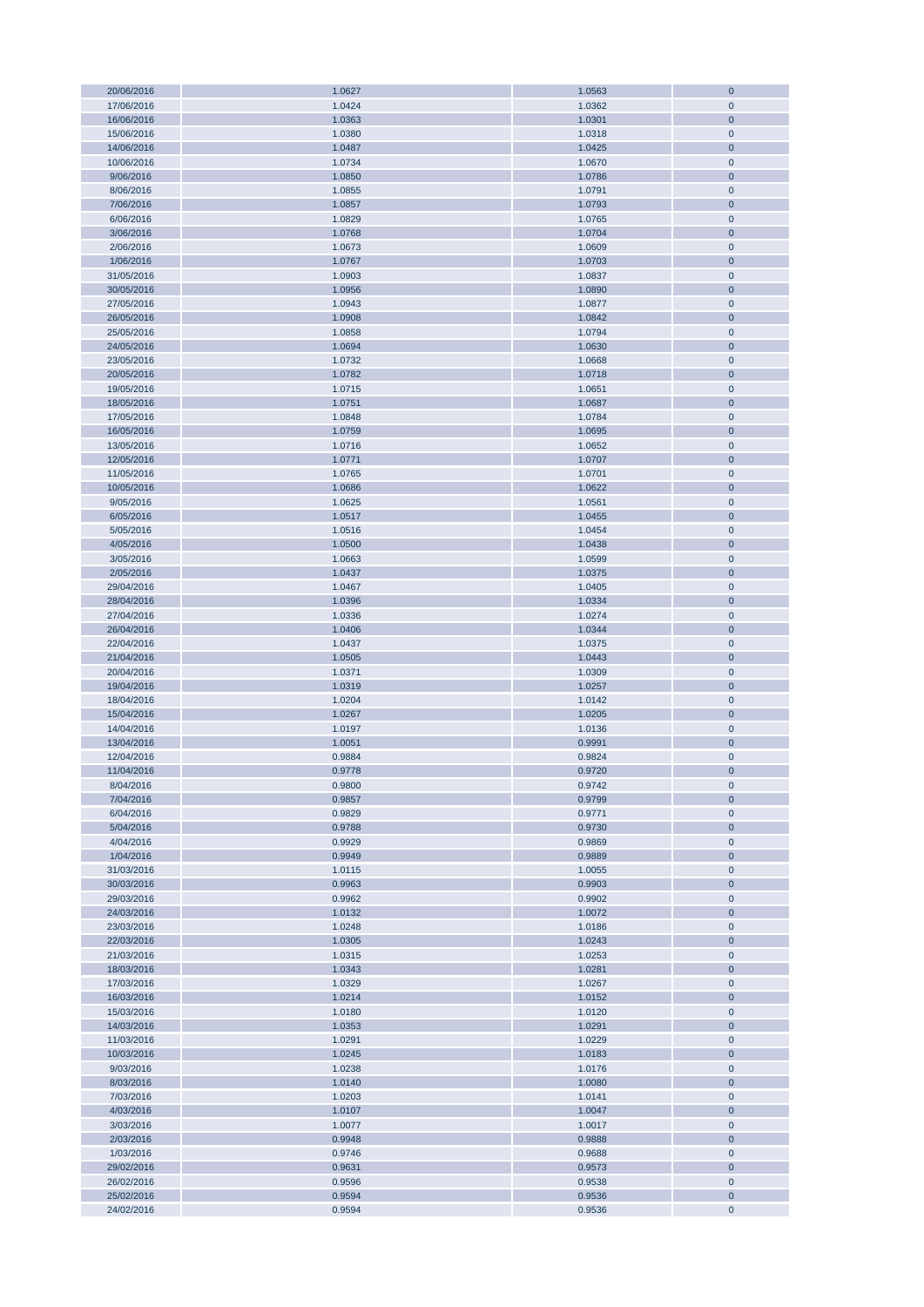| 20/06/2016 | 1.0627 | 1.0563 | $\mathbf{0}$ |
|------------|--------|--------|--------------|
| 17/06/2016 | 1.0424 | 1.0362 | $\mathbf{0}$ |
|            |        |        |              |
| 16/06/2016 | 1.0363 | 1.0301 | $\mathbf{0}$ |
| 15/06/2016 | 1.0380 | 1.0318 | $\pmb{0}$    |
| 14/06/2016 | 1.0487 | 1.0425 | $\mathbf{0}$ |
| 10/06/2016 | 1.0734 | 1.0670 | $\pmb{0}$    |
|            |        |        |              |
| 9/06/2016  | 1.0850 | 1.0786 | $\mathbf{0}$ |
| 8/06/2016  | 1.0855 | 1.0791 | $\pmb{0}$    |
| 7/06/2016  | 1.0857 | 1.0793 | $\mathbf{0}$ |
| 6/06/2016  | 1.0829 | 1.0765 | $\mathbf{0}$ |
|            |        |        |              |
| 3/06/2016  | 1.0768 | 1.0704 | $\mathbf{0}$ |
| 2/06/2016  | 1.0673 | 1.0609 | $\pmb{0}$    |
| 1/06/2016  | 1.0767 | 1.0703 | $\bf{0}$     |
| 31/05/2016 | 1.0903 | 1.0837 | $\pmb{0}$    |
|            |        |        |              |
| 30/05/2016 | 1.0956 | 1.0890 | $\pmb{0}$    |
| 27/05/2016 | 1.0943 | 1.0877 | $\pmb{0}$    |
| 26/05/2016 | 1.0908 | 1.0842 | $\pmb{0}$    |
| 25/05/2016 | 1.0858 | 1.0794 | $\pmb{0}$    |
|            |        |        |              |
| 24/05/2016 | 1.0694 | 1.0630 | $\pmb{0}$    |
| 23/05/2016 | 1.0732 | 1.0668 | $\pmb{0}$    |
| 20/05/2016 | 1.0782 | 1.0718 | $\mathbf{0}$ |
| 19/05/2016 | 1.0715 |        | $\pmb{0}$    |
|            |        | 1.0651 |              |
| 18/05/2016 | 1.0751 | 1.0687 | $\mathbf{0}$ |
| 17/05/2016 | 1.0848 | 1.0784 | $\pmb{0}$    |
| 16/05/2016 | 1.0759 | 1.0695 | $\pmb{0}$    |
| 13/05/2016 | 1.0716 | 1.0652 | $\pmb{0}$    |
|            |        |        |              |
| 12/05/2016 | 1.0771 | 1.0707 | $\bf{0}$     |
| 11/05/2016 | 1.0765 | 1.0701 | $\pmb{0}$    |
| 10/05/2016 | 1.0686 | 1.0622 | $\mathbf{0}$ |
| 9/05/2016  | 1.0625 | 1.0561 | $\pmb{0}$    |
|            |        |        |              |
| 6/05/2016  | 1.0517 | 1.0455 | $\bf{0}$     |
| 5/05/2016  | 1.0516 | 1.0454 | $\pmb{0}$    |
| 4/05/2016  | 1.0500 | 1.0438 | $\mathbf{0}$ |
|            |        |        |              |
| 3/05/2016  | 1.0663 | 1.0599 | $\pmb{0}$    |
| 2/05/2016  | 1.0437 | 1.0375 | $\mathbf{0}$ |
| 29/04/2016 | 1.0467 | 1.0405 | $\pmb{0}$    |
| 28/04/2016 | 1.0396 | 1.0334 | $\bf{0}$     |
|            |        |        |              |
| 27/04/2016 | 1.0336 | 1.0274 | $\pmb{0}$    |
| 26/04/2016 | 1.0406 | 1.0344 | $\pmb{0}$    |
| 22/04/2016 | 1.0437 | 1.0375 | $\pmb{0}$    |
| 21/04/2016 | 1.0505 | 1.0443 | $\bf{0}$     |
|            |        |        |              |
| 20/04/2016 | 1.0371 | 1.0309 | $\pmb{0}$    |
| 19/04/2016 | 1.0319 | 1.0257 | $\pmb{0}$    |
| 18/04/2016 | 1.0204 | 1.0142 | $\pmb{0}$    |
| 15/04/2016 | 1.0267 |        | $\mathbf{0}$ |
|            |        | 1.0205 |              |
| 14/04/2016 | 1.0197 | 1.0136 | $\pmb{0}$    |
| 13/04/2016 | 1.0051 | 0.9991 | $\mathbf{0}$ |
| 12/04/2016 | 0.9884 | 0.9824 | $\mathbf 0$  |
|            |        |        |              |
| 11/04/2016 | 0.9778 | 0.9720 | $\mathbf 0$  |
| 8/04/2016  | 0.9800 | 0.9742 | $\mathbf 0$  |
| 7/04/2016  | 0.9857 | 0.9799 | $\bf 0$      |
| 6/04/2016  | 0.9829 |        | $\pmb{0}$    |
|            |        | 0.9771 |              |
| 5/04/2016  | 0.9788 | 0.9730 | $\pmb{0}$    |
| 4/04/2016  | 0.9929 | 0.9869 | $\pmb{0}$    |
| 1/04/2016  | 0.9949 | 0.9889 | $\bf 0$      |
| 31/03/2016 | 1.0115 | 1.0055 | $\pmb{0}$    |
|            |        |        |              |
| 30/03/2016 | 0.9963 | 0.9903 | $\bf 0$      |
| 29/03/2016 | 0.9962 | 0.9902 | $\pmb{0}$    |
| 24/03/2016 | 1.0132 | 1.0072 | $\bf 0$      |
| 23/03/2016 | 1.0248 | 1.0186 | $\pmb{0}$    |
|            |        |        |              |
| 22/03/2016 | 1.0305 | 1.0243 | $\pmb{0}$    |
| 21/03/2016 | 1.0315 | 1.0253 | $\pmb{0}$    |
| 18/03/2016 | 1.0343 | 1.0281 | $\pmb{0}$    |
| 17/03/2016 | 1.0329 | 1.0267 | $\pmb{0}$    |
|            |        |        |              |
| 16/03/2016 | 1.0214 | 1.0152 | $\pmb{0}$    |
| 15/03/2016 | 1.0180 | 1.0120 | $\pmb{0}$    |
| 14/03/2016 | 1.0353 | 1.0291 | $\pmb{0}$    |
| 11/03/2016 | 1.0291 | 1.0229 | $\pmb{0}$    |
|            |        |        |              |
| 10/03/2016 | 1.0245 | 1.0183 | $\pmb{0}$    |
| 9/03/2016  | 1.0238 | 1.0176 | $\pmb{0}$    |
| 8/03/2016  | 1.0140 | 1.0080 | $\bf{0}$     |
| 7/03/2016  | 1.0203 | 1.0141 | $\pmb{0}$    |
|            |        |        |              |
| 4/03/2016  | 1.0107 | 1.0047 | $\pmb{0}$    |
| 3/03/2016  | 1.0077 | 1.0017 | $\pmb{0}$    |
| 2/03/2016  | 0.9948 | 0.9888 | $\bf{0}$     |
| 1/03/2016  | 0.9746 | 0.9688 | $\pmb{0}$    |
|            |        |        |              |
| 29/02/2016 | 0.9631 | 0.9573 | $\bf{0}$     |
| 26/02/2016 | 0.9596 | 0.9538 | $\pmb{0}$    |
| 25/02/2016 | 0.9594 | 0.9536 | $\bf{0}$     |
| 24/02/2016 | 0.9594 | 0.9536 | $\pmb{0}$    |
|            |        |        |              |